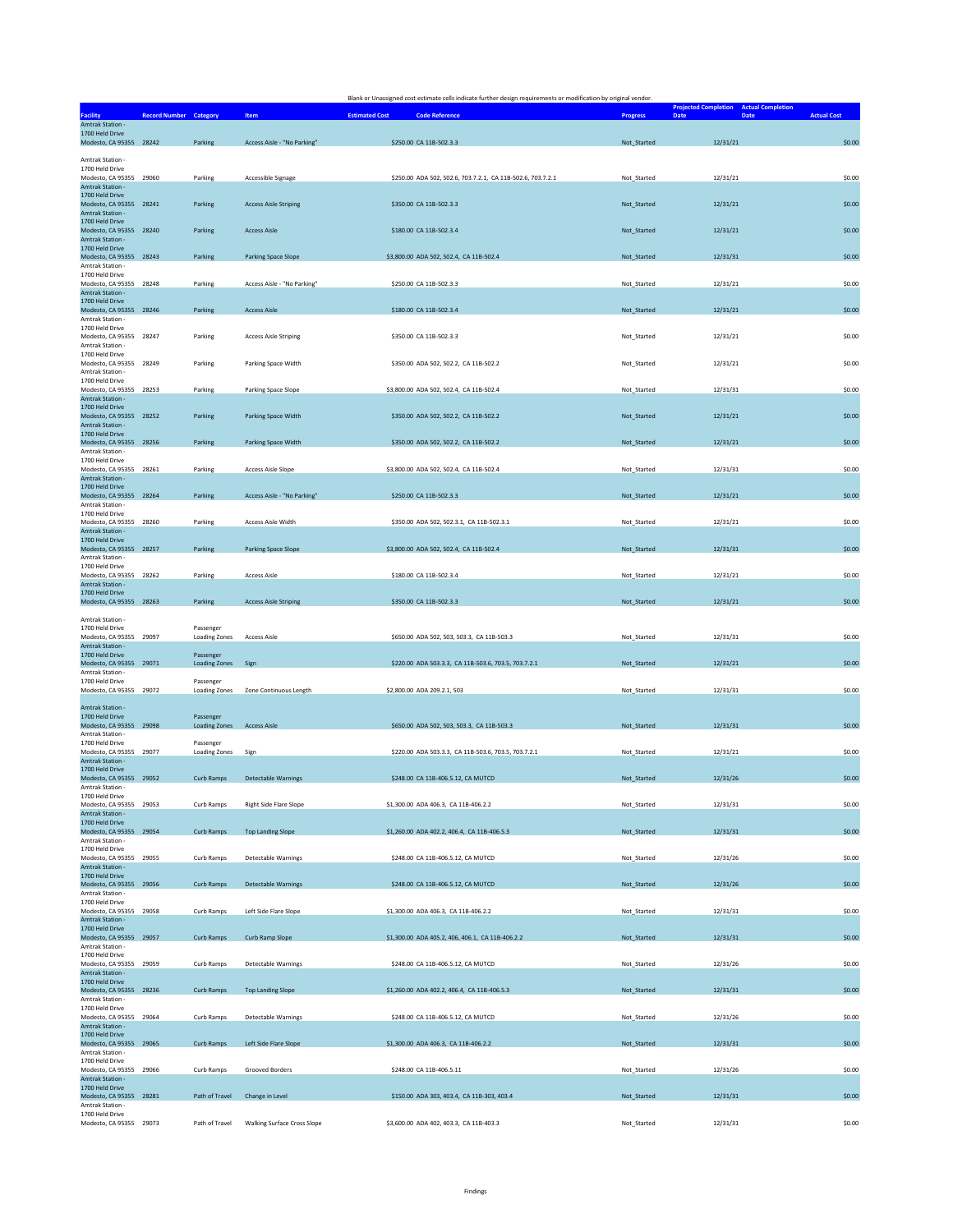|                                                                                   |                                   |                                    | Blank or Unassigned cost estimate cells indicate further design requirements or modification by original vendor. |                 |                                                                      |                    |
|-----------------------------------------------------------------------------------|-----------------------------------|------------------------------------|------------------------------------------------------------------------------------------------------------------|-----------------|----------------------------------------------------------------------|--------------------|
| <b>Facility</b>                                                                   | Record Number Category            | Item                               | <b>Estimated Cost</b><br><b>Code Reference</b>                                                                   | <b>Progress</b> | <b>Projected Completion</b> Actual Completion<br>Date<br><b>Date</b> | <b>Actual Cost</b> |
| Amtrak Station -<br>1700 Held Drive                                               | Parking                           | Access Aisle - "No Parking"        | \$250.00 CA 11B-502.3.3                                                                                          |                 | 12/31/21                                                             | \$0.00             |
| Modesto, CA 95355 28242                                                           |                                   |                                    |                                                                                                                  | Not_Started     |                                                                      |                    |
| Amtrak Station -<br>1700 Held Drive<br>Modesto, CA 95355 29060                    | Parking                           | Accessible Signage                 | \$250.00 ADA 502, 502.6, 703.7.2.1, CA 11B-502.6, 703.7.2.1                                                      | Not_Started     | 12/31/21                                                             | \$0.00             |
| Amtrak Station -<br>1700 Held Drive<br>Modesto, CA 95355 28241                    |                                   |                                    |                                                                                                                  |                 |                                                                      | \$0.00             |
| Amtrak Station -<br>1700 Held Drive                                               | Parking                           | <b>Access Aisle Striping</b>       | \$350.00 CA 11B-502.3.3                                                                                          | Not_Started     | 12/31/21                                                             |                    |
| Modesto, CA 95355 28240<br>Amtrak Station -<br>1700 Held Drive                    | Parking                           | <b>Access Aisle</b>                | \$180.00 CA 11B-502.3.4                                                                                          | Not_Started     | 12/31/21                                                             | \$0.00             |
| Modesto, CA 95355 28243<br>Amtrak Station -                                       | Parking                           | Parking Space Slope                | \$3,800.00 ADA 502, 502.4, CA 11B-502.4                                                                          | Not Started     | 12/31/31                                                             | \$0.00             |
| 1700 Held Drive<br>Modesto, CA 95355 28248<br><b>Amtrak Station -</b>             | Parking                           | Access Aisle - "No Parking"        | \$250.00 CA 11B-502.3.3                                                                                          | Not Started     | 12/31/21                                                             | \$0.00             |
| 1700 Held Drive<br>Modesto, CA 95355 28246<br>Amtrak Station -                    | Parking                           | <b>Access Aisle</b>                | \$180.00 CA 11B-502.3.4                                                                                          | Not_Started     | 12/31/21                                                             | \$0.00             |
| 1700 Held Drive<br>Modesto, CA 95355 28247<br>Amtrak Station -<br>1700 Held Drive | Parking                           | <b>Access Aisle Striping</b>       | \$350.00 CA 11B-502.3.3                                                                                          | Not_Started     | 12/31/21                                                             | \$0.00             |
| Modesto, CA 95355 28249<br>Amtrak Station -                                       | Parking                           | Parking Space Width                | \$350.00 ADA 502, 502.2, CA 11B-502.2                                                                            | Not_Started     | 12/31/21                                                             | \$0.00             |
| 1700 Held Drive<br>Modesto, CA 95355 28253<br>Amtrak Station -                    | Parking                           | Parking Space Slope                | \$3,800.00 ADA 502, 502.4, CA 11B-502.4                                                                          | Not_Started     | 12/31/31                                                             | \$0.00             |
| 1700 Held Drive<br>Modesto, CA 95355 28252<br>Amtrak Station -                    | Parking                           | Parking Space Width                | \$350.00 ADA 502, 502.2, CA 11B-502.2                                                                            | Not_Started     | 12/31/21                                                             | \$0.00             |
| 1700 Held Drive<br>Modesto, CA 95355 28256<br>Amtrak Station -                    | Parking                           | Parking Space Width                | \$350.00 ADA 502, 502.2, CA 11B-502.2                                                                            | Not_Started     | 12/31/21                                                             | \$0.00             |
| 1700 Held Drive<br>Modesto, CA 95355 28261<br>Amtrak Station -                    | Parking                           | <b>Access Aisle Slope</b>          | \$3,800.00 ADA 502, 502.4, CA 11B-502.4                                                                          | Not_Started     | 12/31/31                                                             | \$0.00             |
| 1700 Held Drive<br>Modesto, CA 95355 28264                                        | Parking                           | Access Aisle - "No Parking"        | \$250.00 CA 11B-502.3.3                                                                                          | Not Started     | 12/31/21                                                             | \$0.00             |
| Amtrak Station -<br>1700 Held Drive<br>Modesto, CA 95355 28260                    | Parking                           | Access Aisle Width                 | \$350.00 ADA 502, 502.3.1, CA 11B-502.3.1                                                                        | Not_Started     | 12/31/21                                                             | \$0.00             |
| Amtrak Station -<br>1700 Held Drive<br>Modesto, CA 95355 28257                    | Parking                           | <b>Parking Space Slope</b>         | \$3,800.00 ADA 502, 502.4, CA 11B-502.4                                                                          | Not_Started     | 12/31/31                                                             | \$0.00             |
| Amtrak Station -<br>1700 Held Drive<br>Modesto, CA 95355 28262                    | Parking                           | <b>Access Aisle</b>                | \$180.00 CA 11B-502.3.4                                                                                          | Not_Started     | 12/31/21                                                             | \$0.00             |
| Amtrak Station -<br>1700 Held Drive                                               |                                   |                                    |                                                                                                                  |                 |                                                                      |                    |
| Modesto, CA 95355 28263<br>Amtrak Station -                                       | Parking                           | <b>Access Aisle Striping</b>       | \$350.00 CA 11B-502.3.3                                                                                          | Not_Started     | 12/31/21                                                             | \$0.00             |
| 1700 Held Drive<br>Modesto, CA 95355 29097<br>Amtrak Station -                    | Passenger<br><b>Loading Zones</b> | <b>Access Aisle</b>                | \$650.00 ADA 502, 503, 503.3, CA 11B-503.3                                                                       | Not_Started     | 12/31/31                                                             | \$0.00             |
| 1700 Held Drive<br>Modesto, CA 95355 29071<br>Amtrak Station -                    | Passenger<br><b>Loading Zones</b> | Sign                               | \$220.00 ADA 503.3.3, CA 11B-503.6, 703.5, 703.7.2.1                                                             | Not_Started     | 12/31/21                                                             | \$0.00             |
| 1700 Held Drive<br>Modesto, CA 95355 29072                                        | Passenger<br><b>Loading Zones</b> | Zone Continuous Length             | \$2,800.00 ADA 209.2.1, 503                                                                                      | Not_Started     | 12/31/31                                                             | \$0.00             |
| Amtrak Station -<br>1700 Held Drive                                               | Passenger                         |                                    |                                                                                                                  |                 |                                                                      |                    |
| Modesto, CA 95355 29098<br>Amtrak Station -<br>1700 Held Drive                    | <b>Loading Zones</b><br>Passenger | <b>Access Aisle</b>                | \$650.00 ADA 502, 503, 503.3, CA 11B-503.3                                                                       | Not_Started     | 12/31/31                                                             | \$0.00             |
| Modesto, CA 95355 29077<br>Amtrak Station -<br>1700 Held Drive                    | <b>Loading Zones</b>              | Sign                               | \$220.00 ADA 503.3.3, CA 11B-503.6, 703.5, 703.7.2.1                                                             | Not_Started     | 12/31/21                                                             | \$0.00             |
| Modesto, CA 95355 29052<br>Amtrak Station -<br>1700 Held Drive                    | Curb Ramps                        | <b>Detectable Warnings</b>         | \$248.00 CA 11B-406.5.12, CA MUTCD                                                                               | Not_Started     | 12/31/26                                                             | \$0.00             |
| Modesto, CA 95355 29053<br>Amtrak Station -                                       | Curb Ramps                        | Right Side Flare Slope             | \$1,300.00 ADA 406.3, CA 11B-406.2.2                                                                             | Not_Started     | 12/31/31                                                             | \$0.00             |
| 1700 Held Drive<br>Modesto, CA 95355 29054<br>Amtrak Station -                    | Curb Ramps                        | <b>Top Landing Slope</b>           | \$1,260.00 ADA 402.2, 406.4, CA 11B-406.5.3                                                                      | Not Started     | 12/31/31                                                             | \$0.00             |
| 1700 Held Drive<br>Modesto, CA 95355 29055<br><b>Amtrak Station -</b>             | Curb Ramps                        | Detectable Warnings                | \$248.00 CA 11B-406.5.12, CA MUTCD                                                                               | Not_Started     | 12/31/26                                                             | \$0.00             |
| 1700 Held Drive<br>Modesto, CA 95355 29056                                        | Curb Ramps                        | <b>Detectable Warnings</b>         | \$248.00 CA 11B-406.5.12, CA MUTCD                                                                               | Not_Started     | 12/31/26                                                             | \$0.00             |
| Amtrak Station -<br>1700 Held Drive<br>Modesto, CA 95355 29058                    | Curb Ramps                        | Left Side Flare Slope              | \$1,300.00 ADA 406.3, CA 11B-406.2.2                                                                             | Not_Started     | 12/31/31                                                             | \$0.00             |
| Amtrak Station -<br>1700 Held Drive<br>Modesto, CA 95355 29057                    | Curb Ramps                        | Curb Ramp Slope                    | \$1,300.00 ADA 405.2, 406, 406.1, CA 11B-406.2.2                                                                 | Not_Started     | 12/31/31                                                             | \$0.00             |
| Amtrak Station -<br>1700 Held Drive<br>Modesto, CA 95355 29059                    | Curb Ramps                        | Detectable Warnings                | \$248.00 CA 11B-406.5.12, CA MUTCD                                                                               | Not Started     | 12/31/26                                                             | \$0.00             |
| Amtrak Station -<br>1700 Held Drive                                               |                                   |                                    |                                                                                                                  |                 |                                                                      |                    |
| Modesto, CA 95355 28236<br>Amtrak Station -<br>1700 Held Drive                    | Curb Ramps                        | <b>Top Landing Slope</b>           | \$1,260.00 ADA 402.2, 406.4, CA 11B-406.5.3                                                                      | Not Started     | 12/31/31                                                             | \$0.00             |
| Modesto, CA 95355 29064<br>Amtrak Station -<br>1700 Held Drive                    | Curb Ramps                        | Detectable Warnings                | \$248.00 CA 11B-406.5.12, CA MUTCD                                                                               | Not_Started     | 12/31/26                                                             | \$0.00             |
| Modesto, CA 95355 29065<br>Amtrak Station -<br>1700 Held Drive                    | Curb Ramps                        | Left Side Flare Slope              | \$1,300.00 ADA 406.3, CA 11B-406.2.2                                                                             | Not_Started     | 12/31/31                                                             | \$0.00             |
| Modesto, CA 95355 29066<br>Amtrak Station -                                       | Curb Ramps                        | Grooved Borders                    | \$248.00 CA 11B-406.5.11                                                                                         | Not_Started     | 12/31/26                                                             | \$0.00             |
| 1700 Held Drive<br>Modesto, CA 95355 28281<br>Amtrak Station -                    | Path of Travel                    | Change in Level                    | \$150.00 ADA 303, 403.4, CA 11B-303, 403.4                                                                       | Not_Started     | 12/31/31                                                             | \$0.00             |
| 1700 Held Drive<br>Modesto, CA 95355 29073                                        | Path of Travel                    | <b>Walking Surface Cross Slope</b> | \$3,600.00 ADA 402, 403.3, CA 11B-403.3                                                                          | Not_Started     | 12/31/31                                                             | \$0.00             |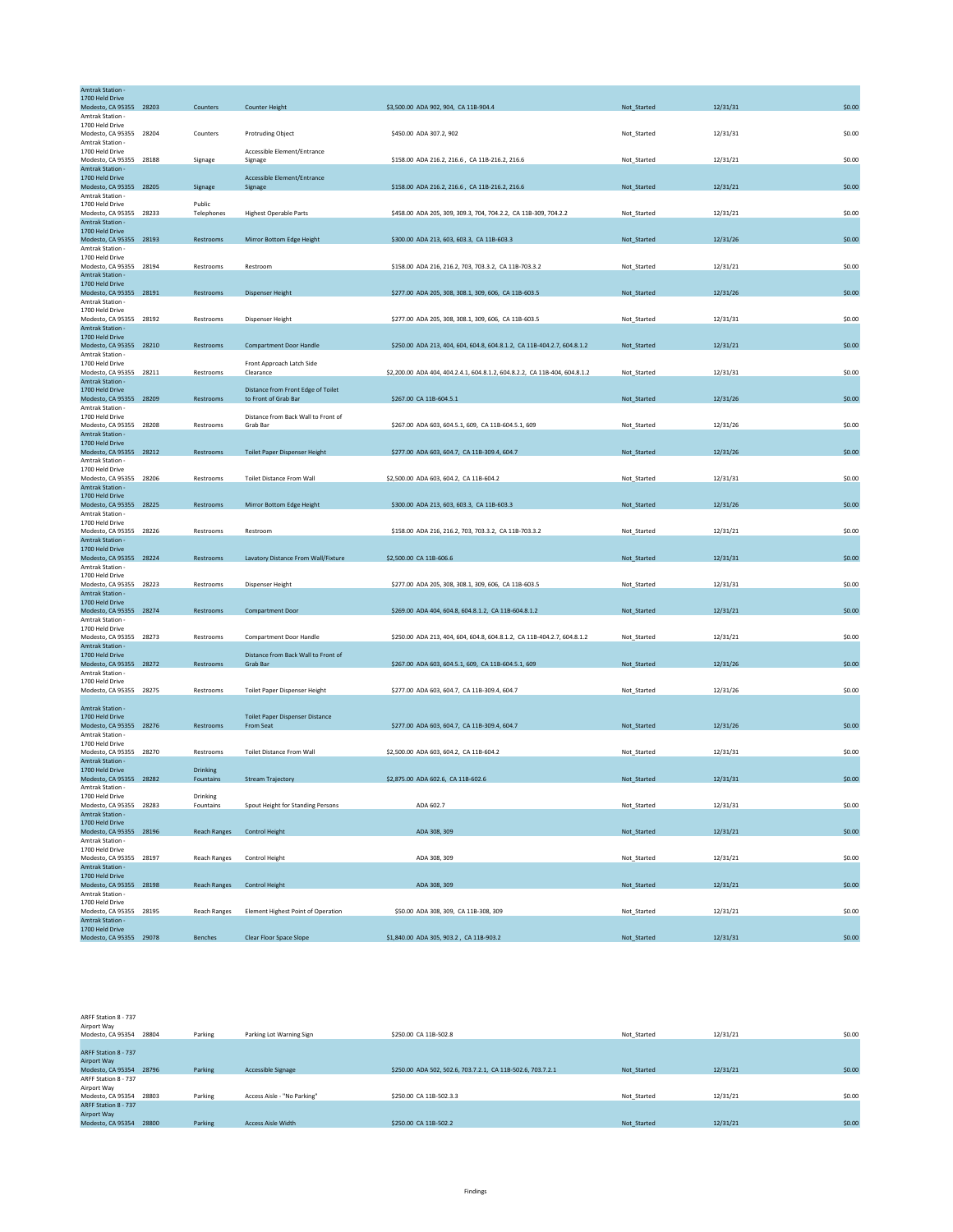| Amtrak Station -<br>1700 Held Drive                |                      |                                                            |                                                                                        |             |          |        |
|----------------------------------------------------|----------------------|------------------------------------------------------------|----------------------------------------------------------------------------------------|-------------|----------|--------|
| Modesto, CA 95355 28203                            | Counters             | <b>Counter Height</b>                                      | \$3,500.00 ADA 902, 904, CA 11B-904.4                                                  | Not_Started | 12/31/31 | \$0.00 |
| Amtrak Station -<br>1700 Held Drive                |                      |                                                            |                                                                                        |             |          |        |
| Modesto, CA 95355 28204                            | Counters             | <b>Protruding Object</b>                                   | \$450.00 ADA 307.2, 902                                                                | Not_Started | 12/31/31 | \$0.00 |
| Amtrak Station -<br>1700 Held Drive                |                      | Accessible Element/Entrance                                |                                                                                        |             |          |        |
| Modesto, CA 95355 28188                            | Signage              | Signage                                                    | \$158.00 ADA 216.2, 216.6, CA 11B-216.2, 216.6                                         | Not_Started | 12/31/21 | \$0.00 |
| <b>Amtrak Station -</b><br>1700 Held Drive         |                      | Accessible Element/Entrance                                |                                                                                        |             |          |        |
| Modesto, CA 95355 28205                            | Signage              | Signage                                                    | \$158.00 ADA 216.2, 216.6, CA 11B-216.2, 216.6                                         | Not_Started | 12/31/21 | \$0.00 |
| Amtrak Station -                                   |                      |                                                            |                                                                                        |             |          |        |
| 1700 Held Drive<br>Modesto, CA 95355 28233         | Public<br>Telephones | <b>Highest Operable Parts</b>                              | \$458.00 ADA 205, 309, 309.3, 704, 704.2.2, CA 11B-309, 704.2.2                        | Not_Started | 12/31/21 | \$0.00 |
| Amtrak Station -                                   |                      |                                                            |                                                                                        |             |          |        |
| 1700 Held Drive<br>Modesto, CA 95355 28193         | Restrooms            | Mirror Bottom Edge Height                                  | \$300.00 ADA 213, 603, 603.3, CA 11B-603.3                                             | Not_Started | 12/31/26 | \$0.00 |
| Amtrak Station -                                   |                      |                                                            |                                                                                        |             |          |        |
| 1700 Held Drive<br>Modesto, CA 95355 28194         |                      |                                                            | \$158.00 ADA 216, 216.2, 703, 703.3.2, CA 11B-703.3.2                                  |             |          |        |
| Amtrak Station -                                   | Restrooms            | Restroom                                                   |                                                                                        | Not_Started | 12/31/21 | \$0.00 |
| 1700 Held Drive                                    |                      |                                                            |                                                                                        |             |          |        |
| Modesto, CA 95355 28191<br>Amtrak Station -        | Restrooms            | <b>Dispenser Height</b>                                    | \$277.00 ADA 205, 308, 308.1, 309, 606, CA 11B-603.5                                   | Not_Started | 12/31/26 | \$0.00 |
| 1700 Held Drive                                    |                      |                                                            |                                                                                        |             |          |        |
| Modesto, CA 95355 28192                            | Restrooms            | Dispenser Height                                           | \$277.00 ADA 205, 308, 308.1, 309, 606, CA 11B-603.5                                   | Not_Started | 12/31/31 | \$0.00 |
| Amtrak Station -<br>1700 Held Drive                |                      |                                                            |                                                                                        |             |          |        |
| Modesto, CA 95355 28210                            | Restrooms            | <b>Compartment Door Handle</b>                             | \$250.00 ADA 213, 404, 604, 604.8, 604.8.1.2, CA 11B-404.2.7, 604.8.1.2                | Not_Started | 12/31/21 | \$0.00 |
| Amtrak Station -<br>1700 Held Drive                |                      | Front Approach Latch Side                                  |                                                                                        |             |          |        |
| Modesto, CA 95355 28211                            | Restrooms            | Clearance                                                  | \$2,200.00 ADA 404, 404, 2, 4, 1, 604, 8, 1, 2, 604, 8, 2, 2, CA 11B-404, 604, 8, 1, 2 | Not Started | 12/31/31 | \$0.00 |
| Amtrak Station -                                   |                      |                                                            |                                                                                        |             |          |        |
| 1700 Held Drive<br>Modesto, CA 95355 28209         | Restrooms            | Distance from Front Edge of Toilet<br>to Front of Grab Bar | \$267.00 CA 11B-604.5.1                                                                | Not_Started | 12/31/26 | \$0.00 |
| Amtrak Station -                                   |                      |                                                            |                                                                                        |             |          |        |
| 1700 Held Drive<br>Modesto, CA 95355 28208         | Restrooms            | Distance from Back Wall to Front of<br>Grab Bar            | \$267.00 ADA 603, 604.5.1, 609, CA 11B-604.5.1, 609                                    | Not_Started | 12/31/26 | \$0.00 |
| Amtrak Station -                                   |                      |                                                            |                                                                                        |             |          |        |
| 1700 Held Drive                                    |                      |                                                            |                                                                                        |             |          |        |
| Modesto, CA 95355 28212<br>Amtrak Station -        | Restrooms            | <b>Toilet Paper Dispenser Height</b>                       | \$277.00 ADA 603, 604.7, CA 11B-309.4, 604.7                                           | Not_Started | 12/31/26 | \$0.00 |
| 1700 Held Drive                                    |                      |                                                            |                                                                                        |             |          |        |
| Modesto, CA 95355 28206<br><b>Amtrak Station -</b> | Restrooms            | <b>Toilet Distance From Wall</b>                           | \$2,500.00 ADA 603, 604.2, CA 11B-604.2                                                | Not Started | 12/31/31 | \$0.00 |
| 1700 Held Drive                                    |                      |                                                            |                                                                                        |             |          |        |
| Modesto, CA 95355 28225                            | Restrooms            | Mirror Bottom Edge Height                                  | \$300.00 ADA 213, 603, 603.3, CA 11B-603.3                                             | Not_Started | 12/31/26 | \$0.00 |
| Amtrak Station -<br>1700 Held Drive                |                      |                                                            |                                                                                        |             |          |        |
| Modesto, CA 95355 28226                            | Restrooms            | Restroom                                                   | \$158.00 ADA 216, 216.2, 703, 703.3.2, CA 11B-703.3.2                                  | Not_Started | 12/31/21 | \$0.00 |
| <b>Amtrak Station -</b>                            |                      |                                                            |                                                                                        |             |          |        |
| 1700 Held Drive<br>Modesto, CA 95355 28224         | Restrooms            | Lavatory Distance From Wall/Fixture                        | \$2,500.00 CA 11B-606.6                                                                | Not_Started | 12/31/31 | \$0.00 |
| Amtrak Station -                                   |                      |                                                            |                                                                                        |             |          |        |
| 1700 Held Drive<br>Modesto, CA 95355 28223         | Restrooms            | Dispenser Height                                           | \$277.00 ADA 205, 308, 308.1, 309, 606, CA 11B-603.5                                   | Not Started | 12/31/31 | \$0.00 |
| Amtrak Station -                                   |                      |                                                            |                                                                                        |             |          |        |
| 1700 Held Drive                                    |                      |                                                            |                                                                                        |             |          |        |
| Modesto, CA 95355 28274<br>Amtrak Station -        | Restrooms            | <b>Compartment Door</b>                                    | \$269.00 ADA 404, 604.8, 604.8.1.2, CA 11B-604.8.1.2                                   | Not_Started | 12/31/21 | \$0.00 |
| 1700 Held Drive                                    |                      |                                                            |                                                                                        |             |          |        |
| Modesto, CA 95355 28273<br>Amtrak Station -        | Restrooms            | <b>Compartment Door Handle</b>                             | \$250.00 ADA 213, 404, 604, 604.8, 604.8.1.2, CA 11B-404.2.7, 604.8.1.2                | Not_Started | 12/31/21 | \$0.00 |
| 1700 Held Drive                                    |                      | Distance from Back Wall to Front of                        |                                                                                        |             |          |        |
| Modesto, CA 95355 28272<br>Amtrak Station -        | Restrooms            | Grab Bar                                                   | \$267.00 ADA 603, 604.5.1, 609, CA 11B-604.5.1, 609                                    | Not_Started | 12/31/26 | \$0.00 |
| 1700 Held Drive                                    |                      |                                                            |                                                                                        |             |          |        |
| Modesto, CA 95355 28275                            | Restrooms            | Toilet Paper Dispenser Height                              | \$277.00 ADA 603, 604.7, CA 11B-309.4, 604.7                                           | Not_Started | 12/31/26 | \$0.00 |
| <b>Amtrak Station -</b>                            |                      |                                                            |                                                                                        |             |          |        |
| 1700 Held Drive                                    |                      | <b>Toilet Paper Dispenser Distance</b>                     |                                                                                        |             |          |        |
| Modesto, CA 95355 28276<br>Amtrak Station -        | Restrooms            | From Seat                                                  | \$277.00 ADA 603, 604.7, CA 11B-309.4, 604.7                                           | Not_Started | 12/31/26 | \$0.00 |
| 1700 Held Drive                                    |                      |                                                            |                                                                                        |             |          |        |
| Modesto, CA 95355 28270                            | Restrooms            | <b>Toilet Distance From Wall</b>                           | \$2,500.00 ADA 603, 604.2, CA 11B-604.2                                                | Not_Started | 12/31/31 | \$0.00 |
| Amtrak Station -<br>1700 Held Drive                | Drinking             |                                                            |                                                                                        |             |          |        |
| Modesto, CA 95355 28282                            | Fountains            | <b>Stream Trajectory</b>                                   | \$2,875.00 ADA 602.6, CA 11B-602.6                                                     | Not_Started | 12/31/31 | \$0.00 |
| Amtrak Station -<br>1700 Held Drive                | Drinking             |                                                            |                                                                                        |             |          |        |
| Modesto, CA 95355 28283                            | Fountains            | Spout Height for Standing Persons                          | ADA 602.7                                                                              | Not Started | 12/31/31 | \$0.00 |
| Amtrak Station -                                   |                      |                                                            |                                                                                        |             |          |        |
| 1700 Held Drive<br>Modesto, CA 95355 28196         | <b>Reach Ranges</b>  | <b>Control Height</b>                                      | ADA 308, 309                                                                           | Not_Started | 12/31/21 | \$0.00 |
| Amtrak Station -                                   |                      |                                                            |                                                                                        |             |          |        |
| 1700 Held Drive                                    |                      |                                                            |                                                                                        |             |          |        |
| Modesto, CA 95355 28197<br>Amtrak Station -        | <b>Reach Ranges</b>  | Control Height                                             | ADA 308, 309                                                                           | Not_Started | 12/31/21 | \$0.00 |
| 1700 Held Drive                                    |                      |                                                            |                                                                                        |             |          |        |
| Modesto, CA 95355 28198<br>Amtrak Station -        | <b>Reach Ranges</b>  | <b>Control Height</b>                                      | ADA 308, 309                                                                           | Not_Started | 12/31/21 | \$0.00 |
| 1700 Held Drive                                    |                      |                                                            |                                                                                        |             |          |        |
| Modesto, CA 95355 28195                            | <b>Reach Ranges</b>  | Element Highest Point of Operation                         | \$50.00 ADA 308, 309, CA 11B-308, 309                                                  | Not_Started | 12/31/21 | \$0.00 |
| <b>Amtrak Station -</b><br>1700 Held Drive         |                      |                                                            |                                                                                        |             |          |        |
| Modesto, CA 95355 29078                            | Benches              | Clear Floor Space Slope                                    | \$1,840.00 ADA 305, 903.2, CA 11B-903.2                                                | Not_Started | 12/31/31 | \$0.00 |

| ARFF Station 8 - 737    |       |         |                             |                                                             |             |          |        |
|-------------------------|-------|---------|-----------------------------|-------------------------------------------------------------|-------------|----------|--------|
| Airport Way             |       |         |                             |                                                             |             |          |        |
| Modesto, CA 95354       | 28804 | Parking | Parking Lot Warning Sign    | \$250.00 CA 11B-502.8                                       | Not Started | 12/31/21 | \$0.00 |
|                         |       |         |                             |                                                             |             |          |        |
| ARFF Station 8 - 737    |       |         |                             |                                                             |             |          |        |
| Airport Way             |       |         |                             |                                                             |             |          |        |
| Modesto, CA 95354 28796 |       | Parking | Accessible Signage          | \$250.00 ADA 502, 502.6, 703.7.2.1, CA 11B-502.6, 703.7.2.1 | Not Started | 12/31/21 | \$0.00 |
| ARFF Station 8 - 737    |       |         |                             |                                                             |             |          |        |
| Airport Way             |       |         |                             |                                                             |             |          |        |
| Modesto, CA 95354 28803 |       | Parking | Access Aisle - "No Parking" | \$250.00 CA 11B-502.3.3                                     | Not Started | 12/31/21 | \$0.00 |
| ARFF Station 8 - 737    |       |         |                             |                                                             |             |          |        |
| Airport Way             |       |         |                             |                                                             |             |          |        |
| Modesto, CA 95354       | 28800 | Parking | <b>Access Aisle Width</b>   | \$250.00 CA 11B-502.2                                       | Not Started | 12/31/21 | \$0.00 |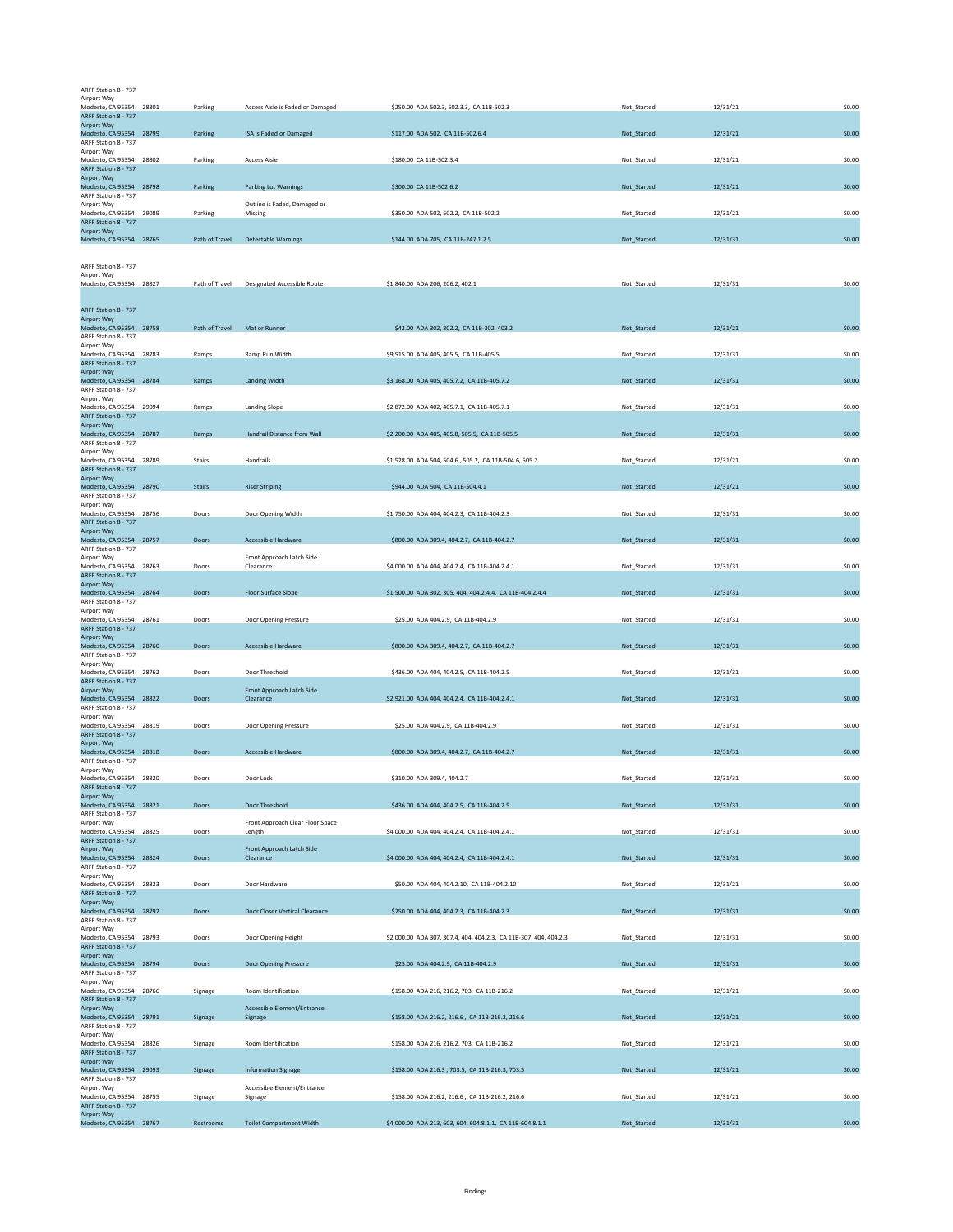| ARFF Station 8 - 737                            |                |                                            |                                                                   |             |          |        |
|-------------------------------------------------|----------------|--------------------------------------------|-------------------------------------------------------------------|-------------|----------|--------|
| Airport Way<br>Modesto, CA 95354 28801          | Parking        | Access Aisle is Faded or Damaged           | \$250.00 ADA 502.3, 502.3.3, CA 11B-502.3                         | Not_Started | 12/31/21 | \$0.00 |
| ARFF Station 8 - 737                            |                |                                            |                                                                   |             |          |        |
| Airport Way                                     |                |                                            |                                                                   |             |          |        |
| Modesto, CA 95354 28799<br>ARFF Station 8 - 737 | Parking        | ISA is Faded or Damaged                    | \$117.00 ADA 502, CA 11B-502.6.4                                  | Not_Started | 12/31/21 | \$0.00 |
| Airport Way                                     |                |                                            |                                                                   |             |          |        |
| Modesto, CA 95354 28802                         | Parking        | <b>Access Aisle</b>                        | \$180.00 CA 11B-502.3.4                                           | Not_Started | 12/31/21 | \$0.00 |
| ARFF Station 8 - 737<br>Airport Way             |                |                                            |                                                                   |             |          |        |
| Modesto, CA 95354 28798                         | Parking        | <b>Parking Lot Warnings</b>                | \$300.00 CA 11B-502.6.2                                           | Not_Started | 12/31/21 | \$0.00 |
| ARFF Station 8 - 737                            |                |                                            |                                                                   |             |          |        |
| Airport Way                                     |                | Outline is Faded, Damaged or               |                                                                   |             |          |        |
| Modesto, CA 95354 29089<br>ARFF Station 8 - 737 | Parking        | Missing                                    | \$350.00 ADA 502, 502.2, CA 11B-502.2                             | Not_Started | 12/31/21 | \$0.00 |
| Airport Way                                     |                |                                            |                                                                   |             |          |        |
| Modesto, CA 95354 28765                         | Path of Travel | <b>Detectable Warnings</b>                 | \$144.00 ADA 705, CA 11B-247.1.2.5                                | Not_Started | 12/31/31 | \$0.00 |
|                                                 |                |                                            |                                                                   |             |          |        |
| ARFF Station 8 - 737                            |                |                                            |                                                                   |             |          |        |
| Airport Way                                     |                |                                            |                                                                   |             |          |        |
| Modesto, CA 95354 28827                         | Path of Travel | Designated Accessible Route                | \$1,840.00 ADA 206, 206.2, 402.1                                  | Not Started | 12/31/31 | \$0.00 |
|                                                 |                |                                            |                                                                   |             |          |        |
| ARFF Station 8 - 737                            |                |                                            |                                                                   |             |          |        |
| Airport Way                                     |                |                                            |                                                                   |             |          |        |
| Modesto, CA 95354 28758                         | Path of Travel | Mat or Runner                              | \$42.00 ADA 302, 302.2, CA 11B-302, 403.2                         | Not_Started | 12/31/21 | \$0.00 |
| ARFF Station 8 - 737<br>Airport Way             |                |                                            |                                                                   |             |          |        |
| Modesto, CA 95354 28783                         | Ramps          | Ramp Run Width                             | \$9,515.00 ADA 405, 405.5, CA 11B-405.5                           | Not_Started | 12/31/31 | \$0.00 |
| ARFF Station 8 - 737                            |                |                                            |                                                                   |             |          |        |
| Airport Way<br>Modesto, CA 95354 28784          | Ramps          | <b>Landing Width</b>                       | \$3,168.00 ADA 405, 405.7.2, CA 11B-405.7.2                       | Not_Started | 12/31/31 | \$0.00 |
| ARFF Station 8 - 737                            |                |                                            |                                                                   |             |          |        |
| Airport Way                                     |                |                                            |                                                                   |             |          |        |
| Modesto, CA 95354 29094                         | Ramps          | <b>Landing Slope</b>                       | \$2,872.00 ADA 402, 405.7.1, CA 11B-405.7.1                       | Not Started | 12/31/31 | \$0.00 |
| ARFF Station 8 - 737<br>Airport Way             |                |                                            |                                                                   |             |          |        |
| Modesto, CA 95354 28787                         | Ramps          | Handrail Distance from Wall                | \$2,200.00 ADA 405, 405.8, 505.5, CA 11B-505.5                    | Not_Started | 12/31/31 | \$0.00 |
| ARFF Station 8 - 737                            |                |                                            |                                                                   |             |          |        |
| Airnort Way<br>Modesto, CA 95354 28789          | Stairs         | Handrails                                  | \$1,528.00 ADA 504, 504.6, 505.2, CA 11B-504.6, 505.2             | Not_Started | 12/31/21 | \$0.00 |
| ARFF Station 8 - 737                            |                |                                            |                                                                   |             |          |        |
| Airport Way                                     |                |                                            |                                                                   |             |          |        |
| Modesto, CA 95354 28790<br>ARFF Station 8 - 737 | <b>Stairs</b>  | <b>Riser Striping</b>                      | \$944.00 ADA 504, CA 11B-504.4.1                                  | Not_Started | 12/31/21 | \$0.00 |
| Airport Way                                     |                |                                            |                                                                   |             |          |        |
| Modesto, CA 95354 28756                         | Doors          | Door Opening Width                         | \$1,750.00 ADA 404, 404.2.3, CA 11B-404.2.3                       | Not_Started | 12/31/31 | \$0.00 |
| ARFF Station 8 - 737                            |                |                                            |                                                                   |             |          |        |
| Airport Way                                     |                |                                            |                                                                   |             |          |        |
| Modesto, CA 95354 28757<br>ARFF Station 8 - 737 | Doors          | Accessible Hardware                        | \$800.00 ADA 309.4, 404.2.7, CA 11B-404.2.7                       | Not_Started | 12/31/31 | \$0.00 |
| Airport Way                                     |                | Front Approach Latch Side                  |                                                                   |             |          |        |
| Modesto, CA 95354 28763                         | Doors          | Clearance                                  | \$4,000.00 ADA 404, 404.2.4, CA 11B-404.2.4.1                     | Not_Started | 12/31/31 | \$0.00 |
| ARFF Station 8 - 737<br>Airport Way             |                |                                            |                                                                   |             |          |        |
| Modesto, CA 95354 28764                         | Doors          | <b>Floor Surface Slope</b>                 | \$1,500.00 ADA 302, 305, 404, 404.2.4.4, CA 11B-404.2.4.4         | Not_Started | 12/31/31 | \$0.00 |
| ARFF Station 8 - 737                            |                |                                            |                                                                   |             |          |        |
| Airport Way                                     |                |                                            |                                                                   |             |          |        |
| Modesto, CA 95354 28761<br>ARFF Station 8 - 737 | Doors          | Door Opening Pressure                      | \$25.00 ADA 404.2.9, CA 11B-404.2.9                               | Not Started | 12/31/31 | \$0.00 |
| Airport Way                                     |                |                                            |                                                                   |             |          |        |
| Modesto, CA 95354 28760                         | Doors          | Accessible Hardware                        | \$800.00 ADA 309.4, 404.2.7, CA 11B-404.2.7                       | Not_Started | 12/31/31 | \$0.00 |
| ARFF Station 8 - 737                            |                |                                            |                                                                   |             |          |        |
| Airport Way<br>Modesto, CA 95354 28762          | Doors          | Door Threshold                             | \$436.00 ADA 404, 404.2.5, CA 11B-404.2.5                         | Not_Started | 12/31/31 | \$0.00 |
| ARFF Station 8 - 737                            |                |                                            |                                                                   |             |          |        |
| Airport Way                                     |                | Front Approach Latch Side                  |                                                                   |             |          |        |
| Modesto, CA 95354 28822<br>ARFF Station 8 - 737 | Doors          | Clearance                                  | \$2,921.00 ADA 404, 404.2.4, CA 11B-404.2.4.1                     | Not_Started | 12/31/31 | \$0.00 |
| Airport Way                                     |                |                                            |                                                                   |             |          |        |
| Modesto, CA 95354 28819                         | Doors          | Door Opening Pressure                      | \$25.00 ADA 404.2.9, CA 11B-404.2.9                               | Not Started | 12/31/31 | \$0.00 |
| ARFF Station 8 - 737                            |                |                                            |                                                                   |             |          |        |
| Airport Way<br>Modesto, CA 95354 28818          | Doors          | Accessible Hardware                        | \$800.00 ADA 309.4, 404.2.7, CA 11B-404.2.7                       | Not Started | 12/31/31 | \$0.00 |
| ARFF Station 8 - 737                            |                |                                            |                                                                   |             |          |        |
| Airport Way                                     |                |                                            |                                                                   |             |          |        |
| Modesto, CA 95354 28820                         | Doors          | Door Lock                                  | \$310.00 ADA 309.4, 404.2.7                                       | Not Started | 12/31/31 | \$0.00 |
| ARFF Station 8 - 737<br>Airport Way             |                |                                            |                                                                   |             |          |        |
| Modesto, CA 95354 28821                         | Doors          | Door Threshold                             | \$436.00 ADA 404, 404.2.5, CA 11B-404.2.5                         | Not_Started | 12/31/31 | \$0.00 |
| ARFF Station 8 - 737                            |                |                                            |                                                                   |             |          |        |
| Airport Way<br>Modesto, CA 95354 28825          | Doors          | Front Approach Clear Floor Space<br>Length | \$4,000.00 ADA 404, 404.2.4, CA 11B-404.2.4.1                     | Not_Started | 12/31/31 | \$0.00 |
| ARFF Station 8 - 737                            |                |                                            |                                                                   |             |          |        |
| Airport Way                                     |                | Front Approach Latch Side                  |                                                                   |             |          |        |
| Modesto, CA 95354 28824                         | Doors          | Clearance                                  | \$4,000.00 ADA 404, 404.2.4, CA 11B-404.2.4.1                     | Not Started | 12/31/31 | \$0.00 |
| ARFF Station 8 - 737<br>Airport Way             |                |                                            |                                                                   |             |          |        |
| Modesto, CA 95354 28823                         | Doors          | Door Hardware                              | \$50.00 ADA 404, 404.2.10, CA 11B-404.2.10                        | Not_Started | 12/31/21 | \$0.00 |
| ARFF Station 8 - 737                            |                |                                            |                                                                   |             |          |        |
| Airport Way                                     |                | Door Closer Vertical Clearance             | \$250.00 ADA 404, 404.2.3, CA 11B-404.2.3                         |             | 12/31/31 | \$0.00 |
| Modesto, CA 95354 28792<br>ARFF Station 8 - 737 | Doors          |                                            |                                                                   | Not_Started |          |        |
| Airport Way                                     |                |                                            |                                                                   |             |          |        |
| Modesto, CA 95354 28793                         | Doors          | Door Opening Height                        | \$2,000.00 ADA 307, 307.4, 404, 404.2.3, CA 11B-307, 404, 404.2.3 | Not_Started | 12/31/31 | \$0.00 |
| ARFF Station 8 - 737<br>Airport Way             |                |                                            |                                                                   |             |          |        |
| Modesto, CA 95354 28794                         | Doors          | <b>Door Opening Pressure</b>               | \$25.00 ADA 404.2.9, CA 11B-404.2.9                               | Not Started | 12/31/31 | \$0.00 |
| ARFF Station 8 - 737                            |                |                                            |                                                                   |             |          |        |
| Airport Way                                     |                |                                            |                                                                   |             |          |        |
| Modesto, CA 95354 28766<br>ARFF Station 8 - 737 | Signage        | Room Identification                        | \$158.00 ADA 216, 216.2, 703, CA 11B-216.2                        | Not_Started | 12/31/21 | \$0.00 |
| Airport Way                                     |                | Accessible Element/Entrance                |                                                                   |             |          |        |
| Modesto, CA 95354 28791                         | Signage        | Signage                                    | \$158.00 ADA 216.2, 216.6, CA 11B-216.2, 216.6                    | Not_Started | 12/31/21 | \$0.00 |
| ARFF Station 8 - 737                            |                |                                            |                                                                   |             |          |        |
| Airport Way<br>Modesto, CA 95354 28826          | Signage        | Room Identification                        | \$158.00 ADA 216, 216.2, 703, CA 11B-216.2                        | Not_Started | 12/31/21 | \$0.00 |
| ARFF Station 8 - 737                            |                |                                            |                                                                   |             |          |        |
| Airport Way                                     |                |                                            |                                                                   |             |          |        |
| Modesto, CA 95354 29093<br>ARFF Station 8 - 737 | Signage        | <b>Information Signage</b>                 | \$158.00 ADA 216.3, 703.5, CA 11B-216.3, 703.5                    | Not_Started | 12/31/21 | \$0.00 |
| Airport Way                                     |                | Accessible Element/Entrance                |                                                                   |             |          |        |
| Modesto, CA 95354 28755                         | Signage        | Signage                                    | \$158.00 ADA 216.2, 216.6, CA 11B-216.2, 216.6                    | Not_Started | 12/31/21 | \$0.00 |
| ARFF Station 8 - 737<br>Airport Way             |                |                                            |                                                                   |             |          |        |
| Modesto, CA 95354 28767                         | Restrooms      | <b>Toilet Compartment Width</b>            | \$4,000.00 ADA 213, 603, 604, 604.8.1.1, CA 11B-604.8.1.1         | Not_Started | 12/31/31 | \$0.00 |
|                                                 |                |                                            |                                                                   |             |          |        |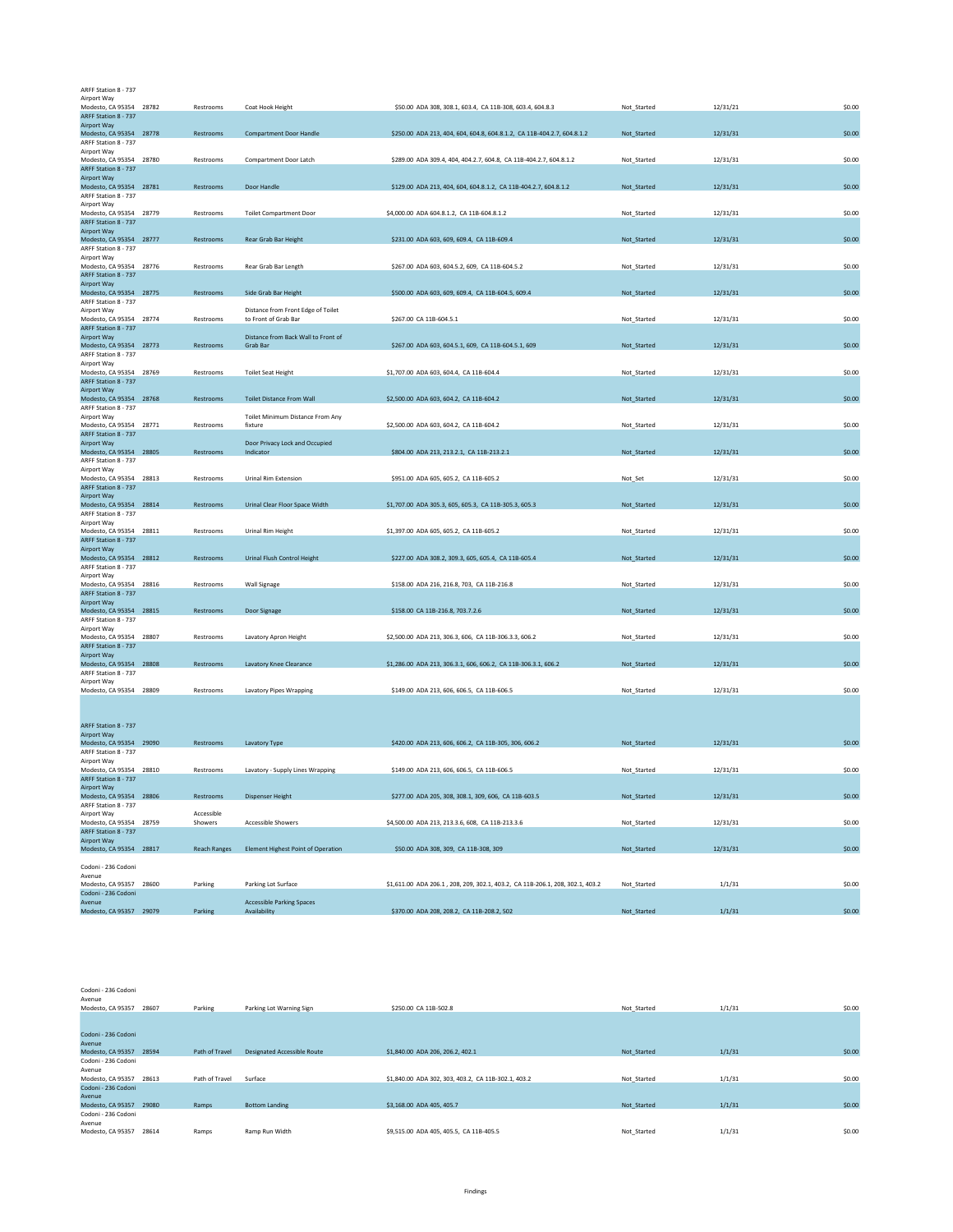| ARFF Station 8 - 737                            |                         |                     |                                           |                                                                               |             |          |        |
|-------------------------------------------------|-------------------------|---------------------|-------------------------------------------|-------------------------------------------------------------------------------|-------------|----------|--------|
| Airport Way<br>Modesto, CA 95354 28782          |                         | Restrooms           | Coat Hook Height                          | \$50.00 ADA 308, 308.1, 603.4, CA 11B-308, 603.4, 604.8.3                     | Not Started | 12/31/21 | \$0.00 |
| ARFF Station 8 - 737                            |                         |                     |                                           |                                                                               |             |          |        |
| Airport Way                                     |                         |                     |                                           |                                                                               |             |          |        |
| Modesto, CA 95354 28778                         |                         | Restrooms           | <b>Compartment Door Handle</b>            | \$250.00 ADA 213, 404, 604, 604.8, 604.8.1.2, CA 11B-404.2.7, 604.8.1.2       | Not_Started | 12/31/31 | \$0.00 |
| ARFF Station 8 - 737<br>Airport Way             |                         |                     |                                           |                                                                               |             |          |        |
| Modesto, CA 95354 28780                         |                         | Restrooms           | Compartment Door Latch                    | \$289.00 ADA 309.4, 404, 404.2.7, 604.8, CA 11B-404.2.7, 604.8.1.2            | Not Started | 12/31/31 | \$0.00 |
| ARFF Station 8 - 737                            |                         |                     |                                           |                                                                               |             |          |        |
| Airport Way                                     |                         |                     |                                           |                                                                               |             |          |        |
| Modesto, CA 95354 28781<br>ARFF Station 8 - 737 |                         | Restrooms           | Door Handle                               | \$129.00 ADA 213, 404, 604, 604.8.1.2, CA 11B-404.2.7, 604.8.1.2              | Not_Started | 12/31/31 | \$0.00 |
| Airport Way                                     |                         |                     |                                           |                                                                               |             |          |        |
| Modesto, CA 95354 28779                         |                         | Restrooms           | <b>Toilet Compartment Door</b>            | \$4,000.00 ADA 604.8.1.2, CA 11B-604.8.1.2                                    | Not_Started | 12/31/31 | \$0.00 |
| ARFF Station 8 - 737                            |                         |                     |                                           |                                                                               |             |          |        |
| Airport Way                                     |                         |                     |                                           | \$231.00 ADA 603, 609, 609.4, CA 11B-609.4                                    |             | 12/31/31 | \$0.00 |
| Modesto, CA 95354 28777<br>ARFF Station 8 - 737 |                         | Restrooms           | Rear Grab Bar Height                      |                                                                               | Not Started |          |        |
| Airport Way                                     |                         |                     |                                           |                                                                               |             |          |        |
| Modesto, CA 95354 28776                         |                         | Restrooms           | Rear Grab Bar Length                      | \$267.00 ADA 603, 604.5.2, 609, CA 11B-604.5.2                                | Not_Started | 12/31/31 | \$0.00 |
| ARFF Station 8 - 737                            |                         |                     |                                           |                                                                               |             |          |        |
| Airport Way<br>Modesto, CA 95354 28775          |                         | Restrooms           | Side Grab Bar Height                      | \$500.00 ADA 603, 609, 609.4, CA 11B-604.5, 609.4                             | Not_Started | 12/31/31 | \$0.00 |
| ARFF Station 8 - 737                            |                         |                     |                                           |                                                                               |             |          |        |
| Airport Way                                     |                         |                     | Distance from Front Edge of Toilet        |                                                                               |             |          |        |
| Modesto, CA 95354 28774                         |                         | Restrooms           | to Front of Grab Bar                      | \$267.00 CA 11B-604.5.1                                                       | Not_Started | 12/31/31 | \$0.00 |
| ARFF Station 8 - 737<br>Airport Way             |                         |                     | Distance from Back Wall to Front of       |                                                                               |             |          |        |
| Modesto, CA 95354 28773                         |                         | Restrooms           | Grab Bar                                  | \$267.00 ADA 603, 604.5.1, 609, CA 11B-604.5.1, 609                           | Not_Started | 12/31/31 | \$0.00 |
| ARFF Station 8 - 737                            |                         |                     |                                           |                                                                               |             |          |        |
| Airport Way                                     |                         |                     |                                           |                                                                               |             |          |        |
| Modesto, CA 95354 28769                         |                         | Restrooms           | <b>Toilet Seat Height</b>                 | \$1,707.00 ADA 603, 604.4, CA 11B-604.4                                       | Not_Started | 12/31/31 | \$0.00 |
| ARFF Station 8 - 737                            |                         |                     |                                           |                                                                               |             |          |        |
| Airport Way<br>Modesto, CA 95354 28768          |                         | Restrooms           | <b>Toilet Distance From Wall</b>          | \$2,500.00 ADA 603, 604.2, CA 11B-604.2                                       | Not_Started | 12/31/31 | \$0.00 |
| ARFF Station 8 - 737                            |                         |                     |                                           |                                                                               |             |          |        |
| Airport Way                                     |                         |                     | Toilet Minimum Distance From Any          |                                                                               |             |          |        |
| Modesto, CA 95354 28771                         |                         | Restrooms           | fixture                                   | \$2,500.00 ADA 603, 604.2, CA 11B-604.2                                       | Not_Started | 12/31/31 | \$0.00 |
| ARFF Station 8 - 737<br>Airport Way             |                         |                     | Door Privacy Lock and Occupied            |                                                                               |             |          |        |
| Modesto, CA 95354 28805                         |                         | Restrooms           | Indicator                                 | \$804.00 ADA 213, 213.2.1, CA 11B-213.2.1                                     | Not_Started | 12/31/31 | \$0.00 |
| ARFF Station 8 - 737                            |                         |                     |                                           |                                                                               |             |          |        |
| Airport Way                                     |                         |                     |                                           |                                                                               |             |          |        |
| Modesto, CA 95354 28813<br>ARFF Station 8 - 737 |                         | Restrooms           | <b>Urinal Rim Extension</b>               | \$951.00 ADA 605, 605.2, CA 11B-605.2                                         | Not_Set     | 12/31/31 | \$0.00 |
| Airport Way                                     |                         |                     |                                           |                                                                               |             |          |        |
| Modesto, CA 95354 28814                         |                         | Restrooms           | Urinal Clear Floor Space Width            | \$1,707.00 ADA 305.3, 605, 605.3, CA 11B-305.3, 605.3                         | Not_Started | 12/31/31 | \$0.00 |
| ARFF Station 8 - 737                            |                         |                     |                                           |                                                                               |             |          |        |
| Airport Way                                     |                         |                     |                                           |                                                                               |             |          |        |
| Modesto, CA 95354 28811<br>ARFF Station 8 - 737 |                         | Restrooms           | Urinal Rim Height                         | \$1,397.00 ADA 605, 605.2, CA 11B-605.2                                       | Not Started | 12/31/31 | \$0.00 |
| Airport Way                                     |                         |                     |                                           |                                                                               |             |          |        |
| Modesto, CA 95354 28812                         |                         | Restrooms           | Urinal Flush Control Height               | \$227.00 ADA 308.2, 309.3, 605, 605.4, CA 11B-605.4                           | Not_Started | 12/31/31 | \$0.00 |
| ARFF Station 8 - 737                            |                         |                     |                                           |                                                                               |             |          |        |
| Airport Way                                     |                         |                     |                                           |                                                                               |             |          |        |
| Modesto, CA 95354 28816<br>ARFF Station 8 - 737 |                         | Restrooms           | Wall Signage                              | \$158.00 ADA 216, 216.8, 703, CA 11B-216.8                                    | Not_Started | 12/31/31 | \$0.00 |
| Airport Way                                     |                         |                     |                                           |                                                                               |             |          |        |
| Modesto, CA 95354 28815                         |                         | Restrooms           | Door Signage                              | \$158.00 CA 11B-216.8, 703.7.2.6                                              | Not_Started | 12/31/31 | \$0.00 |
| ARFF Station 8 - 737                            |                         |                     |                                           |                                                                               |             |          |        |
| Airport Way                                     |                         |                     |                                           |                                                                               |             |          |        |
| Modesto, CA 95354 28807<br>ARFF Station 8 - 737 |                         | Restrooms           | Lavatory Apron Height                     | \$2,500.00 ADA 213, 306.3, 606, CA 11B-306.3.3, 606.2                         | Not_Started | 12/31/31 | \$0.00 |
| Airport Way                                     |                         |                     |                                           |                                                                               |             |          |        |
| Modesto, CA 95354 28808                         |                         | Restrooms           | Lavatory Knee Clearance                   | \$1,286.00 ADA 213, 306.3.1, 606, 606.2, CA 11B-306.3.1, 606.2                | Not_Started | 12/31/31 | \$0.00 |
| ARFF Station 8 - 737                            |                         |                     |                                           |                                                                               |             |          |        |
| Airport Way<br>Modesto, CA 95354 28809          |                         | Restrooms           | Lavatory Pipes Wrapping                   | \$149.00 ADA 213, 606, 606.5, CA 11B-606.5                                    | Not_Started | 12/31/31 | \$0.00 |
|                                                 |                         |                     |                                           |                                                                               |             |          |        |
|                                                 |                         |                     |                                           |                                                                               |             |          |        |
|                                                 |                         |                     |                                           |                                                                               |             |          |        |
| ARFF Station 8 - 737                            |                         |                     |                                           |                                                                               |             |          |        |
| Airport Way<br>Modesto, CA 95354 29090          |                         | Restrooms           | Lavatory Type                             | \$420.00 ADA 213, 606, 606.2, CA 11B-305, 306, 606.2                          | Not Started | 12/31/31 | \$0.00 |
| ARFF Station 8 - 737                            |                         |                     |                                           |                                                                               |             |          |        |
| Airport Way                                     |                         |                     |                                           |                                                                               |             |          |        |
| Modesto, CA 95354 28810                         |                         | Restrooms           | Lavatory - Supply Lines Wrapping          | \$149.00 ADA 213, 606, 606.5, CA 11B-606.5                                    | Not_Started | 12/31/31 | \$0.00 |
| ARFF Station 8 - 737                            |                         |                     |                                           |                                                                               |             |          |        |
| Airport Way<br>Modesto, CA 95354 28806          |                         | Restrooms           | <b>Dispenser Height</b>                   | \$277.00 ADA 205, 308, 308.1, 309, 606, CA 11B-603.5                          | Not_Started | 12/31/31 | \$0.00 |
| ARFF Station 8 - 737                            |                         |                     |                                           |                                                                               |             |          |        |
| Airport Way                                     |                         | Accessible          |                                           |                                                                               |             |          |        |
| Modesto, CA 95354 28759                         |                         | Showers             | Accessible Showers                        | \$4,500.00 ADA 213, 213.3.6, 608, CA 11B-213.3.6                              | Not_Started | 12/31/31 | \$0.00 |
| ARFF Station 8 - 737                            |                         |                     |                                           |                                                                               |             |          |        |
| Airport Way<br>Modesto, CA 95354 28817          |                         | <b>Reach Ranges</b> | <b>Element Highest Point of Operation</b> | \$50.00 ADA 308, 309, CA 11B-308, 309                                         | Not_Started | 12/31/31 | \$0.00 |
|                                                 |                         |                     |                                           |                                                                               |             |          |        |
| Codoni - 236 Codoni                             |                         |                     |                                           |                                                                               |             |          |        |
| Avenue                                          |                         |                     |                                           |                                                                               |             |          |        |
| Modesto, CA 95357 28600<br>Codoni - 236 Codoni  |                         | Parking             | Parking Lot Surface                       | \$1,611.00 ADA 206.1, 208, 209, 302.1, 403.2, CA 11B-206.1, 208, 302.1, 403.2 | Not_Started | 1/1/31   | \$0.00 |
| Avenue                                          |                         |                     | <b>Accessible Parking Spaces</b>          |                                                                               |             |          |        |
|                                                 | Modesto, CA 95357 29079 | Parking             | Availability                              | \$370.00 ADA 208, 208.2, CA 11B-208.2, 502                                    | Not_Started | 1/1/31   | \$0.00 |

Codoni - 236 Codoni

| Avenue                  |       |                |                                    |                                                     |             |        |        |
|-------------------------|-------|----------------|------------------------------------|-----------------------------------------------------|-------------|--------|--------|
| Modesto, CA 95357 28607 |       | Parking        | Parking Lot Warning Sign           | \$250.00 CA 11B-502.8                               | Not Started | 1/1/31 | \$0.00 |
|                         |       |                |                                    |                                                     |             |        |        |
|                         |       |                |                                    |                                                     |             |        |        |
| Codoni - 236 Codoni     |       |                |                                    |                                                     |             |        |        |
| Avenue                  |       |                |                                    |                                                     |             |        |        |
| Modesto, CA 95357 28594 |       | Path of Travel | <b>Designated Accessible Route</b> | \$1,840,00 ADA 206, 206.2, 402.1                    | Not Started | 1/1/31 | \$0.00 |
| Codoni - 236 Codoni     |       |                |                                    |                                                     |             |        |        |
| Avenue                  |       |                |                                    |                                                     |             |        |        |
| Modesto, CA 95357 28613 |       | Path of Travel | Surface                            | \$1,840.00 ADA 302, 303, 403.2, CA 11B-302.1, 403.2 | Not Started | 1/1/31 | \$0.00 |
| Codoni - 236 Codoni     |       |                |                                    |                                                     |             |        |        |
| Avenue                  |       |                |                                    |                                                     |             |        |        |
| Modesto, CA 95357 29080 |       | Ramps          | <b>Bottom Landing</b>              | \$3,168,00 ADA 405, 405.7                           | Not Started | 1/1/31 | \$0.00 |
| Codoni - 236 Codoni     |       |                |                                    |                                                     |             |        |        |
| Avenue                  |       |                |                                    |                                                     |             |        |        |
| Modesto, CA 95357       | 28614 | Ramps          | Ramp Run Width                     | \$9,515.00 ADA 405, 405.5, CA 11B-405.5             | Not Started | 1/1/31 | \$0.00 |
|                         |       |                |                                    |                                                     |             |        |        |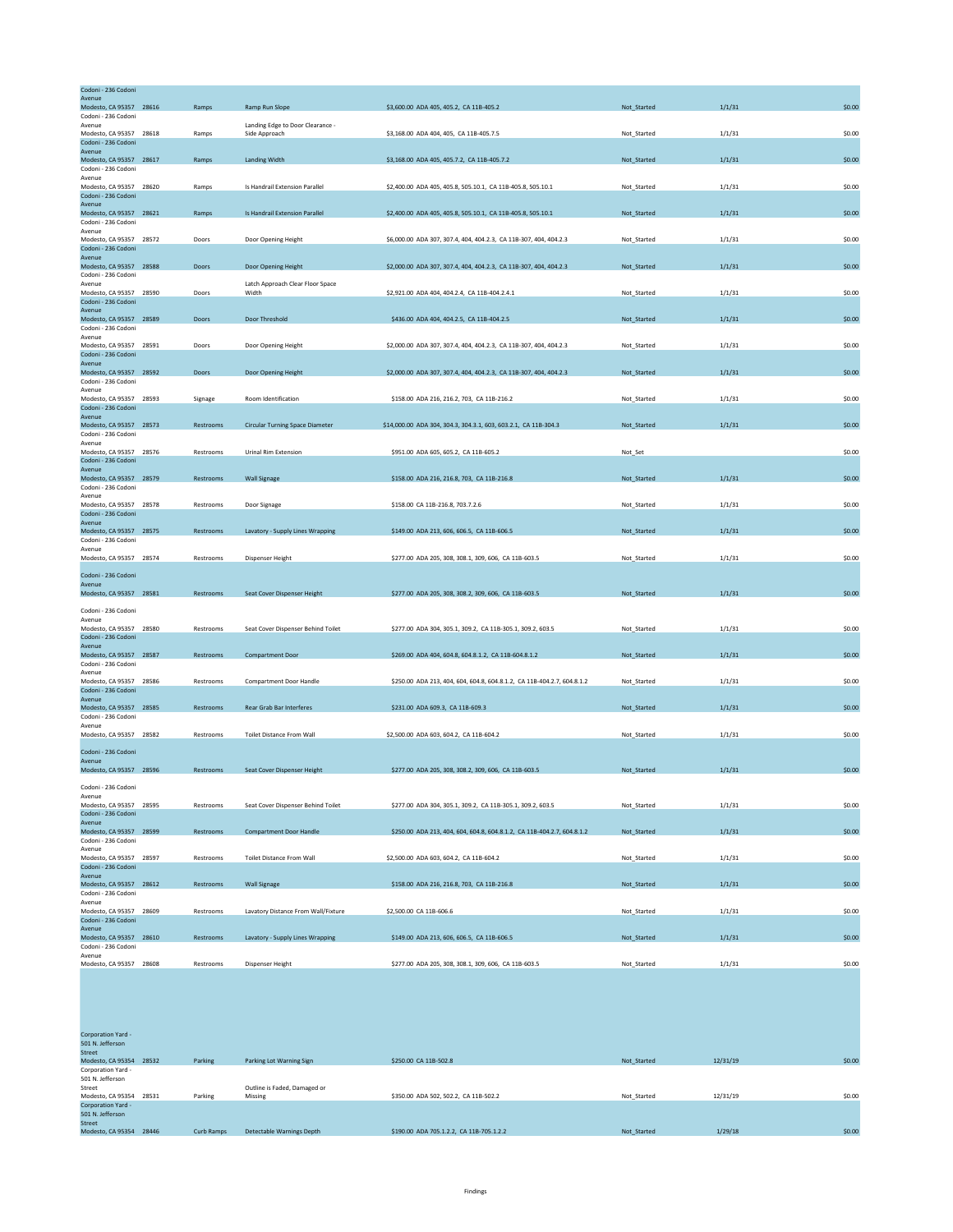| Codoni - 236 Codoni                            |           |                                                   |                                                                         |             |        |        |
|------------------------------------------------|-----------|---------------------------------------------------|-------------------------------------------------------------------------|-------------|--------|--------|
| Avenue<br>Modesto, CA 95357 28616              | Ramps     | Ramp Run Slope                                    | \$3,600.00 ADA 405, 405.2, CA 11B-405.2                                 | Not_Started | 1/1/31 | \$0.00 |
| Codoni - 236 Codoni                            |           |                                                   |                                                                         |             |        |        |
| Avenue<br>Modesto, CA 95357 28618              | Ramps     | Landing Edge to Door Clearance -<br>Side Approach | \$3,168.00 ADA 404, 405, CA 11B-405.7.5                                 | Not Started | 1/1/31 | \$0.00 |
| Codoni - 236 Codoni                            |           |                                                   |                                                                         |             |        |        |
| Avenue<br>Modesto, CA 95357 28617              | Ramps     | <b>Landing Width</b>                              | \$3,168.00 ADA 405, 405.7.2, CA 11B-405.7.2                             | Not_Started | 1/1/31 | \$0.00 |
| Codoni - 236 Codoni<br>Avenue                  |           |                                                   |                                                                         |             |        |        |
| Modesto, CA 95357 28620                        | Ramps     | Is Handrail Extension Parallel                    | \$2,400.00 ADA 405, 405.8, 505.10.1, CA 11B-405.8, 505.10.1             | Not_Started | 1/1/31 | \$0.00 |
| Codoni - 236 Codoni<br>Avenue                  |           |                                                   |                                                                         |             |        |        |
| Modesto, CA 95357 28621                        | Ramps     | Is Handrail Extension Parallel                    | \$2,400.00 ADA 405, 405.8, 505.10.1, CA 11B-405.8, 505.10.1             | Not Started | 1/1/31 | \$0.00 |
| Codoni - 236 Codoni<br>Avenue                  |           |                                                   |                                                                         |             |        |        |
| Modesto, CA 95357 28572                        | Doors     | Door Opening Height                               | \$6,000.00 ADA 307, 307.4, 404, 404.2.3, CA 11B-307, 404, 404.2.3       | Not_Started | 1/1/31 | \$0.00 |
| Codoni - 236 Codoni<br>Avenue                  |           |                                                   |                                                                         |             |        |        |
| Modesto, CA 95357 28588                        | Doors     | Door Opening Height                               | \$2,000.00 ADA 307, 307.4, 404, 404.2.3, CA 11B-307, 404, 404.2.3       | Not_Started | 1/1/31 | \$0.00 |
| Codoni - 236 Codoni<br>Avenue                  |           | Latch Approach Clear Floor Space                  |                                                                         |             |        |        |
| Modesto, CA 95357 28590                        | Doors     | Width                                             | \$2,921.00 ADA 404, 404.2.4, CA 11B-404.2.4.1                           | Not_Started | 1/1/31 | \$0.00 |
| Codoni - 236 Codoni<br>Avenue                  |           |                                                   |                                                                         |             |        |        |
| Modesto, CA 95357 28589                        | Doors     | Door Threshold                                    | \$436.00 ADA 404, 404.2.5, CA 11B-404.2.5                               | Not_Started | 1/1/31 | \$0.00 |
| Codoni - 236 Codoni<br>Avenue                  |           |                                                   |                                                                         |             |        |        |
| Modesto, CA 95357 28591                        | Doors     | Door Opening Height                               | \$2,000.00 ADA 307, 307.4, 404, 404.2.3, CA 11B-307, 404, 404.2.3       | Not_Started | 1/1/31 | \$0.00 |
| Codoni - 236 Codoni<br>Avenue                  |           |                                                   |                                                                         |             |        |        |
| Modesto, CA 95357 28592                        | Doors     | Door Opening Height                               | \$2,000.00 ADA 307, 307.4, 404, 404.2.3, CA 11B-307, 404, 404.2.3       | Not Started | 1/1/31 | \$0.00 |
| Codoni - 236 Codoni<br>Avenue                  |           |                                                   |                                                                         |             |        |        |
| Modesto, CA 95357 28593                        | Signage   | Room Identification                               | \$158.00 ADA 216, 216.2, 703, CA 11B-216.2                              | Not_Started | 1/1/31 | \$0.00 |
| Codoni - 236 Codoni<br>Avenue                  |           |                                                   |                                                                         |             |        |        |
| Modesto, CA 95357 28573                        | Restrooms | <b>Circular Turning Space Diameter</b>            | \$14,000.00 ADA 304, 304.3, 304.3.1, 603, 603.2.1, CA 11B-304.3         | Not_Started | 1/1/31 | \$0.00 |
| Codoni - 236 Codoni<br>Avenue                  |           |                                                   |                                                                         |             |        |        |
| Modesto, CA 95357 28576                        | Restrooms | Urinal Rim Extension                              | \$951.00 ADA 605, 605.2, CA 11B-605.2                                   | Not_Set     |        | \$0.00 |
| Codoni - 236 Codoni<br>Avenue                  |           |                                                   |                                                                         |             |        |        |
| Modesto, CA 95357 28579                        | Restrooms | <b>Wall Signage</b>                               | \$158.00 ADA 216, 216.8, 703, CA 11B-216.8                              | Not_Started | 1/1/31 | \$0.00 |
| Codoni - 236 Codoni<br>Avenue                  |           |                                                   |                                                                         |             |        |        |
| Modesto, CA 95357 28578<br>Codoni - 236 Codoni | Restrooms | Door Signage                                      | \$158.00 CA 11B-216.8, 703.7.2.6                                        | Not_Started | 1/1/31 | \$0.00 |
| Avenue                                         |           |                                                   |                                                                         |             |        |        |
| Modesto, CA 95357 28575<br>Codoni - 236 Codoni | Restrooms | Lavatory - Supply Lines Wrapping                  | \$149.00 ADA 213, 606, 606.5, CA 11B-606.5                              | Not_Started | 1/1/31 | \$0.00 |
| Avenue                                         |           |                                                   |                                                                         |             |        |        |
| Modesto, CA 95357 28574                        | Restrooms | Dispenser Height                                  | \$277.00 ADA 205, 308, 308.1, 309, 606, CA 11B-603.5                    | Not_Started | 1/1/31 | \$0.00 |
| Codoni - 236 Codoni                            |           |                                                   |                                                                         |             |        |        |
| Avenue<br>Modesto, CA 95357 28581              | Restrooms | Seat Cover Dispenser Height                       | \$277.00 ADA 205, 308, 308.2, 309, 606, CA 11B-603.5                    | Not_Started | 1/1/31 | \$0.00 |
|                                                |           |                                                   |                                                                         |             |        |        |
| Codoni - 236 Codoni<br>Avenue                  |           |                                                   |                                                                         |             |        |        |
| Modesto, CA 95357 28580                        | Restrooms | Seat Cover Dispenser Behind Toilet                | \$277.00 ADA 304, 305.1, 309.2, CA 11B-305.1, 309.2, 603.5              | Not_Started | 1/1/31 | \$0.00 |
| Codoni - 236 Codoni<br>Avenue                  |           |                                                   |                                                                         |             |        |        |
| Modesto, CA 95357 28587                        | Restrooms | <b>Compartment Door</b>                           | \$269.00 ADA 404, 604.8, 604.8.1.2, CA 11B-604.8.1.2                    | Not_Started | 1/1/31 | \$0.00 |
| Codoni - 236 Codoni<br>Avenue                  |           |                                                   |                                                                         |             |        |        |
| Modesto, CA 95357 28586                        | Restrooms | <b>Compartment Door Handle</b>                    | \$250.00 ADA 213, 404, 604, 604.8, 604.8.1.2, CA 11B-404.2.7, 604.8.1.2 | Not_Started | 1/1/31 | \$0.00 |
| Codoni - 236 Codoni<br>Avenue                  |           |                                                   |                                                                         |             |        |        |
| Modesto, CA 95357 28585<br>Codoni - 236 Codoni | Restrooms | Rear Grab Bar Interferes                          | \$231.00 ADA 609.3, CA 11B-609.3                                        | Not Started | 1/1/31 | \$0.00 |
| Avenue                                         |           |                                                   |                                                                         |             |        |        |
| Modesto, CA 95357 28582                        | Restrooms | <b>Toilet Distance From Wall</b>                  | \$2,500.00 ADA 603, 604.2, CA 11B-604.2                                 | Not_Started | 1/1/31 | \$0.00 |
| Codoni - 236 Codoni                            |           |                                                   |                                                                         |             |        |        |
| Avenue<br>Modesto, CA 95357 28596              | Restrooms | Seat Cover Dispenser Height                       | \$277.00 ADA 205, 308, 308.2, 309, 606, CA 11B-603.5                    | Not_Started | 1/1/31 | \$0.00 |
|                                                |           |                                                   |                                                                         |             |        |        |
| Codoni - 236 Codoni<br>Avenue                  |           |                                                   |                                                                         |             |        |        |
| Modesto, CA 95357 28595                        | Restrooms | Seat Cover Dispenser Behind Toilet                | \$277.00 ADA 304, 305.1, 309.2, CA 11B-305.1, 309.2, 603.5              | Not Started | 1/1/31 | \$0.00 |
| Codoni - 236 Codoni<br>Avenue                  |           |                                                   |                                                                         |             |        |        |
| Modesto, CA 95357 28599                        | Restrooms | <b>Compartment Door Handle</b>                    | \$250.00 ADA 213, 404, 604, 604.8, 604.8.1.2, CA 11B-404.2.7, 604.8.1.2 | Not_Started | 1/1/31 | \$0.00 |
| Codoni - 236 Codoni<br>Avenue                  |           |                                                   |                                                                         |             |        |        |
| Modesto, CA 95357 28597                        | Restrooms | <b>Toilet Distance From Wall</b>                  | \$2,500.00 ADA 603, 604.2, CA 11B-604.2                                 | Not_Started | 1/1/31 | \$0.00 |
| Codoni - 236 Codoni<br>Avenue                  |           |                                                   |                                                                         |             |        |        |
| Modesto, CA 95357 28612                        | Restrooms | <b>Wall Signage</b>                               | \$158.00 ADA 216, 216.8, 703, CA 11B-216.8                              | Not Started | 1/1/31 | \$0.00 |
| Codoni - 236 Codoni<br>Avenue                  |           |                                                   |                                                                         |             |        |        |
| Modesto, CA 95357 28609                        | Restrooms | Lavatory Distance From Wall/Fixture               | \$2,500.00 CA 11B-606.6                                                 | Not_Started | 1/1/31 | \$0.00 |
| Codoni - 236 Codoni<br>Avenue                  |           |                                                   |                                                                         |             |        |        |
| Modesto, CA 95357 28610                        | Restrooms | Lavatory - Supply Lines Wrapping                  | \$149.00 ADA 213, 606, 606.5, CA 11B-606.5                              | Not_Started | 1/1/31 | \$0.00 |
| Codoni - 236 Codoni<br>Avenue                  |           |                                                   |                                                                         |             |        |        |
| Modesto, CA 95357 28608                        | Restrooms | Dispenser Height                                  | \$277.00 ADA 205, 308, 308.1, 309, 606, CA 11B-603.5                    | Not_Started | 1/1/31 | \$0.00 |

| Corporation Yard -      |            |                              |                                          |             |          |        |
|-------------------------|------------|------------------------------|------------------------------------------|-------------|----------|--------|
| 501 N. Jefferson        |            |                              |                                          |             |          |        |
| <b>Street</b>           |            |                              |                                          |             |          |        |
| Modesto, CA 95354 28532 | Parking    | Parking Lot Warning Sign     | \$250.00 CA 11B-502.8                    | Not Started | 12/31/19 | \$0.00 |
| Corporation Yard -      |            |                              |                                          |             |          |        |
| 501 N. Jefferson        |            |                              |                                          |             |          |        |
| Street                  |            | Outline is Faded, Damaged or |                                          |             |          |        |
| Modesto, CA 95354 28531 | Parking    | Missing                      | \$350.00 ADA 502, 502.2, CA 11B-502.2    | Not Started | 12/31/19 | \$0.00 |
| Corporation Yard -      |            |                              |                                          |             |          |        |
| 501 N. Jefferson        |            |                              |                                          |             |          |        |
| <b>Street</b>           |            |                              |                                          |             |          |        |
| Modesto, CA 95354 28446 | Curb Ramps | Detectable Warnings Depth    | \$190.00 ADA 705.1.2.2, CA 11B-705.1.2.2 | Not Started | 1/29/18  | \$0.00 |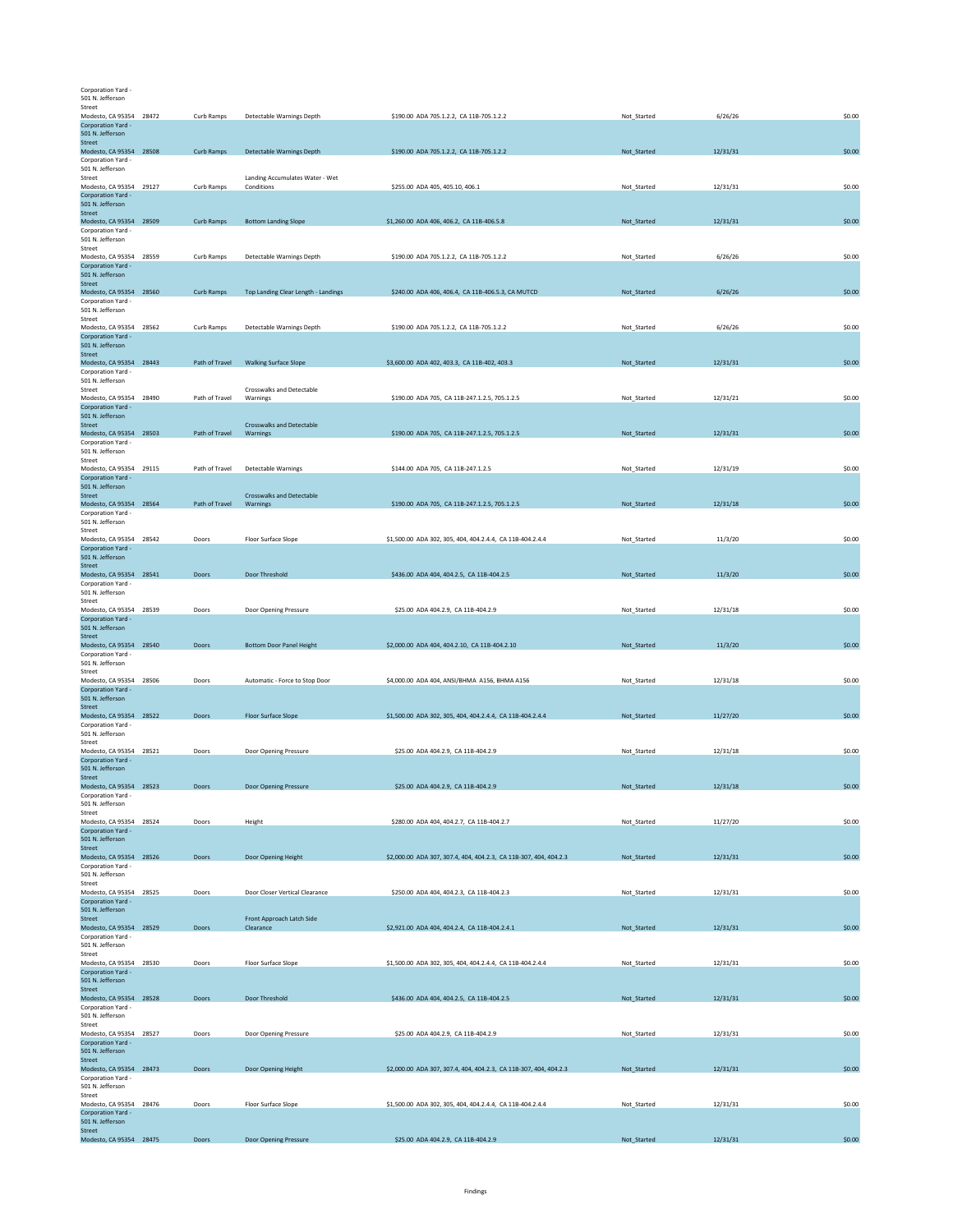Corporation Yard - 501 N. Jefferson

| Street                                        |                |                                              |                                                                   |             |          |        |
|-----------------------------------------------|----------------|----------------------------------------------|-------------------------------------------------------------------|-------------|----------|--------|
| Modesto, CA 95354 28472                       | Curb Ramps     | Detectable Warnings Depth                    | \$190.00 ADA 705.1.2.2, CA 11B-705.1.2.2                          | Not Started | 6/26/26  | \$0.00 |
| Corporation Yard -<br>501 N. Jefferson        |                |                                              |                                                                   |             |          |        |
| Street                                        |                |                                              |                                                                   |             |          |        |
| Modesto, CA 95354 28508                       | Curb Ramps     | <b>Detectable Warnings Depth</b>             | \$190.00 ADA 705.1.2.2, CA 11B-705.1.2.2                          | Not_Started | 12/31/31 | \$0.00 |
| Corporation Yard -<br>501 N. Jefferson        |                |                                              |                                                                   |             |          |        |
| Street                                        |                | Landing Accumulates Water - Wet              |                                                                   |             |          |        |
| Modesto, CA 95354 29127<br>Corporation Yard - | Curb Ramps     | Conditions                                   | \$255.00 ADA 405, 405.10, 406.1                                   | Not_Started | 12/31/31 | \$0.00 |
| 501 N. Jefferson                              |                |                                              |                                                                   |             |          |        |
| Street                                        |                |                                              |                                                                   |             |          |        |
| Modesto, CA 95354 28509<br>Corporation Yard - | Curb Ramps     | <b>Bottom Landing Slope</b>                  | \$1,260.00 ADA 406, 406.2, CA 11B-406.5.8                         | Not_Started | 12/31/31 | \$0.00 |
| 501 N. Jefferson                              |                |                                              |                                                                   |             |          |        |
| Street                                        |                |                                              |                                                                   |             |          |        |
| Modesto, CA 95354 28559<br>Corporation Yard - | Curb Ramps     | Detectable Warnings Depth                    | \$190.00 ADA 705.1.2.2, CA 11B-705.1.2.2                          | Not_Started | 6/26/26  | \$0.00 |
| 501 N. Jefferson                              |                |                                              |                                                                   |             |          |        |
| Street                                        |                |                                              |                                                                   |             |          |        |
| Modesto, CA 95354 28560<br>Corporation Yard - | Curb Ramps     | Top Landing Clear Length - Landings          | \$240.00 ADA 406, 406.4, CA 11B-406.5.3, CA MUTCD                 | Not_Started | 6/26/26  | \$0.00 |
| 501 N. Jefferson                              |                |                                              |                                                                   |             |          |        |
| Street                                        |                |                                              |                                                                   |             |          |        |
| Modesto, CA 95354 28562<br>Corporation Yard - | Curb Ramps     | Detectable Warnings Depth                    | \$190.00 ADA 705.1.2.2, CA 11B-705.1.2.2                          | Not_Started | 6/26/26  | \$0.00 |
| 501 N. Jefferson                              |                |                                              |                                                                   |             |          |        |
| Street<br>Modesto, CA 95354 28443             |                | <b>Walking Surface Slope</b>                 | \$3,600.00 ADA 402, 403.3, CA 11B-402, 403.3                      | Not_Started |          | \$0.00 |
| Corporation Yard -                            | Path of Travel |                                              |                                                                   |             | 12/31/31 |        |
| 501 N. Jefferson                              |                |                                              |                                                                   |             |          |        |
| Street<br>Modesto, CA 95354 28490             | Path of Travel | Crosswalks and Detectable<br>Warnings        | \$190.00 ADA 705, CA 11B-247.1.2.5, 705.1.2.5                     | Not Started | 12/31/21 | \$0.00 |
| Corporation Yard -                            |                |                                              |                                                                   |             |          |        |
| 501 N. Jefferson                              |                |                                              |                                                                   |             |          |        |
| Street<br>Modesto, CA 95354 28503             | Path of Travel | <b>Crosswalks and Detectable</b><br>Warnings | \$190.00 ADA 705, CA 11B-247.1.2.5, 705.1.2.5                     | Not_Started | 12/31/31 | \$0.00 |
| Corporation Yard -                            |                |                                              |                                                                   |             |          |        |
| 501 N. Jefferson                              |                |                                              |                                                                   |             |          |        |
| Street<br>Modesto, CA 95354 29115             | Path of Travel | Detectable Warnings                          | \$144.00 ADA 705, CA 11B-247.1.2.5                                | Not_Started | 12/31/19 | \$0.00 |
| Corporation Yard -                            |                |                                              |                                                                   |             |          |        |
| 501 N. Jefferson<br>Street                    |                | <b>Crosswalks and Detectable</b>             |                                                                   |             |          |        |
| Modesto, CA 95354 28564                       | Path of Travel | Warnings                                     | \$190.00 ADA 705, CA 11B-247.1.2.5, 705.1.2.5                     | Not_Started | 12/31/18 | \$0.00 |
| Corporation Yard -                            |                |                                              |                                                                   |             |          |        |
| 501 N. Jefferson<br>Street                    |                |                                              |                                                                   |             |          |        |
| Modesto, CA 95354 28542                       | Doors          | Floor Surface Slope                          | \$1,500.00 ADA 302, 305, 404, 404.2.4.4, CA 11B-404.2.4.4         | Not_Started | 11/3/20  | \$0.00 |
| Corporation Yard -                            |                |                                              |                                                                   |             |          |        |
| 501 N. Jefferson<br>Street                    |                |                                              |                                                                   |             |          |        |
| Modesto, CA 95354 28541                       | Doors          | Door Threshold                               | \$436.00 ADA 404, 404.2.5, CA 11B-404.2.5                         | Not_Started | 11/3/20  | \$0.00 |
| Corporation Yard -                            |                |                                              |                                                                   |             |          |        |
| 501 N. Jefferson<br>Street                    |                |                                              |                                                                   |             |          |        |
| Modesto, CA 95354 28539                       | Doors          | Door Opening Pressure                        | \$25.00 ADA 404.2.9, CA 11B-404.2.9                               | Not_Started | 12/31/18 | \$0.00 |
| Corporation Yard -<br>501 N. Jefferson        |                |                                              |                                                                   |             |          |        |
| Street                                        |                |                                              |                                                                   |             |          |        |
| Modesto, CA 95354 28540                       | Doors          | <b>Bottom Door Panel Height</b>              | \$2,000.00 ADA 404, 404.2.10, CA 11B-404.2.10                     | Not_Started | 11/3/20  | \$0.00 |
| Corporation Yard -<br>501 N. Jefferson        |                |                                              |                                                                   |             |          |        |
| Street                                        |                |                                              |                                                                   |             |          |        |
| Modesto, CA 95354 28506                       | Doors          | Automatic - Force to Stop Door               | \$4,000.00 ADA 404, ANSI/BHMA A156, BHMA A156                     | Not_Started | 12/31/18 | \$0.00 |
| Corporation Yard -<br>501 N. Jefferson        |                |                                              |                                                                   |             |          |        |
| <b>Street</b>                                 |                |                                              |                                                                   |             |          |        |
| Modesto, CA 95354 28522                       | Doors          | <b>Floor Surface Slope</b>                   | \$1,500.00 ADA 302, 305, 404, 404.2.4.4, CA 11B-404.2.4.4         | Not_Started | 11/27/20 | \$0.00 |
| Corporation Yard -<br>501 N. Jefferson        |                |                                              |                                                                   |             |          |        |
| Street                                        |                |                                              |                                                                   |             |          |        |
| Modesto, CA 95354 28521<br>Corporation Yard - | Doors          | Door Opening Pressure                        | \$25.00 ADA 404.2.9, CA 11B-404.2.9                               | Not_Started | 12/31/18 | \$0.00 |
| 501 N. Jefferson                              |                |                                              |                                                                   |             |          |        |
| <b>Street</b>                                 |                |                                              |                                                                   |             |          |        |
| Modesto, CA 95354 28523<br>Corporation Yard - | Doors          | Door Opening Pressure                        | \$25.00 ADA 404.2.9, CA 11B-404.2.9                               | Not_Started | 12/31/18 | \$0.00 |
| 501 N. Jefferson                              |                |                                              |                                                                   |             |          |        |
| Street                                        |                |                                              |                                                                   |             |          |        |
| Modesto, CA 95354 28524<br>Corporation Yard - | Doors          | Height                                       | \$280.00 ADA 404, 404.2.7, CA 11B-404.2.7                         | Not_Started | 11/27/20 | \$0.00 |
| 501 N. Jefferson                              |                |                                              |                                                                   |             |          |        |
| Street                                        | Doors          |                                              |                                                                   |             |          | \$0.00 |
| Modesto, CA 95354 28526<br>Corporation Yard - |                | Door Opening Height                          | \$2,000.00 ADA 307, 307.4, 404, 404.2.3, CA 11B-307, 404, 404.2.3 | Not_Started | 12/31/31 |        |
| 501 N. Jefferson                              |                |                                              |                                                                   |             |          |        |
| Street<br>Modesto, CA 95354 28525             | Doors          | Door Closer Vertical Clearance               | \$250.00 ADA 404, 404.2.3, CA 11B-404.2.3                         | Not_Started | 12/31/31 | \$0.00 |
| Corporation Yard -                            |                |                                              |                                                                   |             |          |        |
| 501 N. Jefferson                              |                |                                              |                                                                   |             |          |        |
| Street<br>Modesto, CA 95354 28529             | Doors          | Front Approach Latch Side<br>Clearance       | \$2,921.00 ADA 404, 404.2.4, CA 11B-404.2.4.1                     | Not_Started | 12/31/31 | \$0.00 |
| Corporation Yard -                            |                |                                              |                                                                   |             |          |        |
| 501 N. Jefferson                              |                |                                              |                                                                   |             |          |        |
| Street<br>Modesto, CA 95354 28530             | Doors          | Floor Surface Slope                          | \$1,500.00 ADA 302, 305, 404, 404.2.4.4, CA 11B-404.2.4.4         | Not_Started | 12/31/31 | \$0.00 |
| Corporation Yard -                            |                |                                              |                                                                   |             |          |        |
| 501 N. Jefferson                              |                |                                              |                                                                   |             |          |        |
| Street<br>Modesto, CA 95354 28528             | Doors          | Door Threshold                               | \$436.00 ADA 404, 404.2.5, CA 11B-404.2.5                         | Not_Started | 12/31/31 | \$0.00 |
| Corporation Yard -                            |                |                                              |                                                                   |             |          |        |
| 501 N. Jefferson<br>Street                    |                |                                              |                                                                   |             |          |        |
| Modesto, CA 95354 28527                       | Doors          | Door Opening Pressure                        | \$25.00 ADA 404.2.9, CA 11B-404.2.9                               | Not_Started | 12/31/31 | \$0.00 |
| Corporation Yard -                            |                |                                              |                                                                   |             |          |        |
| 501 N. Jefferson<br>Street                    |                |                                              |                                                                   |             |          |        |
| Modesto, CA 95354 28473                       | Doors          | Door Opening Height                          | \$2,000.00 ADA 307, 307.4, 404, 404.2.3, CA 11B-307, 404, 404.2.3 | Not_Started | 12/31/31 | \$0.00 |
| Corporation Yard -                            |                |                                              |                                                                   |             |          |        |
| 501 N. Jefferson<br>Street                    |                |                                              |                                                                   |             |          |        |
| Modesto, CA 95354 28476                       | Doors          | Floor Surface Slope                          | \$1,500.00 ADA 302, 305, 404, 404.2.4.4, CA 11B-404.2.4.4         | Not_Started | 12/31/31 | \$0.00 |
| Corporation Yard -<br>501 N. Jefferson        |                |                                              |                                                                   |             |          |        |
|                                               |                |                                              |                                                                   |             |          |        |
| Street<br>Modesto, CA 95354 28475             | Doors          | Door Opening Pressure                        | \$25.00 ADA 404.2.9, CA 11B-404.2.9                               | Not_Started | 12/31/31 | \$0.00 |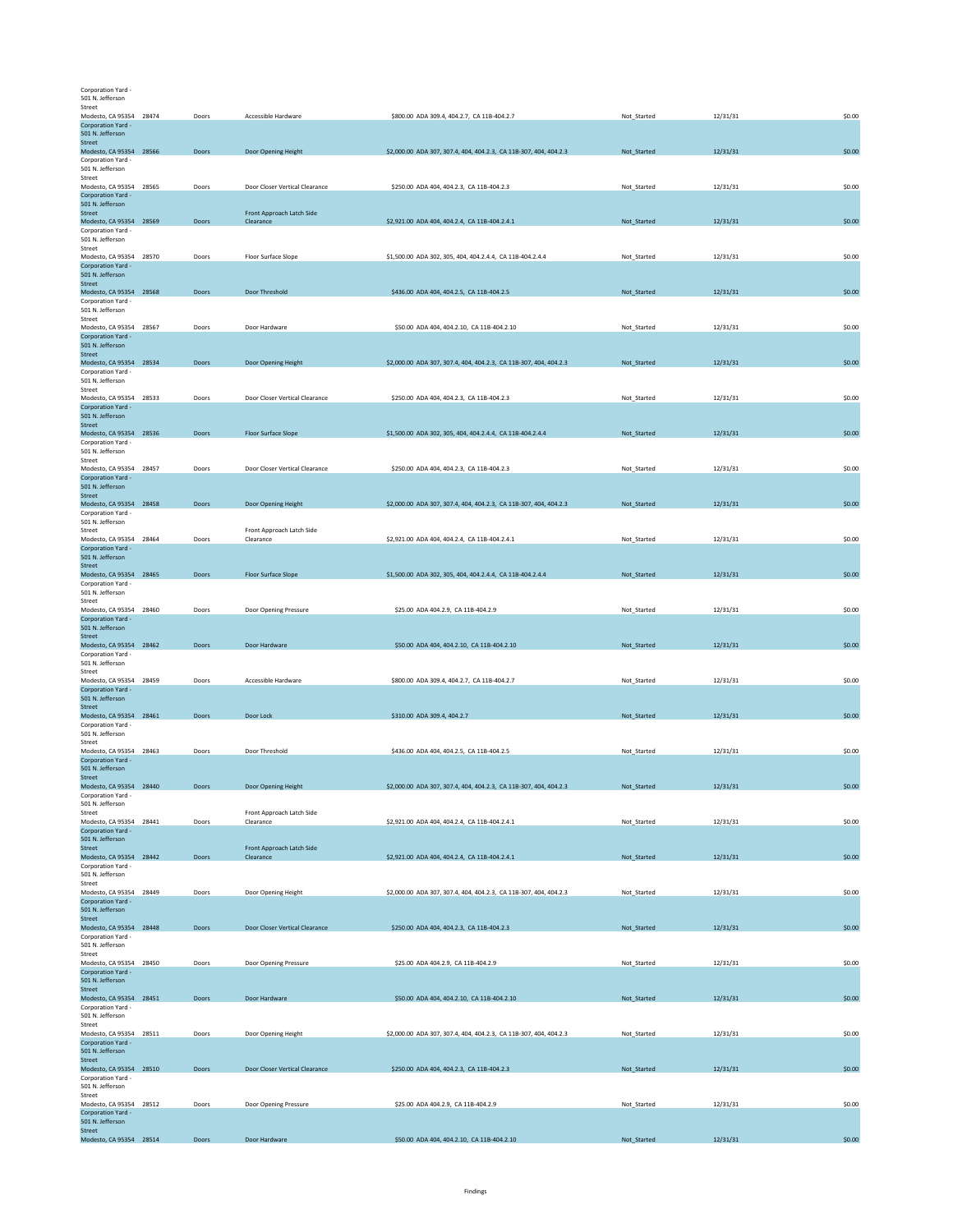Corporation Yard - 501 N. Jefferson

| Modesto, CA 95354 28474                       | Doors | Accessible Hardware                    | \$800.00 ADA 309.4, 404.2.7, CA 11B-404.2.7                       | Not Started | 12/31/31 | \$0.00 |
|-----------------------------------------------|-------|----------------------------------------|-------------------------------------------------------------------|-------------|----------|--------|
| Corporation Yard -                            |       |                                        |                                                                   |             |          |        |
| 501 N. Jefferson<br>Street                    |       |                                        |                                                                   |             |          |        |
| Modesto, CA 95354 28566                       | Doors | Door Opening Height                    | \$2,000.00 ADA 307, 307.4, 404, 404.2.3, CA 11B-307, 404, 404.2.3 | Not_Started | 12/31/31 | \$0.00 |
| Corporation Yard -                            |       |                                        |                                                                   |             |          |        |
| 501 N. Jefferson<br>Street                    |       |                                        |                                                                   |             |          |        |
| Modesto, CA 95354 28565                       | Doors | Door Closer Vertical Clearance         | \$250.00 ADA 404, 404.2.3, CA 11B-404.2.3                         | Not_Started | 12/31/31 | \$0.00 |
| Corporation Yard -                            |       |                                        |                                                                   |             |          |        |
| 501 N. Jefferson                              |       |                                        |                                                                   |             |          |        |
| Street<br>Modesto, CA 95354 28569             | Doors | Front Approach Latch Side<br>Clearance | \$2,921.00 ADA 404, 404.2.4, CA 11B-404.2.4.1                     | Not Started | 12/31/31 | \$0.00 |
| Corporation Yard -                            |       |                                        |                                                                   |             |          |        |
| 501 N. Jefferson                              |       |                                        |                                                                   |             |          |        |
| Street                                        |       |                                        |                                                                   | Not Started |          |        |
| Modesto, CA 95354 28570<br>Corporation Yard - | Doors | Floor Surface Slope                    | \$1,500.00 ADA 302, 305, 404, 404.2.4.4, CA 11B-404.2.4.4         |             | 12/31/31 | \$0.00 |
| 501 N. Jefferson                              |       |                                        |                                                                   |             |          |        |
| Street                                        |       |                                        |                                                                   |             |          |        |
| Modesto, CA 95354 28568<br>Corporation Yard - | Doors | Door Threshold                         | \$436.00 ADA 404, 404.2.5, CA 11B-404.2.5                         | Not_Started | 12/31/31 | \$0.00 |
| 501 N. Jefferson                              |       |                                        |                                                                   |             |          |        |
| Street                                        |       |                                        |                                                                   |             |          |        |
| Modesto, CA 95354 28567                       | Doors | Door Hardware                          | \$50.00 ADA 404, 404.2.10, CA 11B-404.2.10                        | Not_Started | 12/31/31 | \$0.00 |
| Corporation Yard -<br>501 N. Jefferson        |       |                                        |                                                                   |             |          |        |
| Street                                        |       |                                        |                                                                   |             |          |        |
| Modesto, CA 95354 28534                       | Doors | Door Opening Height                    | \$2,000.00 ADA 307, 307.4, 404, 404.2.3, CA 11B-307, 404, 404.2.3 | Not_Started | 12/31/31 | \$0.00 |
| Corporation Yard -<br>501 N. Jefferson        |       |                                        |                                                                   |             |          |        |
| Street                                        |       |                                        |                                                                   |             |          |        |
| Modesto, CA 95354 28533                       | Doors | Door Closer Vertical Clearance         | \$250.00 ADA 404, 404.2.3, CA 11B-404.2.3                         | Not Started | 12/31/31 | \$0.00 |
| Corporation Yard -                            |       |                                        |                                                                   |             |          |        |
| 501 N. Jefferson<br>Street                    |       |                                        |                                                                   |             |          |        |
| Modesto, CA 95354 28536                       | Doors | <b>Floor Surface Slope</b>             | \$1,500.00 ADA 302, 305, 404, 404.2.4.4, CA 11B-404.2.4.4         | Not_Started | 12/31/31 | \$0.00 |
| Corporation Yard -                            |       |                                        |                                                                   |             |          |        |
| 501 N. Jefferson<br>Street                    |       |                                        |                                                                   |             |          |        |
| Modesto, CA 95354 28457                       | Doors | Door Closer Vertical Clearance         | \$250.00 ADA 404, 404.2.3, CA 11B-404.2.3                         | Not Started | 12/31/31 | \$0.00 |
| Corporation Yard -                            |       |                                        |                                                                   |             |          |        |
| 501 N. Jefferson                              |       |                                        |                                                                   |             |          |        |
| Street<br>Modesto, CA 95354 28458             | Doors | Door Opening Height                    | \$2,000.00 ADA 307, 307.4, 404, 404.2.3, CA 11B-307, 404, 404.2.3 | Not_Started | 12/31/31 | \$0.00 |
| Corporation Yard -                            |       |                                        |                                                                   |             |          |        |
| 501 N. Jefferson                              |       |                                        |                                                                   |             |          |        |
| Street                                        |       | Front Approach Latch Side              |                                                                   |             |          |        |
| Modesto, CA 95354 28464<br>Corporation Yard - | Doors | Clearance                              | \$2,921.00 ADA 404, 404.2.4, CA 11B-404.2.4.1                     | Not_Started | 12/31/31 | \$0.00 |
| 501 N. Jefferson                              |       |                                        |                                                                   |             |          |        |
| Street                                        |       |                                        |                                                                   |             |          |        |
| Modesto, CA 95354 28465                       | Doors | Floor Surface Slope                    | \$1,500.00 ADA 302, 305, 404, 404.2.4.4, CA 11B-404.2.4.4         | Not_Started | 12/31/31 | \$0.00 |
| Corporation Yard -<br>501 N. Jefferson        |       |                                        |                                                                   |             |          |        |
| Street                                        |       |                                        |                                                                   |             |          |        |
| Modesto, CA 95354 28460                       | Doors | Door Opening Pressure                  | \$25.00 ADA 404.2.9, CA 11B-404.2.9                               | Not_Started | 12/31/31 | \$0.00 |
| Corporation Yard -                            |       |                                        |                                                                   |             |          |        |
|                                               |       |                                        |                                                                   |             |          |        |
| 501 N. Jefferson<br>Street                    |       |                                        |                                                                   |             |          |        |
| Modesto, CA 95354 28462                       | Doors | Door Hardware                          | \$50.00 ADA 404, 404.2.10, CA 11B-404.2.10                        | Not_Started | 12/31/31 | \$0.00 |
| Corporation Yard -                            |       |                                        |                                                                   |             |          |        |
| 501 N. Jefferson                              |       |                                        |                                                                   |             |          |        |
| Street                                        | Doors | Accessible Hardware                    |                                                                   |             |          |        |
| Modesto, CA 95354 28459<br>Corporation Yard - |       |                                        | \$800.00 ADA 309.4, 404.2.7, CA 11B-404.2.7                       | Not_Started | 12/31/31 | \$0.00 |
| 501 N. Jefferson                              |       |                                        |                                                                   |             |          |        |
| Street                                        |       |                                        |                                                                   |             |          |        |
| Modesto, CA 95354 28461<br>Corporation Yard - | Doors | Door Lock                              | \$310.00 ADA 309.4, 404.2.7                                       | Not_Started | 12/31/31 | \$0.00 |
| 501 N. Jefferson                              |       |                                        |                                                                   |             |          |        |
| Street                                        |       |                                        |                                                                   |             |          |        |
| Modesto, CA 95354 28463                       | Doors | Door Threshold                         | \$436.00 ADA 404, 404.2.5, CA 11B-404.2.5                         | Not_Started | 12/31/31 | \$0.00 |
| Corporation Yard -<br>501 N. Jefferson        |       |                                        |                                                                   |             |          |        |
| <b>Street</b>                                 |       |                                        |                                                                   |             |          |        |
| Modesto, CA 95354 28440                       | Doors | Door Opening Height                    | \$2,000.00 ADA 307, 307.4, 404, 404.2.3, CA 11B-307, 404, 404.2.3 | Not_Started | 12/31/31 | \$0.00 |
| Corporation Yard -                            |       |                                        |                                                                   |             |          |        |
| 501 N. Jefferson<br>Street                    |       | Front Approach Latch Side              |                                                                   |             |          |        |
| Modesto, CA 95354 28441                       | Doors | Clearance                              | \$2,921.00 ADA 404, 404.2.4, CA 11B-404.2.4.1                     | Not Started | 12/31/31 | \$0.00 |
| Corporation Yard -                            |       |                                        |                                                                   |             |          |        |
| 501 N. Jefferson<br>Street                    |       | Front Approach Latch Side              |                                                                   |             |          |        |
| Modesto, CA 95354 28442                       | Doors | Clearance                              | \$2,921.00 ADA 404, 404.2.4, CA 11B-404.2.4.1                     | Not_Started | 12/31/31 | \$0.00 |
| Corporation Yard -                            |       |                                        |                                                                   |             |          |        |
| 501 N. Jefferson                              |       |                                        |                                                                   |             |          |        |
| Street<br>Modesto, CA 95354 28449             | Doors | Door Opening Height                    | \$2,000.00 ADA 307, 307.4, 404, 404.2.3, CA 11B-307, 404, 404.2.3 | Not_Started | 12/31/31 | \$0.00 |
| Corporation Yard -                            |       |                                        |                                                                   |             |          |        |
| 501 N. Jefferson                              |       |                                        |                                                                   |             |          |        |
| Street                                        |       |                                        |                                                                   |             |          |        |
| Modesto, CA 95354 28448<br>Corporation Yard - | Doors | Door Closer Vertical Clearance         | \$250.00 ADA 404, 404.2.3, CA 11B-404.2.3                         | Not Started | 12/31/31 | \$0.00 |
| 501 N. Jefferson                              |       |                                        |                                                                   |             |          |        |
| Street                                        |       |                                        |                                                                   |             |          |        |
| Modesto, CA 95354 28450                       | Doors | Door Opening Pressure                  | \$25.00 ADA 404.2.9, CA 11B-404.2.9                               | Not_Started | 12/31/31 | \$0.00 |
| Corporation Yard -<br>501 N. Jefferson        |       |                                        |                                                                   |             |          |        |
| Street                                        |       |                                        |                                                                   |             |          |        |
| Modesto, CA 95354 28451                       | Doors | Door Hardware                          | \$50.00 ADA 404, 404.2.10, CA 11B-404.2.10                        | Not_Started | 12/31/31 | \$0.00 |
| Corporation Yard -                            |       |                                        |                                                                   |             |          |        |
| 501 N. Jefferson<br>Street                    |       |                                        |                                                                   |             |          |        |
| Modesto, CA 95354 28511                       | Doors | Door Opening Height                    | \$2,000.00 ADA 307, 307.4, 404, 404.2.3, CA 11B-307, 404, 404.2.3 | Not_Started | 12/31/31 | \$0.00 |
| Corporation Yard -                            |       |                                        |                                                                   |             |          |        |
| 501 N. Jefferson                              |       |                                        |                                                                   |             |          |        |
| Street<br>Modesto, CA 95354 28510             | Doors | Door Closer Vertical Clearance         | \$250.00 ADA 404, 404.2.3, CA 11B-404.2.3                         | Not_Started | 12/31/31 | \$0.00 |
| Corporation Yard -                            |       |                                        |                                                                   |             |          |        |
| 501 N. Jefferson                              |       |                                        |                                                                   |             |          |        |
| Street                                        | Doors |                                        | \$25.00 ADA 404.2.9, CA 11B-404.2.9                               |             | 12/31/31 | \$0.00 |
| Modesto, CA 95354 28512<br>Corporation Yard - |       | Door Opening Pressure                  |                                                                   | Not_Started |          |        |
| 501 N. Jefferson<br>Street                    |       |                                        |                                                                   |             |          |        |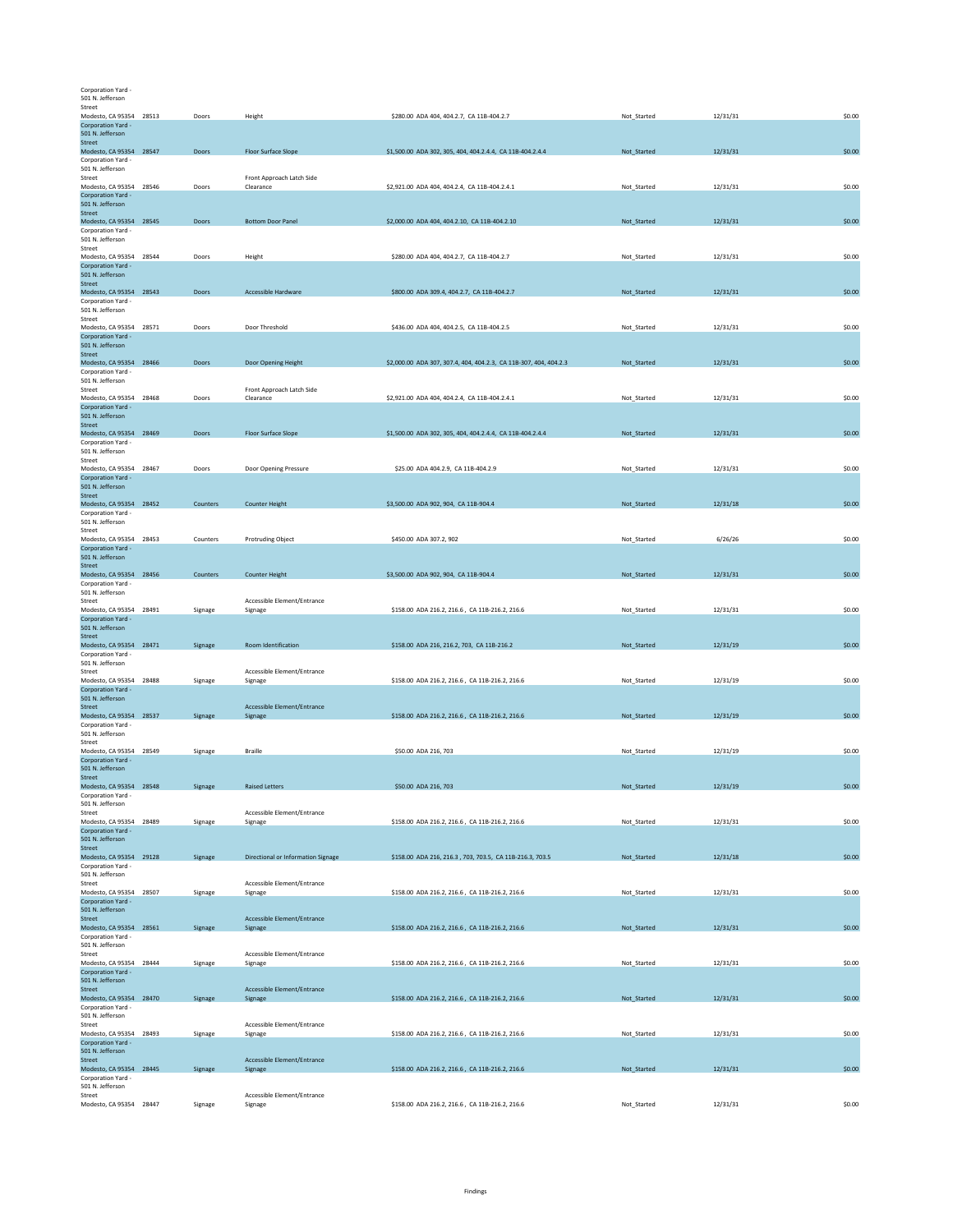Corporation Yard - 501 N. Jefferson

| Street<br>Modesto, CA 95354 28513<br>Corporation Yard -                                                | Doors    | Height                                 | \$280.00 ADA 404, 404.2.7, CA 11B-404.2.7                         | Not_Started | 12/31/31 | \$0.00 |
|--------------------------------------------------------------------------------------------------------|----------|----------------------------------------|-------------------------------------------------------------------|-------------|----------|--------|
| 501 N. Jefferson<br>Street<br>Modesto, CA 95354 28547<br>Corporation Yard -                            | Doors    | <b>Floor Surface Slope</b>             | \$1,500.00 ADA 302, 305, 404, 404.2.4.4, CA 11B-404.2.4.4         | Not_Started | 12/31/31 | \$0.00 |
| 501 N. Jefferson<br>Street<br>Modesto, CA 95354 28546                                                  | Doors    | Front Approach Latch Side<br>Clearance | \$2,921.00 ADA 404, 404.2.4, CA 11B-404.2.4.1                     | Not Started | 12/31/31 | \$0.00 |
| Corporation Yard -<br>501 N. Jefferson<br>Street                                                       |          |                                        |                                                                   |             |          |        |
| Modesto, CA 95354 28545<br>Corporation Yard -<br>501 N. Jefferson                                      | Doors    | <b>Bottom Door Panel</b>               | \$2,000.00 ADA 404, 404.2.10, CA 11B-404.2.10                     | Not_Started | 12/31/31 | \$0.00 |
| Street<br>Modesto, CA 95354 28544<br>Corporation Yard -<br>501 N. Jefferson                            | Doors    | Height                                 | \$280.00 ADA 404, 404.2.7, CA 11B-404.2.7                         | Not_Started | 12/31/31 | \$0.00 |
| Street<br>Modesto, CA 95354 28543<br>Corporation Yard -                                                | Doors    | Accessible Hardware                    | \$800.00 ADA 309.4, 404.2.7, CA 11B-404.2.7                       | Not_Started | 12/31/31 | \$0.00 |
| 501 N. Jefferson<br>Street<br>Modesto, CA 95354 28571                                                  | Doors    | Door Threshold                         | \$436.00 ADA 404, 404.2.5, CA 11B-404.2.5                         | Not_Started | 12/31/31 | \$0.00 |
| Corporation Yard -<br>501 N. Jefferson<br>Street                                                       |          |                                        |                                                                   |             |          |        |
| Modesto, CA 95354 28466<br>Corporation Yard -<br>501 N. Jefferson                                      | Doors    | Door Opening Height                    | \$2,000.00 ADA 307, 307.4, 404, 404.2.3, CA 11B-307, 404, 404.2.3 | Not_Started | 12/31/31 | \$0.00 |
| Street<br>Modesto, CA 95354 28468<br>Corporation Yard -<br>501 N. Jefferson                            | Doors    | Front Approach Latch Side<br>Clearance | \$2,921.00 ADA 404, 404.2.4, CA 11B-404.2.4.1                     | Not_Started | 12/31/31 | \$0.00 |
| <b>Street</b><br>Modesto, CA 95354 28469<br>Corporation Yard -                                         | Doors    | <b>Floor Surface Slope</b>             | \$1,500.00 ADA 302, 305, 404, 404.2.4.4, CA 11B-404.2.4.4         | Not_Started | 12/31/31 | \$0.00 |
| 501 N. Jefferson<br>Street<br>Modesto, CA 95354 28467                                                  | Doors    | Door Opening Pressure                  | \$25.00 ADA 404.2.9, CA 11B-404.2.9                               | Not Started | 12/31/31 | \$0.00 |
| Corporation Yard -<br>501 N. Jefferson<br><b>Street</b>                                                |          |                                        |                                                                   |             |          |        |
| Modesto, CA 95354 28452<br>Corporation Yard -<br>501 N. Jefferson                                      | Counters | <b>Counter Height</b>                  | \$3,500.00 ADA 902, 904, CA 11B-904.4                             | Not_Started | 12/31/18 | \$0.00 |
| Street<br>Modesto, CA 95354 28453<br>Corporation Yard -<br>501 N. Jefferson                            | Counters | <b>Protruding Object</b>               | \$450.00 ADA 307.2, 902                                           | Not_Started | 6/26/26  | \$0.00 |
| Street<br>Modesto, CA 95354 28456<br>Corporation Yard -<br>501 N. Jefferson                            | Counters | <b>Counter Height</b>                  | \$3,500.00 ADA 902, 904, CA 11B-904.4                             | Not_Started | 12/31/31 | \$0.00 |
| Street<br>Modesto, CA 95354 28491<br>Corporation Yard -                                                | Signage  | Accessible Element/Entrance<br>Signage | \$158.00 ADA 216.2, 216.6, CA 11B-216.2, 216.6                    | Not_Started | 12/31/31 | \$0.00 |
| 501 N. Jefferson<br>Street<br>Modesto, CA 95354 28471                                                  | Signage  | Room Identification                    | \$158.00 ADA 216, 216.2, 703, CA 11B-216.2                        | Not_Started | 12/31/19 | \$0.00 |
| Corporation Yard -<br>501 N. Jefferson<br>Street                                                       |          | Accessible Element/Entrance            |                                                                   |             |          |        |
| Modesto, CA 95354 28488<br>Corporation Yard -<br>501 N. Jefferson                                      | Signage  | Signage                                | \$158.00 ADA 216.2, 216.6, CA 11B-216.2, 216.6                    | Not_Started | 12/31/19 | \$0.00 |
| Street<br>Modesto, CA 95354 28537<br>Corporation Yard -<br>501 N. Jefferson                            | Signage  | Accessible Element/Entrance<br>Signage | \$158.00 ADA 216.2, 216.6, CA 11B-216.2, 216.6                    | Not_Started | 12/31/19 | \$0.00 |
| Street<br>Modesto, CA 95354 28549<br>Corporation Yard -                                                | Signage  | Braille                                | \$50.00 ADA 216, 703                                              | Not Started | 12/31/19 | \$0.00 |
| 501 N. Jefferson<br>Street<br>Modesto, CA 95354 28548                                                  | Signage  | <b>Raised Letters</b>                  | \$50.00 ADA 216, 703                                              | Not_Started | 12/31/19 | \$0.00 |
| Corporation Yard -<br>501 N. Jefferson<br>Street                                                       |          | Accessible Element/Entrance            |                                                                   |             |          |        |
| Modesto, CA 95354 28489<br>Corporation Yard -<br>501 N. Jefferson<br>Street                            | Signage  | Signage                                | \$158.00 ADA 216.2, 216.6, CA 11B-216.2, 216.6                    | Not_Started | 12/31/31 | \$0.00 |
| Modesto, CA 95354 29128<br>Corporation Yard -<br>501 N. Jefferson                                      | Signage  | Directional or Information Signage     | \$158.00 ADA 216, 216.3, 703, 703.5, CA 11B-216.3, 703.5          | Not_Started | 12/31/18 | \$0.00 |
| Street<br>Modesto, CA 95354 28507<br>Corporation Yard -                                                | Signage  | Accessible Element/Entrance<br>Signage | \$158.00 ADA 216.2, 216.6, CA 11B-216.2, 216.6                    | Not_Started | 12/31/31 | \$0.00 |
| 501 N. Jefferson<br>Street<br>Modesto, CA 95354 28561                                                  | Signage  | Accessible Element/Entrance<br>Signage | \$158.00 ADA 216.2, 216.6, CA 11B-216.2, 216.6                    | Not_Started | 12/31/31 | \$0.00 |
| Corporation Yard -<br>501 N. Jefferson<br>Street                                                       |          | Accessible Element/Entrance            |                                                                   |             |          |        |
| Modesto, CA 95354 28444<br>Corporation Yard -<br>501 N. Jefferson<br><b>Street</b>                     | Signage  | Signage<br>Accessible Element/Entrance | \$158.00 ADA 216.2, 216.6, CA 11B-216.2, 216.6                    | Not_Started | 12/31/31 | \$0.00 |
| Modesto, CA 95354 28470<br>Corporation Yard -<br>501 N. Jefferson                                      | Signage  | Signage                                | \$158.00 ADA 216.2, 216.6, CA 11B-216.2, 216.6                    | Not Started | 12/31/31 | \$0.00 |
| Street<br>Modesto, CA 95354 28493<br>Corporation Yard -                                                | Signage  | Accessible Element/Entrance<br>Signage | \$158.00 ADA 216.2, 216.6, CA 11B-216.2, 216.6                    | Not_Started | 12/31/31 | \$0.00 |
| 501 N. Jefferson<br><b>Street</b><br>Modesto, CA 95354 28445<br>Corporation Yard -<br>501 N. Jefferson | Signage  | Accessible Element/Entrance<br>Signage | \$158.00 ADA 216.2, 216.6, CA 11B-216.2, 216.6                    | Not_Started | 12/31/31 | \$0.00 |
| Street<br>Modesto, CA 95354 28447                                                                      | Signage  | Accessible Element/Entrance<br>Signage | \$158.00 ADA 216.2, 216.6, CA 11B-216.2, 216.6                    | Not_Started | 12/31/31 | \$0.00 |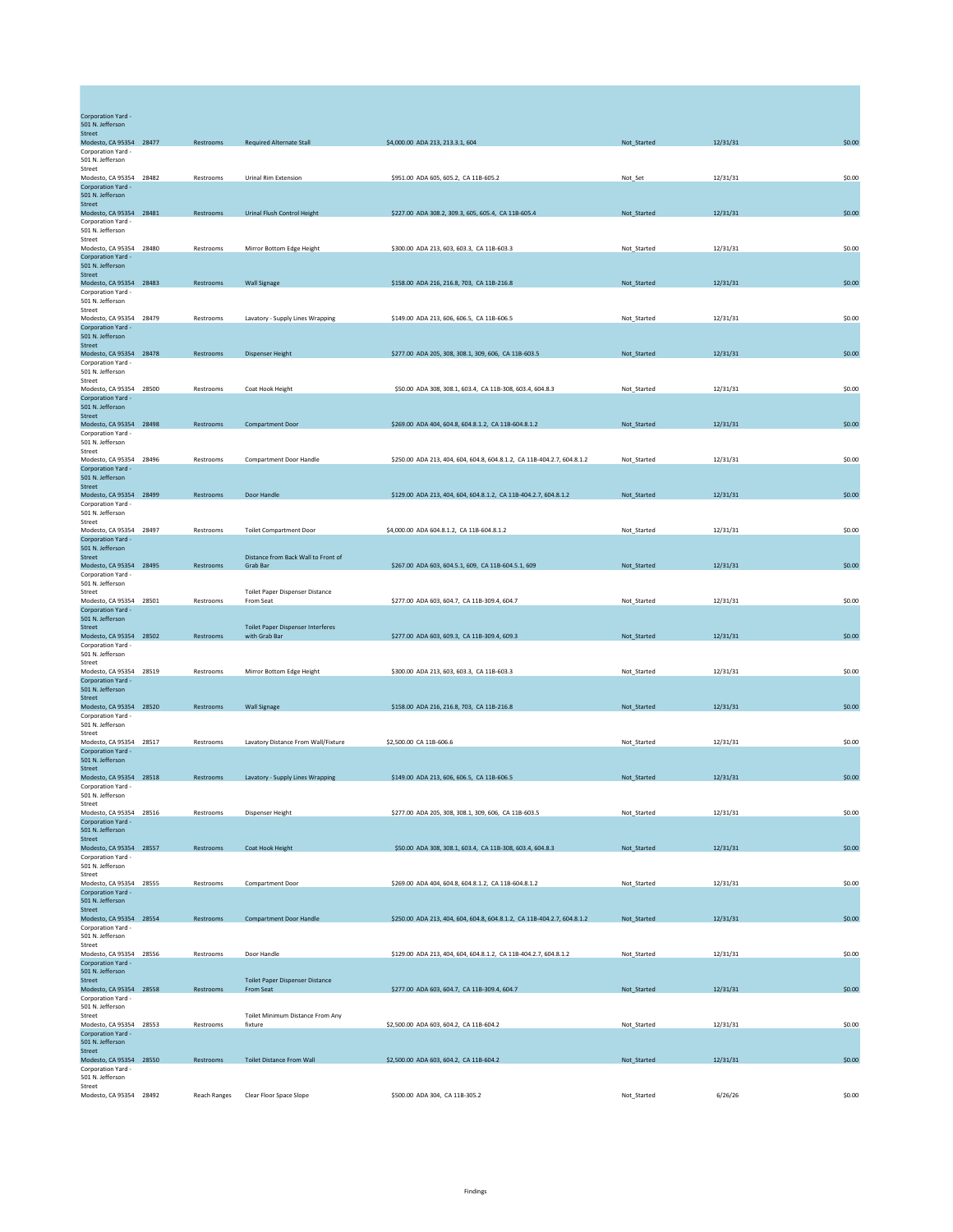| Corporation Yard -<br>501 N. Jefferson        |              |                                                            |                                                                         |             |          |        |
|-----------------------------------------------|--------------|------------------------------------------------------------|-------------------------------------------------------------------------|-------------|----------|--------|
| <b>Street</b>                                 |              |                                                            |                                                                         |             |          |        |
| Modesto, CA 95354 28477<br>Corporation Yard - | Restrooms    | <b>Required Alternate Stall</b>                            | \$4,000.00 ADA 213, 213.3.1, 604                                        | Not_Started | 12/31/31 | \$0.00 |
| 501 N. Jefferson<br>Street                    |              |                                                            |                                                                         |             |          |        |
| Modesto, CA 95354 28482<br>Cornoration Yard - | Restrooms    | <b>Urinal Rim Extension</b>                                | \$951.00 ADA 605, 605.2, CA 11B-605.2                                   | Not_Set     | 12/31/31 | \$0.00 |
| 501 N. Jefferson                              |              |                                                            |                                                                         |             |          |        |
| Street<br>Modesto, CA 95354 28481             | Restrooms    | Urinal Flush Control Height                                | \$227.00 ADA 308.2, 309.3, 605, 605.4, CA 11B-605.4                     | Not_Started | 12/31/31 | \$0.00 |
| Corporation Yard -<br>501 N. Jefferson        |              |                                                            |                                                                         |             |          |        |
| Street                                        |              |                                                            |                                                                         |             |          |        |
| Modesto, CA 95354 28480<br>Corporation Yard - | Restrooms    | Mirror Bottom Edge Height                                  | \$300.00 ADA 213, 603, 603.3, CA 11B-603.3                              | Not_Started | 12/31/31 | \$0.00 |
| 501 N. Jefferson<br>Street                    |              |                                                            |                                                                         |             |          |        |
| Modesto, CA 95354 28483                       | Restrooms    | <b>Wall Signage</b>                                        | \$158.00 ADA 216, 216.8, 703, CA 11B-216.8                              | Not_Started | 12/31/31 | \$0.00 |
| Corporation Yard -<br>501 N. Jefferson        |              |                                                            |                                                                         |             |          |        |
| Street<br>Modesto, CA 95354 28479             | Restrooms    | Lavatory - Supply Lines Wrapping                           | \$149.00 ADA 213, 606, 606.5, CA 11B-606.5                              | Not_Started | 12/31/31 | \$0.00 |
| Corporation Yard -                            |              |                                                            |                                                                         |             |          |        |
| 501 N. Jefferson<br>Street                    |              |                                                            |                                                                         |             |          |        |
| Modesto, CA 95354 28478<br>Corporation Yard - | Restrooms    | <b>Dispenser Height</b>                                    | \$277.00 ADA 205, 308, 308.1, 309, 606, CA 11B-603.5                    | Not_Started | 12/31/31 | \$0.00 |
| 501 N. Jefferson<br>Street                    |              |                                                            |                                                                         |             |          |        |
| Modesto, CA 95354 28500                       | Restrooms    | Coat Hook Height                                           | \$50.00 ADA 308, 308.1, 603.4, CA 11B-308, 603.4, 604.8.3               | Not_Started | 12/31/31 | \$0.00 |
| Corporation Yard -<br>501 N. Jefferson        |              |                                                            |                                                                         |             |          |        |
| <b>Street</b><br>Modesto, CA 95354 28498      | Restrooms    | <b>Compartment Door</b>                                    | \$269.00 ADA 404, 604.8, 604.8.1.2, CA 11B-604.8.1.2                    | Not_Started | 12/31/31 | \$0.00 |
| Corporation Yard -                            |              |                                                            |                                                                         |             |          |        |
| 501 N. Jefferson<br>Street                    |              |                                                            |                                                                         |             |          |        |
| Modesto, CA 95354 28496<br>Corporation Yard - | Restrooms    | <b>Compartment Door Handle</b>                             | \$250.00 ADA 213, 404, 604, 604.8, 604.8.1.2, CA 11B-404.2.7, 604.8.1.2 | Not_Started | 12/31/31 | \$0.00 |
| 501 N. Jefferson                              |              |                                                            |                                                                         |             |          |        |
| Street<br>Modesto, CA 95354 28499             | Restrooms    | Door Handle                                                | \$129.00 ADA 213, 404, 604, 604.8.1.2, CA 11B-404.2.7, 604.8.1.2        | Not_Started | 12/31/31 | \$0.00 |
| Corporation Yard -<br>501 N. Jefferson        |              |                                                            |                                                                         |             |          |        |
| Street<br>Modesto, CA 95354 28497             | Restrooms    | <b>Toilet Compartment Door</b>                             | \$4,000.00 ADA 604.8.1.2, CA 11B-604.8.1.2                              |             | 12/31/31 | \$0.00 |
| Corporation Yard -                            |              |                                                            |                                                                         | Not_Started |          |        |
| 501 N. Jefferson<br>Street                    |              | Distance from Back Wall to Front of                        |                                                                         |             |          |        |
| Modesto, CA 95354 28495                       | Restrooms    | Grab Bar                                                   | \$267.00 ADA 603, 604.5.1, 609, CA 11B-604.5.1, 609                     | Not_Started | 12/31/31 | \$0.00 |
| Corporation Yard -<br>501 N. Jefferson        |              |                                                            |                                                                         |             |          |        |
| Street<br>Modesto, CA 95354 28501             | Restrooms    | <b>Toilet Paper Dispenser Distance</b><br>From Seat        | \$277.00 ADA 603, 604.7, CA 11B-309.4, 604.7                            | Not_Started | 12/31/31 | \$0.00 |
| Corporation Yard -<br>501 N. Jefferson        |              |                                                            |                                                                         |             |          |        |
| Street                                        |              | <b>Toilet Paper Dispenser Interferes</b>                   |                                                                         |             |          |        |
| Modesto, CA 95354 28502<br>Corporation Yard - | Restrooms    | with Grab Bar                                              | \$277.00 ADA 603, 609.3, CA 11B-309.4, 609.3                            | Not_Started | 12/31/31 | \$0.00 |
| 501 N. Jefferson<br>Street                    |              |                                                            |                                                                         |             |          |        |
| Modesto, CA 95354 28519<br>Corporation Yard - | Restrooms    | Mirror Bottom Edge Height                                  | \$300.00 ADA 213, 603, 603.3, CA 11B-603.3                              | Not_Started | 12/31/31 | \$0.00 |
| 501 N. Jefferson                              |              |                                                            |                                                                         |             |          |        |
| <b>Street</b><br>Modesto, CA 95354 28520      | Restrooms    | <b>Wall Signage</b>                                        | \$158.00 ADA 216, 216.8, 703, CA 11B-216.8                              | Not_Started | 12/31/31 | \$0.00 |
| Corporation Yard -<br>501 N. Jefferson        |              |                                                            |                                                                         |             |          |        |
| Street                                        |              |                                                            |                                                                         |             |          |        |
| Modesto, CA 95354 28517<br>Corporation Yard - | Restrooms    | Lavatory Distance From Wall/Fixture                        | \$2,500.00 CA 11B-606.6                                                 | Not_Started | 12/31/31 | \$0.00 |
| 501 N. Jefferson<br>Street                    |              |                                                            |                                                                         |             |          |        |
| Modesto, CA 95354 28518<br>Corporation Yard - | Restrooms    | Lavatory - Supply Lines Wrapping                           | \$149.00 ADA 213, 606, 606.5, CA 11B-606.5                              | Not_Started | 12/31/31 | \$0.00 |
| 501 N. Jefferson                              |              |                                                            |                                                                         |             |          |        |
| Street<br>Modesto, CA 95354 28516             | Restrooms    | Dispenser Height                                           | \$277.00 ADA 205, 308, 308.1, 309, 606, CA 11B-603.5                    | Not_Started | 12/31/31 | \$0.00 |
| Corporation Yard -<br>501 N. Jefferson        |              |                                                            |                                                                         |             |          |        |
| Street                                        |              |                                                            |                                                                         |             |          |        |
| Modesto, CA 95354 28557<br>Corporation Yard - | Restrooms    | Coat Hook Height                                           | \$50.00 ADA 308, 308.1, 603.4, CA 11B-308, 603.4, 604.8.3               | Not Started | 12/31/31 | \$0.00 |
| 501 N. Jefferson<br>Street                    |              |                                                            |                                                                         |             |          |        |
| Modesto, CA 95354 28555                       | Restrooms    | Compartment Door                                           | \$269.00 ADA 404, 604.8, 604.8.1.2, CA 11B-604.8.1.2                    | Not_Started | 12/31/31 | \$0.00 |
| Corporation Yard -<br>501 N. Jefferson        |              |                                                            |                                                                         |             |          |        |
| <b>Street</b><br>Modesto, CA 95354 28554      | Restrooms    | <b>Compartment Door Handle</b>                             | \$250.00 ADA 213, 404, 604, 604.8, 604.8.1.2, CA 11B-404.2.7, 604.8.1.2 | Not_Started | 12/31/31 | \$0.00 |
| Corporation Yard -                            |              |                                                            |                                                                         |             |          |        |
| 501 N. Jefferson<br>Street                    |              |                                                            |                                                                         |             |          |        |
| Modesto, CA 95354 28556<br>Corporation Yard - | Restrooms    | Door Handle                                                | \$129.00 ADA 213, 404, 604, 604.8.1.2, CA 11B-404.2.7, 604.8.1.2        | Not_Started | 12/31/31 | \$0.00 |
| 501 N. Jefferson                              |              |                                                            |                                                                         |             |          |        |
| Street<br>Modesto, CA 95354 28558             | Restrooms    | <b>Toilet Paper Dispenser Distance</b><br><b>From Seat</b> | \$277.00 ADA 603, 604.7, CA 11B-309.4, 604.7                            | Not_Started | 12/31/31 | \$0.00 |
| Corporation Yard -<br>501 N. Jefferson        |              |                                                            |                                                                         |             |          |        |
| Street<br>Modesto, CA 95354 28553             | Restrooms    | Toilet Minimum Distance From Any<br>fixture                | \$2,500,00 ADA 603, 604.2, CA 11B-604.2                                 | Not Started | 12/31/31 | \$0.00 |
| Corporation Yard -                            |              |                                                            |                                                                         |             |          |        |
| 501 N. Jefferson<br>Street                    |              |                                                            |                                                                         |             |          |        |
| Modesto, CA 95354 28550<br>Corporation Yard - | Restrooms    | <b>Toilet Distance From Wall</b>                           | \$2,500.00 ADA 603, 604.2, CA 11B-604.2                                 | Not_Started | 12/31/31 | \$0.00 |
| 501 N. Jefferson                              |              |                                                            |                                                                         |             |          |        |
| Street<br>Modesto, CA 95354 28492             | Reach Ranges | Clear Floor Space Slope                                    | \$500.00 ADA 304, CA 11B-305.2                                          | Not_Started | 6/26/26  | \$0.00 |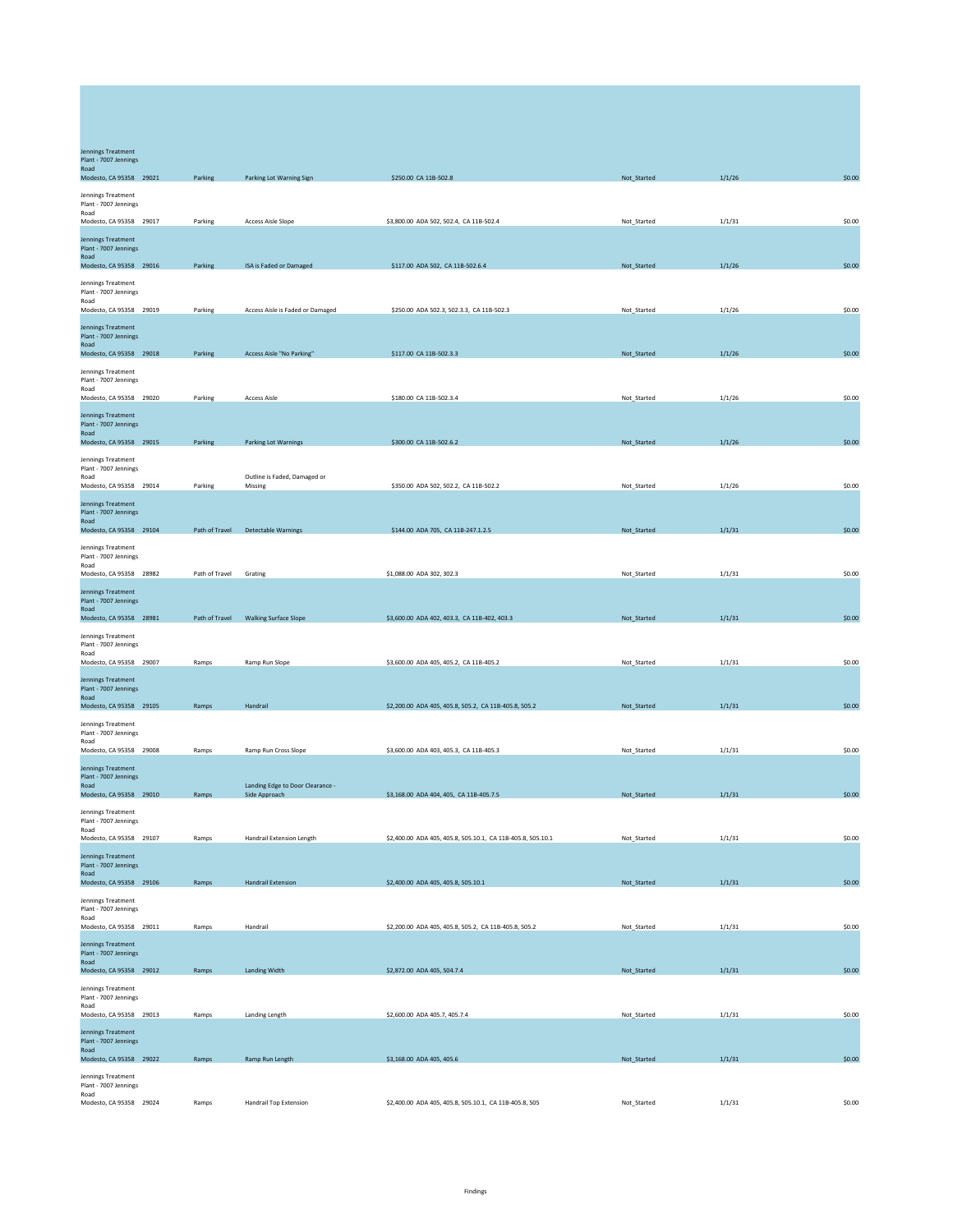| Jennings Treatment<br>Plant - 7007 Jennings              |                |                                                   |                                                             |             |        |        |
|----------------------------------------------------------|----------------|---------------------------------------------------|-------------------------------------------------------------|-------------|--------|--------|
| Road<br>Modesto, CA 95358 29021                          | Parking        | Parking Lot Warning Sign                          | \$250.00 CA 11B-502.8                                       | Not_Started | 1/1/26 | \$0.00 |
| Jennings Treatment<br>Plant - 7007 Jennings              |                |                                                   |                                                             |             |        |        |
| Road<br>Modesto, CA 95358 29017                          | Parking        | <b>Access Aisle Slope</b>                         | \$3,800.00 ADA 502, 502.4, CA 11B-502.4                     | Not Started | 1/1/31 | \$0.00 |
| Jennings Treatment<br>Plant - 7007 Jennings              |                |                                                   |                                                             |             |        |        |
| Road<br>Modesto, CA 95358 29016                          | Parking        | ISA is Faded or Damaged                           | \$117.00 ADA 502, CA 11B-502.6.4                            | Not_Started | 1/1/26 | \$0.00 |
| Jennings Treatment<br>Plant - 7007 Jennings              |                |                                                   |                                                             |             |        |        |
| Road<br>Modesto, CA 95358 29019                          | Parking        | Access Aisle is Faded or Damaged                  | \$250.00 ADA 502.3, 502.3.3, CA 11B-502.3                   | Not_Started | 1/1/26 | \$0.00 |
| <b>Jennings Treatment</b>                                |                |                                                   |                                                             |             |        |        |
| Plant - 7007 Jennings<br>Road<br>Modesto, CA 95358 29018 | Parking        | Access Aisle "No Parking"                         | \$117.00 CA 11B-502.3.3                                     | Not_Started | 1/1/26 | \$0.00 |
| Jennings Treatment                                       |                |                                                   |                                                             |             |        |        |
| Plant - 7007 Jennings<br>Road<br>Modesto, CA 95358 29020 | Parking        | <b>Access Aisle</b>                               | \$180.00 CA 11B-502.3.4                                     | Not_Started | 1/1/26 | \$0.00 |
| Jennings Treatment                                       |                |                                                   |                                                             |             |        |        |
| Plant - 7007 Jennings<br>Road                            |                |                                                   | \$300.00 CA 11B-502.6.2                                     |             |        | \$0.00 |
| Modesto, CA 95358 29015<br>Jennings Treatment            | Parking        | <b>Parking Lot Warnings</b>                       |                                                             | Not_Started | 1/1/26 |        |
| Plant - 7007 Jennings<br>Road                            |                | Outline is Faded, Damaged or                      |                                                             |             |        |        |
| Modesto, CA 95358 29014<br><b>Jennings Treatment</b>     | Parking        | Missing                                           | \$350.00 ADA 502, 502.2, CA 11B-502.2                       | Not_Started | 1/1/26 | \$0.00 |
| Plant - 7007 Jennings<br>Road                            |                |                                                   |                                                             |             |        |        |
| Modesto, CA 95358 29104<br>Jennings Treatment            | Path of Travel | <b>Detectable Warnings</b>                        | \$144.00 ADA 705, CA 11B-247.1.2.5                          | Not_Started | 1/1/31 | \$0.00 |
| Plant - 7007 Jennings<br>Road                            |                |                                                   |                                                             |             |        |        |
| Modesto, CA 95358 28982                                  | Path of Travel | Grating                                           | \$1,088.00 ADA 302, 302.3                                   | Not_Started | 1/1/31 | \$0.00 |
| Jennings Treatment<br>Plant - 7007 Jennings<br>Road      |                |                                                   |                                                             |             |        |        |
| Modesto, CA 95358 28981                                  | Path of Travel | <b>Walking Surface Slope</b>                      | \$3,600.00 ADA 402, 403.3, CA 11B-402, 403.3                | Not_Started | 1/1/31 | \$0.00 |
| Jennings Treatment<br>Plant - 7007 Jennings<br>Road      |                |                                                   |                                                             |             |        |        |
| Modesto, CA 95358 29007                                  | Ramps          | Ramp Run Slope                                    | \$3,600.00 ADA 405, 405.2, CA 11B-405.2                     | Not_Started | 1/1/31 | \$0.00 |
| Jennings Treatment<br>Plant - 7007 Jennings<br>Road      |                |                                                   |                                                             |             |        |        |
| Modesto, CA 95358 29105                                  | Ramps          | Handrail                                          | \$2,200.00 ADA 405, 405.8, 505.2, CA 11B-405.8, 505.2       | Not_Started | 1/1/31 | \$0.00 |
| Jennings Treatment<br>Plant - 7007 Jennings              |                |                                                   |                                                             |             |        |        |
| Road<br>Modesto, CA 95358 29008                          | Ramps          | Ramp Run Cross Slope                              | \$3,600.00 ADA 403, 405.3, CA 11B-405.3                     | Not_Started | 1/1/31 | \$0.00 |
| Jennings Treatment<br>Plant - 7007 Jennings              |                |                                                   |                                                             |             |        |        |
| Road<br>Modesto, CA 95358 29010                          | Ramps          | Landing Edge to Door Clearance -<br>Side Approach | \$3,168.00 ADA 404, 405, CA 11B-405.7.5                     | Not_Started | 1/1/31 | \$0.00 |
| lennings Treatment<br>Plant - 7007 Jennings              |                |                                                   |                                                             |             |        |        |
| Road<br>Modesto, CA 95358 29107                          | Ramps          | Handrail Extension Length                         | \$2,400.00 ADA 405, 405.8, 505.10.1, CA 11B-405.8, 505.10.1 | Not_Started | 1/1/31 | \$0.00 |
| Jennings Treatment<br>Plant - 7007 Jennings              |                |                                                   |                                                             |             |        |        |
| Road<br>Modesto, CA 95358 29106                          | Ramps          | <b>Handrail Extension</b>                         | \$2,400.00 ADA 405, 405.8, 505.10.1                         | Not_Started | 1/1/31 | \$0.00 |
| Jennings Treatment<br>Plant - 7007 Jennings              |                |                                                   |                                                             |             |        |        |
| Road<br>Modesto, CA 95358 29011                          | Ramps          | Handrail                                          | \$2,200.00 ADA 405, 405.8, 505.2, CA 11B-405.8, 505.2       | Not_Started | 1/1/31 | \$0.00 |
| Jennings Treatment<br>Plant - 7007 Jennings              |                |                                                   |                                                             |             |        |        |
| Road<br>Modesto, CA 95358 29012                          | Ramps          | Landing Width                                     | \$2,872.00 ADA 405, 504.7.4                                 | Not_Started | 1/1/31 | \$0.00 |
| Jennings Treatment                                       |                |                                                   |                                                             |             |        |        |
| Plant - 7007 Jennings<br>Road<br>Modesto, CA 95358 29013 | Ramps          | Landing Length                                    | \$2,600.00 ADA 405.7, 405.7.4                               | Not_Started | 1/1/31 | \$0.00 |
| Jennings Treatment                                       |                |                                                   |                                                             |             |        |        |
| Plant - 7007 Jennings<br>Road<br>Modesto, CA 95358 29022 | Ramps          | Ramp Run Length                                   | \$3,168.00 ADA 405, 405.6                                   | Not_Started | 1/1/31 | \$0.00 |
| Jennings Treatment                                       |                |                                                   |                                                             |             |        |        |
| Plant - 7007 Jennings<br>Road<br>Modesto, CA 95358 29024 |                | Handrail Top Extension                            | \$2,400.00 ADA 405, 405.8, 505.10.1, CA 11B-405.8, 505      |             | 1/1/31 | \$0.00 |
|                                                          | Ramps          |                                                   |                                                             | Not_Started |        |        |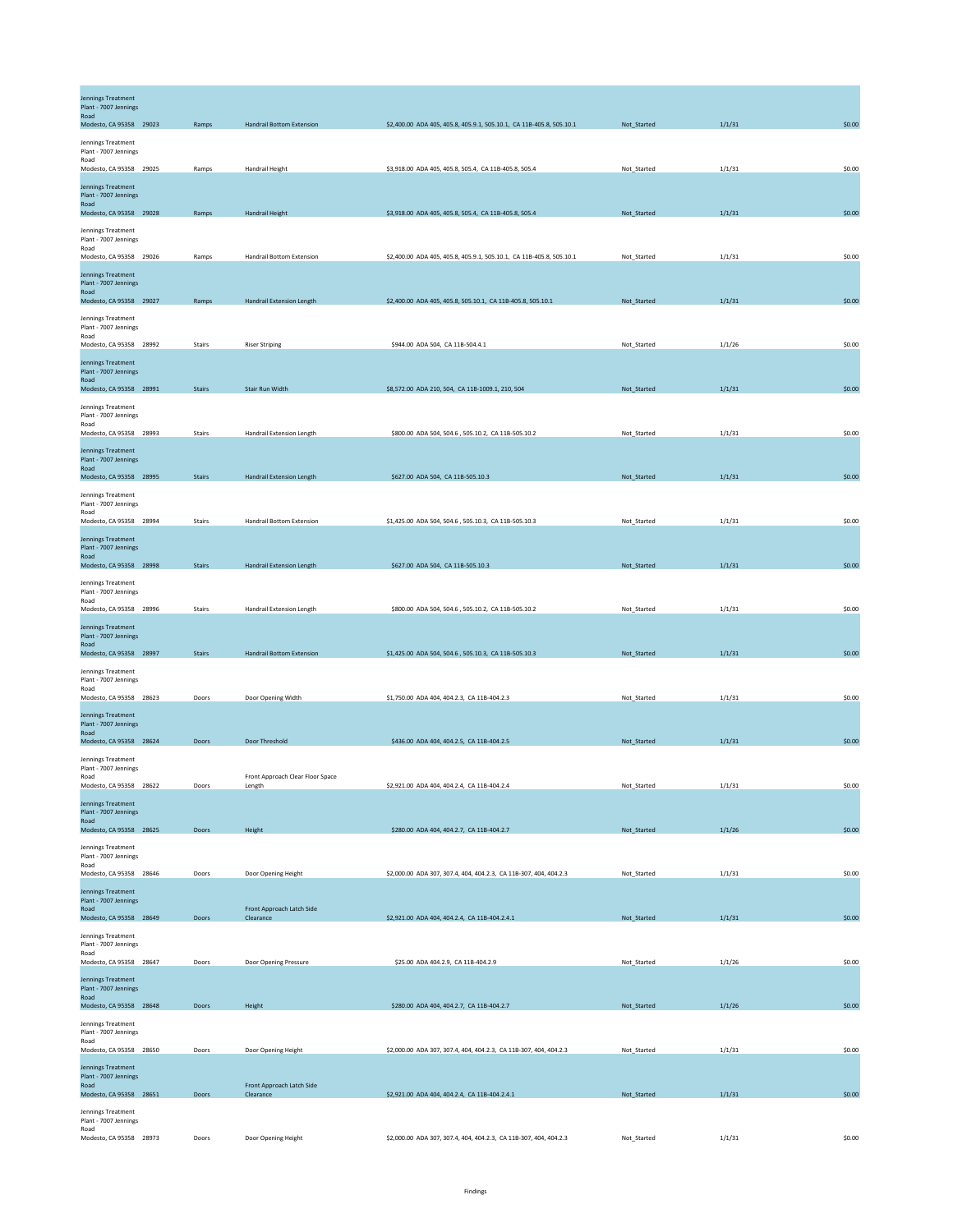| <b>Jennings Treatment</b><br>Plant - 7007 Jennings<br>Road<br>Modesto, CA 95358 29023 | Ramps         | <b>Handrail Bottom Extension</b>           | \$2,400.00 ADA 405, 405.8, 405.9.1, 505.10.1, CA 11B-405.8, 505.10.1 | Not_Started | 1/1/31 | \$0.00 |
|---------------------------------------------------------------------------------------|---------------|--------------------------------------------|----------------------------------------------------------------------|-------------|--------|--------|
| Jennings Treatment<br>Plant - 7007 Jennings<br>Road<br>Modesto, CA 95358 29025        | Ramps         | Handrail Height                            | \$3,918.00 ADA 405, 405.8, 505.4, CA 11B-405.8, 505.4                | Not_Started | 1/1/31 | \$0.00 |
| Jennings Treatment<br>Plant - 7007 Jennings<br>Road<br>Modesto, CA 95358 29028        | Ramps         | <b>Handrail Height</b>                     | \$3,918.00 ADA 405, 405.8, 505.4, CA 11B-405.8, 505.4                | Not_Started | 1/1/31 | \$0.00 |
| Jennings Treatment<br>Plant - 7007 Jennings<br>Road                                   |               |                                            |                                                                      |             |        |        |
| Modesto, CA 95358 29026<br>Jennings Treatment<br>Plant - 7007 Jennings<br>Road        | Ramps         | <b>Handrail Bottom Extension</b>           | \$2,400.00 ADA 405, 405.8, 405.9.1, 505.10.1, CA 11B-405.8, 505.10.1 | Not Started | 1/1/31 | \$0.00 |
| Modesto, CA 95358 29027<br>Jennings Treatment<br>Plant - 7007 Jennings<br>Road        | Ramps         | <b>Handrail Extension Length</b>           | \$2,400.00 ADA 405, 405.8, 505.10.1, CA 11B-405.8, 505.10.1          | Not Started | 1/1/31 | \$0.00 |
| Modesto, CA 95358 28992<br>Jennings Treatment<br>Plant - 7007 Jennings<br>Road        | Stairs        | <b>Riser Striping</b>                      | \$944.00 ADA 504, CA 11B-504.4.1                                     | Not_Started | 1/1/26 | \$0.00 |
| Modesto, CA 95358 28991<br>Jennings Treatment<br>Plant - 7007 Jennings                | <b>Stairs</b> | Stair Run Width                            | \$8,572.00 ADA 210, 504, CA 11B-1009.1, 210, 504                     | Not_Started | 1/1/31 | \$0.00 |
| Road<br>Modesto, CA 95358 28993<br>Jennings Treatment<br>Plant - 7007 Jennings        | Stairs        | Handrail Extension Length                  | \$800.00 ADA 504, 504.6, 505.10.2, CA 11B-505.10.2                   | Not_Started | 1/1/31 | \$0.00 |
| Road<br>Modesto, CA 95358 28995<br>Jennings Treatment                                 | <b>Stairs</b> | Handrail Extension Length                  | \$627.00 ADA 504, CA 11B-505.10.3                                    | Not_Started | 1/1/31 | \$0.00 |
| Plant - 7007 Jennings<br>Road<br>Modesto, CA 95358 28994<br>Jennings Treatment        | Stairs        | <b>Handrail Bottom Extension</b>           | \$1,425.00 ADA 504, 504.6, 505.10.3, CA 11B-505.10.3                 | Not_Started | 1/1/31 | \$0.00 |
| Plant - 7007 Jennings<br>Road<br>Modesto, CA 95358 28998<br>Jennings Treatment        | <b>Stairs</b> | Handrail Extension Length                  | \$627.00 ADA 504, CA 11B-505.10.3                                    | Not_Started | 1/1/31 | \$0.00 |
| Plant - 7007 Jennings<br>Road<br>Modesto, CA 95358 28996                              | Stairs        | Handrail Extension Length                  | \$800.00 ADA 504, 504.6, 505.10.2, CA 11B-505.10.2                   | Not_Started | 1/1/31 | \$0.00 |
| Jennings Treatment<br>Plant - 7007 Jennings<br>Road<br>Modesto, CA 95358 28997        | <b>Stairs</b> | <b>Handrail Bottom Extension</b>           | \$1,425.00 ADA 504, 504.6, 505.10.3, CA 11B-505.10.3                 | Not_Started | 1/1/31 | \$0.00 |
| Jennings Treatment<br>Plant - 7007 Jennings<br>Road<br>Modesto, CA 95358 28623        | Doors         | Door Opening Width                         | \$1,750.00 ADA 404, 404.2.3, CA 11B-404.2.3                          | Not_Started | 1/1/31 | \$0.00 |
| <b>Jennings Treatment</b><br>Plant - 7007 Jennings<br>Road<br>Modesto, CA 95358 28624 | Doors         | Door Threshold                             | \$436.00 ADA 404, 404.2.5, CA 11B-404.2.5                            | Not_Started | 1/1/31 | \$0.00 |
| Jennings Treatment<br>Plant - 7007 Jennings<br>Road<br>Modesto, CA 95358 28622        | Doors         | Front Approach Clear Floor Space<br>Length | \$2,921.00 ADA 404, 404.2.4, CA 11B-404.2.4                          | Not_Started | 1/1/31 | \$0.00 |
| <b>Jennings Treatment</b><br>Plant - 7007 Jennings<br>Road<br>Modesto, CA 95358 28625 | Doors         | Height                                     | \$280.00 ADA 404, 404.2.7, CA 11B-404.2.7                            | Not_Started | 1/1/26 | \$0.00 |
| Jennings Treatment<br>Plant - 7007 Jennings<br>Road<br>Modesto, CA 95358 28646        | Doors         | Door Opening Height                        | \$2,000.00 ADA 307, 307.4, 404, 404.2.3, CA 11B-307, 404, 404.2.3    | Not_Started | 1/1/31 | \$0.00 |
| <b>Jennings Treatment</b><br>Plant - 7007 Jennings<br>Road                            |               | Front Approach Latch Side                  |                                                                      |             |        |        |
| Modesto, CA 95358 28649<br>Jennings Treatment<br>Plant - 7007 Jennings<br>Road        | Doors         | Clearance                                  | \$2,921.00 ADA 404, 404.2.4, CA 11B-404.2.4.1                        | Not_Started | 1/1/31 | \$0.00 |
| Modesto, CA 95358 28647<br><b>Jennings Treatment</b><br>Plant - 7007 Jennings<br>Road | Doors         | Door Opening Pressure                      | \$25.00 ADA 404.2.9, CA 11B-404.2.9                                  | Not_Started | 1/1/26 | \$0.00 |
| Modesto, CA 95358 28648<br>Jennings Treatment<br>Plant - 7007 Jennings                | Doors         | Height                                     | \$280.00 ADA 404, 404.2.7, CA 11B-404.2.7                            | Not_Started | 1/1/26 | \$0.00 |
| Road<br>Modesto, CA 95358 28650<br>Jennings Treatment<br>Plant - 7007 Jennings        | Doors         | Door Opening Height                        | \$2,000.00 ADA 307, 307.4, 404, 404.2.3, CA 11B-307, 404, 404.2.3    | Not_Started | 1/1/31 | \$0.00 |
| Road<br>Modesto, CA 95358 28651<br>Jennings Treatment<br>Plant - 7007 Jennings        | Doors         | Front Approach Latch Side<br>Clearance     | \$2,921.00 ADA 404, 404.2.4, CA 11B-404.2.4.1                        | Not_Started | 1/1/31 | \$0.00 |
| Road<br>Modesto, CA 95358 28973                                                       | Doors         | Door Opening Height                        | \$2,000.00 ADA 307, 307.4, 404, 404.2.3, CA 11B-307, 404, 404.2.3    | Not_Started | 1/1/31 | \$0.00 |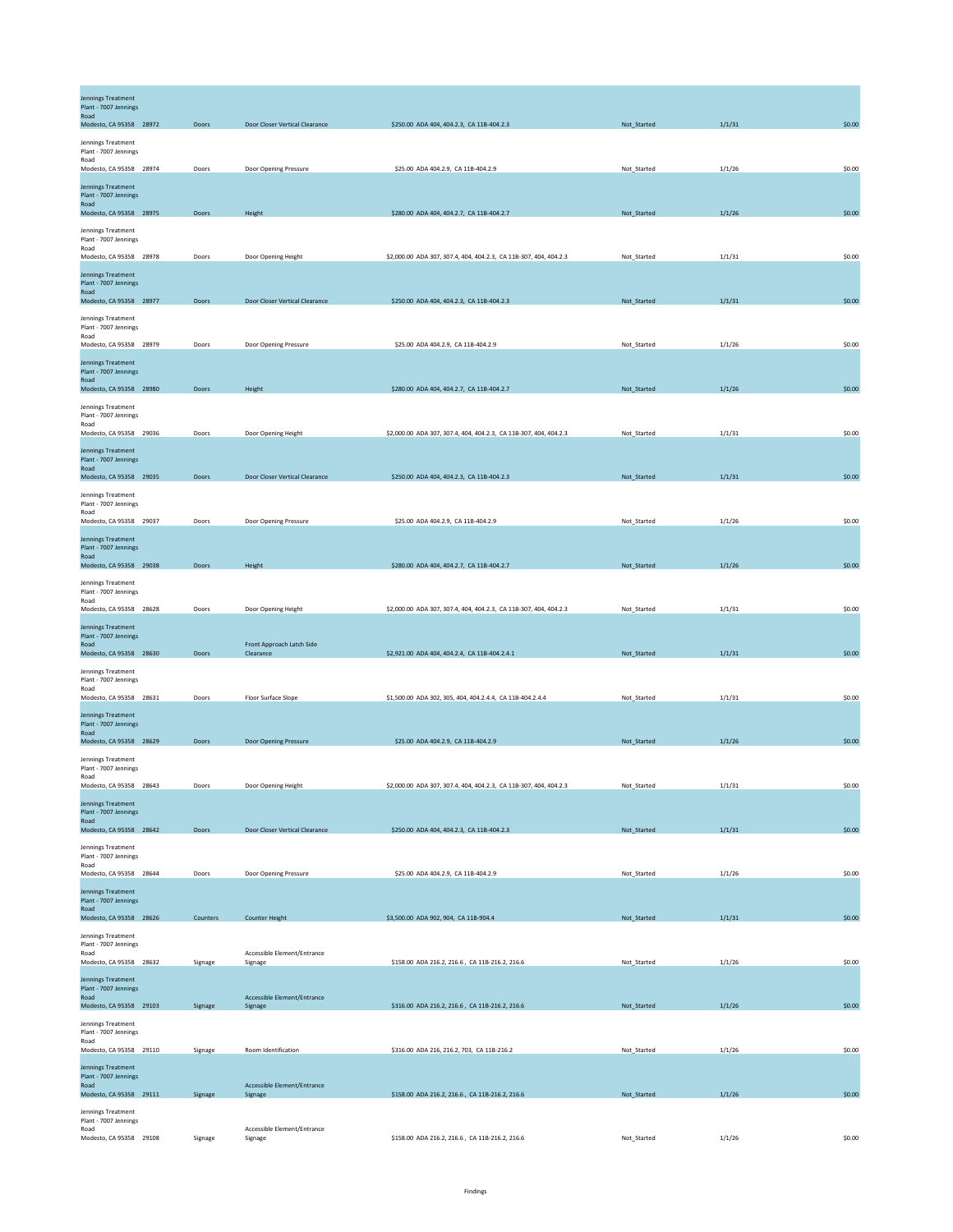| <b>Jennings Treatment</b><br>Plant - 7007 Jennings<br>Road<br>Modesto, CA 95358 28972 | Doors    | Door Closer Vertical Clearance                       | \$250.00 ADA 404, 404.2.3, CA 11B-404.2.3                         | Not_Started | 1/1/31 | \$0.00 |
|---------------------------------------------------------------------------------------|----------|------------------------------------------------------|-------------------------------------------------------------------|-------------|--------|--------|
| Jennings Treatment<br>Plant - 7007 Jennings<br>Road<br>Modesto, CA 95358 28974        | Doors    | Door Opening Pressure                                | \$25.00 ADA 404.2.9, CA 11B-404.2.9                               | Not_Started | 1/1/26 | \$0.00 |
| <b>Jennings Treatment</b><br>Plant - 7007 Jennings<br>Road<br>Modesto, CA 95358 28975 | Doors    | Height                                               | \$280.00 ADA 404, 404.2.7, CA 11B-404.2.7                         | Not_Started | 1/1/26 | \$0.00 |
| Jennings Treatment<br>Plant - 7007 Jennings<br>Road<br>Modesto, CA 95358 28978        | Doors    |                                                      | \$2,000.00 ADA 307, 307.4, 404, 404.2.3, CA 11B-307, 404, 404.2.3 | Not_Started | 1/1/31 | \$0.00 |
| Jennings Treatment<br>Plant - 7007 Jennings<br>Road                                   |          | Door Opening Height                                  |                                                                   |             |        |        |
| Modesto, CA 95358 28977<br>Jennings Treatment<br>Plant - 7007 Jennings<br>Road        | Doors    | Door Closer Vertical Clearance                       | \$250.00 ADA 404, 404.2.3, CA 11B-404.2.3                         | Not_Started | 1/1/31 | \$0.00 |
| Modesto, CA 95358 28979<br>Jennings Treatment<br>Plant - 7007 Jennings<br>Road        | Doors    | Door Opening Pressure                                | \$25.00 ADA 404.2.9, CA 11B-404.2.9                               | Not_Started | 1/1/26 | \$0.00 |
| Modesto, CA 95358 28980<br>Jennings Treatment<br>Plant - 7007 Jennings                | Doors    | Height                                               | \$280.00 ADA 404, 404.2.7, CA 11B-404.2.7                         | Not_Started | 1/1/26 | \$0.00 |
| Road<br>Modesto, CA 95358 29036<br>Jennings Treatment<br>Plant - 7007 Jennings        | Doors    | Door Opening Height                                  | \$2,000.00 ADA 307, 307.4, 404, 404.2.3, CA 11B-307, 404, 404.2.3 | Not_Started | 1/1/31 | \$0.00 |
| Road<br>Modesto, CA 95358 29035<br>Jennings Treatment<br>Plant - 7007 Jennings        | Doors    | Door Closer Vertical Clearance                       | \$250.00 ADA 404, 404.2.3, CA 11B-404.2.3                         | Not_Started | 1/1/31 | \$0.00 |
| Road<br>Modesto, CA 95358 29037<br>Jennings Treatment                                 | Doors    | Door Opening Pressure                                | \$25.00 ADA 404.2.9, CA 11B-404.2.9                               | Not_Started | 1/1/26 | \$0.00 |
| Plant - 7007 Jennings<br>Road<br>Modesto, CA 95358 29038<br>Jennings Treatment        | Doors    | Height                                               | \$280.00 ADA 404, 404.2.7, CA 11B-404.2.7                         | Not_Started | 1/1/26 | \$0.00 |
| Plant - 7007 Jennings<br>Road<br>Modesto, CA 95358 28628                              | Doors    | Door Opening Height                                  | \$2,000.00 ADA 307, 307.4, 404, 404.2.3, CA 11B-307, 404, 404.2.3 | Not Started | 1/1/31 | \$0.00 |
| Jennings Treatment<br>Plant - 7007 Jennings<br>Road<br>Modesto, CA 95358 28630        | Doors    | Front Approach Latch Side<br>Clearance               | \$2,921.00 ADA 404, 404.2.4, CA 11B-404.2.4.1                     | Not_Started | 1/1/31 | \$0.00 |
| Jennings Treatment<br>Plant - 7007 Jennings<br>Road<br>Modesto, CA 95358 28631        | Doors    | Floor Surface Slope                                  | \$1,500.00 ADA 302, 305, 404, 404.2.4.4, CA 11B-404.2.4.4         | Not_Started | 1/1/31 | \$0.00 |
| <b>Jennings Treatment</b><br>Plant - 7007 Jennings<br>Road<br>Modesto, CA 95358 28629 | Doors    | Door Opening Pressure                                | \$25.00 ADA 404.2.9, CA 11B-404.2.9                               | Not_Started | 1/1/26 | \$0.00 |
| Jennings Treatment<br>Plant - 7007 Jennings<br>Road<br>Modesto, CA 95358 28643        | Doors    | Door Opening Height                                  | \$2,000.00 ADA 307, 307.4, 404, 404.2.3, CA 11B-307, 404, 404.2.3 | Not_Started | 1/1/31 | \$0.00 |
| <b>Jennings Treatment</b><br>Plant - 7007 Jennings<br>Road<br>Modesto, CA 95358 28642 | Doors    | Door Closer Vertical Clearance                       | \$250.00 ADA 404, 404.2.3, CA 11B-404.2.3                         | Not_Started | 1/1/31 | \$0.00 |
| Jennings Treatment<br>Plant - 7007 Jennings<br>Road<br>Modesto, CA 95358 28644        | Doors    | Door Opening Pressure                                | \$25.00 ADA 404.2.9, CA 11B-404.2.9                               | Not_Started | 1/1/26 | \$0.00 |
| Jennings Treatment<br>Plant - 7007 Jennings<br>Road                                   |          |                                                      |                                                                   |             |        |        |
| Modesto, CA 95358 28626<br>Jennings Treatment<br>Plant - 7007 Jennings<br>Road        | Counters | <b>Counter Height</b><br>Accessible Element/Entrance | \$3,500.00 ADA 902, 904, CA 11B-904.4                             | Not_Started | 1/1/31 | \$0.00 |
| Modesto, CA 95358 28632<br>Jennings Treatment<br>Plant - 7007 Jennings<br>Road        | Signage  | Signage<br>Accessible Element/Entrance               | \$158.00 ADA 216.2, 216.6, CA 11B-216.2, 216.6                    | Not_Started | 1/1/26 | \$0.00 |
| Modesto, CA 95358 29103<br>Jennings Treatment<br>Plant - 7007 Jennings<br>Road        | Signage  | Signage                                              | \$316.00 ADA 216.2, 216.6, CA 11B-216.2, 216.6                    | Not_Started | 1/1/26 | \$0.00 |
| Modesto, CA 95358 29110<br>Jennings Treatment<br>Plant - 7007 Jennings                | Signage  | Room Identification                                  | \$316.00 ADA 216, 216.2, 703, CA 11B-216.2                        | Not_Started | 1/1/26 | \$0.00 |
| Road<br>Modesto, CA 95358 29111<br>Jennings Treatment<br>Plant - 7007 Jennings        | Signage  | Accessible Element/Entrance<br>Signage               | \$158.00 ADA 216.2, 216.6, CA 11B-216.2, 216.6                    | Not_Started | 1/1/26 | \$0.00 |
| Road<br>Modesto, CA 95358 29108                                                       | Signage  | Accessible Element/Entrance<br>Signage               | \$158.00 ADA 216.2, 216.6, CA 11B-216.2, 216.6                    | Not_Started | 1/1/26 | \$0.00 |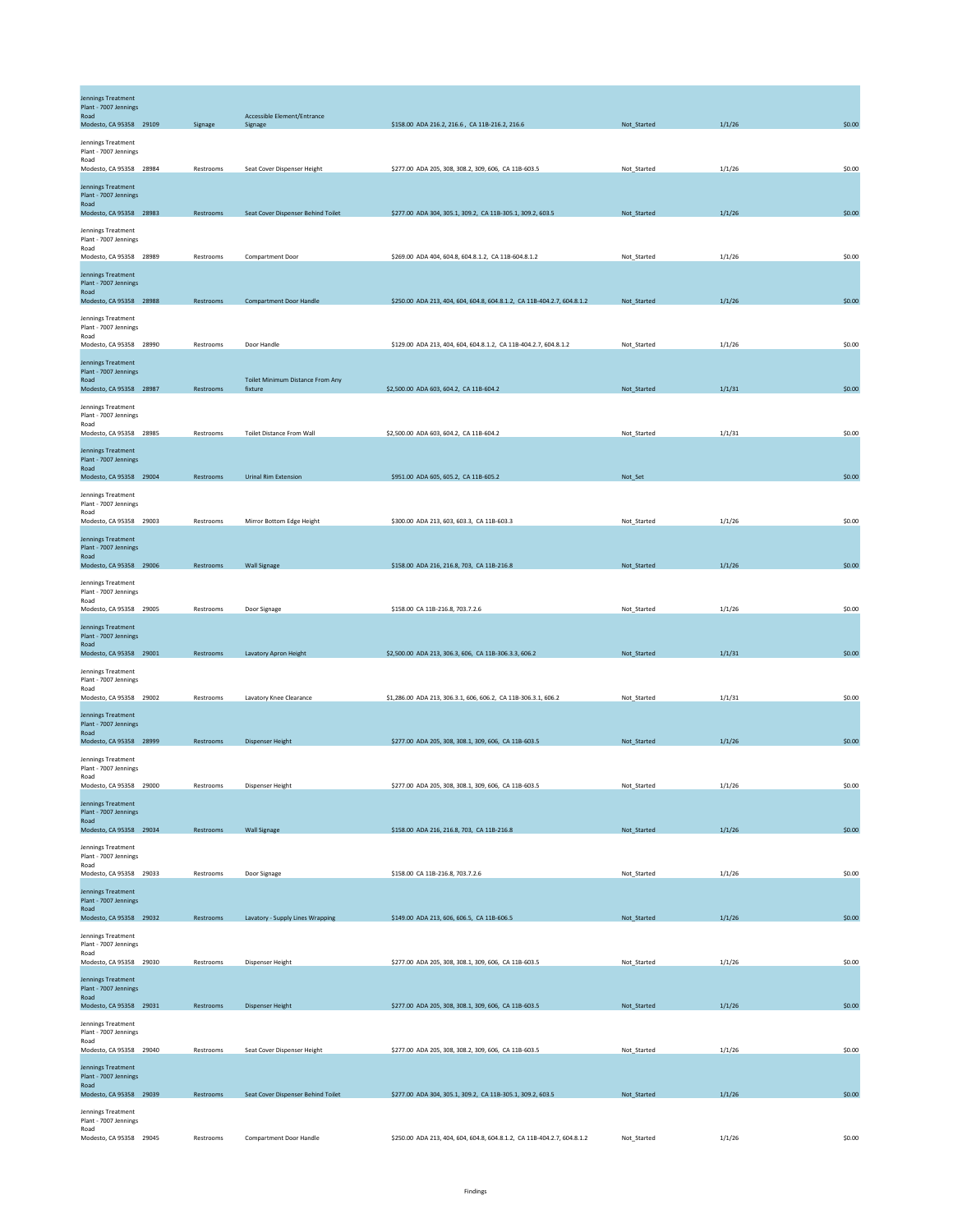| Jennings Treatment<br>Plant - 7007 Jennings<br>Road<br>Modesto, CA 95358 29109        | Signage   | Accessible Element/Entrance<br>Signage             | \$158.00 ADA 216.2, 216.6, CA 11B-216.2, 216.6                          | Not_Started | 1/1/26 | \$0.00 |
|---------------------------------------------------------------------------------------|-----------|----------------------------------------------------|-------------------------------------------------------------------------|-------------|--------|--------|
| Jennings Treatment<br>Plant - 7007 Jennings<br>Road<br>Modesto, CA 95358 28984        | Restrooms | Seat Cover Dispenser Height                        | \$277.00 ADA 205, 308, 308.2, 309, 606, CA 11B-603.5                    | Not_Started | 1/1/26 | \$0.00 |
| <b>Jennings Treatment</b><br>Plant - 7007 Jennings<br>Road<br>Modesto, CA 95358 28983 | Restrooms | Seat Cover Dispenser Behind Toilet                 | \$277.00 ADA 304, 305.1, 309.2, CA 11B-305.1, 309.2, 603.5              | Not_Started | 1/1/26 | \$0.00 |
| Jennings Treatment<br>Plant - 7007 Jennings<br>Road<br>Modesto, CA 95358 28989        | Restrooms | Compartment Door                                   | \$269.00 ADA 404, 604.8, 604.8.1.2, CA 11B-604.8.1.2                    | Not_Started | 1/1/26 | \$0.00 |
| Jennings Treatment<br>Plant - 7007 Jennings<br>Road<br>Modesto, CA 95358 28988        | Restrooms | <b>Compartment Door Handle</b>                     | \$250.00 ADA 213, 404, 604, 604.8, 604.8.1.2, CA 11B-404.2.7, 604.8.1.2 | Not_Started | 1/1/26 | \$0.00 |
| Jennings Treatment<br>Plant - 7007 Jennings<br>Road<br>Modesto, CA 95358 28990        | Restrooms | Door Handle                                        | \$129.00 ADA 213, 404, 604, 604.8.1.2, CA 11B-404.2.7, 604.8.1.2        | Not_Started | 1/1/26 | \$0.00 |
| Jennings Treatment<br>Plant - 7007 Jennings<br>Road<br>Modesto, CA 95358 28987        | Restrooms | <b>Toilet Minimum Distance From Any</b><br>fixture | \$2,500.00 ADA 603, 604.2, CA 11B-604.2                                 | Not_Started | 1/1/31 | \$0.00 |
| Jennings Treatment<br>Plant - 7007 Jennings<br>Road<br>Modesto, CA 95358 28985        | Restrooms | <b>Toilet Distance From Wall</b>                   | \$2,500.00 ADA 603, 604.2, CA 11B-604.2                                 | Not_Started | 1/1/31 | \$0.00 |
| Jennings Treatment<br>Plant - 7007 Jennings<br>Road<br>Modesto, CA 95358 29004        |           |                                                    |                                                                         |             |        | \$0.00 |
| Jennings Treatment<br>Plant - 7007 Jennings<br>Road                                   | Restrooms | <b>Urinal Rim Extension</b>                        | \$951.00 ADA 605, 605.2, CA 11B-605.2                                   | Not_Set     |        |        |
| Modesto, CA 95358 29003<br>Jennings Treatment<br>Plant - 7007 Jennings<br>Road        | Restrooms | Mirror Bottom Edge Height                          | \$300.00 ADA 213, 603, 603.3, CA 11B-603.3                              | Not_Started | 1/1/26 | \$0.00 |
| Modesto, CA 95358 29006<br>Jennings Treatment<br>Plant - 7007 Jennings<br>Road        | Restrooms | <b>Wall Signage</b>                                | \$158.00 ADA 216, 216.8, 703, CA 11B-216.8                              | Not_Started | 1/1/26 | \$0.00 |
| Modesto, CA 95358 29005<br><b>Jennings Treatment</b><br>Plant - 7007 Jennings<br>Road | Restrooms | Door Signage                                       | \$158.00 CA 11B-216.8, 703.7.2.6                                        | Not_Started | 1/1/26 | \$0.00 |
| Modesto, CA 95358 29001<br>Jennings Treatment<br>Plant - 7007 Jennings<br>Road        | Restrooms | Lavatory Apron Height                              | \$2,500.00 ADA 213, 306.3, 606, CA 11B-306.3.3, 606.2                   | Not_Started | 1/1/31 | \$0.00 |
| Modesto, CA 95358 29002<br>Jennings Treatment<br>Plant - 7007 Jennings<br>Road        | Restrooms | Lavatory Knee Clearance                            | \$1,286.00 ADA 213, 306.3.1, 606, 606.2, CA 11B-306.3.1, 606.2          | Not Started | 1/1/31 | \$0.00 |
| Modesto, CA 95358 28999<br>Jennings Treatment<br>Plant - 7007 Jennings<br>Road        | Restrooms | <b>Dispenser Height</b>                            | \$277.00 ADA 205, 308, 308.1, 309, 606, CA 11B-603.5                    | Not_Started | 1/1/26 | \$0.00 |
| Modesto, CA 95358 29000<br><b>Jennings Treatment</b><br>Plant - 7007 Jennings<br>Road | Restrooms | Dispenser Height                                   | \$277.00 ADA 205, 308, 308.1, 309, 606, CA 11B-603.5                    | Not_Started | 1/1/26 | \$0.00 |
| Modesto, CA 95358 29034<br>Jennings Treatment<br>Plant - 7007 Jennings<br>Road        | Restrooms | <b>Wall Signage</b>                                | \$158.00 ADA 216, 216.8, 703, CA 11B-216.8                              | Not_Started | 1/1/26 | \$0.00 |
| Modesto, CA 95358 29033<br><b>Jennings Treatment</b><br>Plant - 7007 Jennings<br>Road | Restrooms | Door Signage                                       | \$158.00 CA 11B-216.8, 703.7.2.6                                        | Not_Started | 1/1/26 | \$0.00 |
| Modesto, CA 95358 29032<br>Jennings Treatment<br>Plant - 7007 Jennings<br>Road        | Restrooms | Lavatory - Supply Lines Wrapping                   | \$149.00 ADA 213, 606, 606.5, CA 11B-606.5                              | Not_Started | 1/1/26 | \$0.00 |
| Modesto, CA 95358 29030<br><b>Jennings Treatment</b><br>Plant - 7007 Jennings         | Restrooms | Dispenser Height                                   | \$277.00 ADA 205, 308, 308.1, 309, 606, CA 11B-603.5                    | Not_Started | 1/1/26 | \$0.00 |
| Road<br>Modesto, CA 95358 29031<br>Jennings Treatment<br>Plant - 7007 Jennings        | Restrooms | <b>Dispenser Height</b>                            | \$277.00 ADA 205, 308, 308.1, 309, 606, CA 11B-603.5                    | Not_Started | 1/1/26 | \$0.00 |
| Road<br>Modesto, CA 95358 29040<br><b>Jennings Treatment</b><br>Plant - 7007 Jennings | Restrooms | Seat Cover Dispenser Height                        | \$277.00 ADA 205, 308, 308.2, 309, 606, CA 11B-603.5                    | Not_Started | 1/1/26 | \$0.00 |
| Road<br>Modesto, CA 95358 29039<br>Jennings Treatment<br>Plant - 7007 Jennings        | Restrooms | Seat Cover Dispenser Behind Toilet                 | \$277.00 ADA 304, 305.1, 309.2, CA 11B-305.1, 309.2, 603.5              | Not_Started | 1/1/26 | \$0.00 |
| Road<br>Modesto, CA 95358 29045                                                       | Restrooms | <b>Compartment Door Handle</b>                     | \$250.00 ADA 213, 404, 604, 604.8, 604.8.1.2, CA 11B-404.2.7, 604.8.1.2 | Not_Started | 1/1/26 | \$0.00 |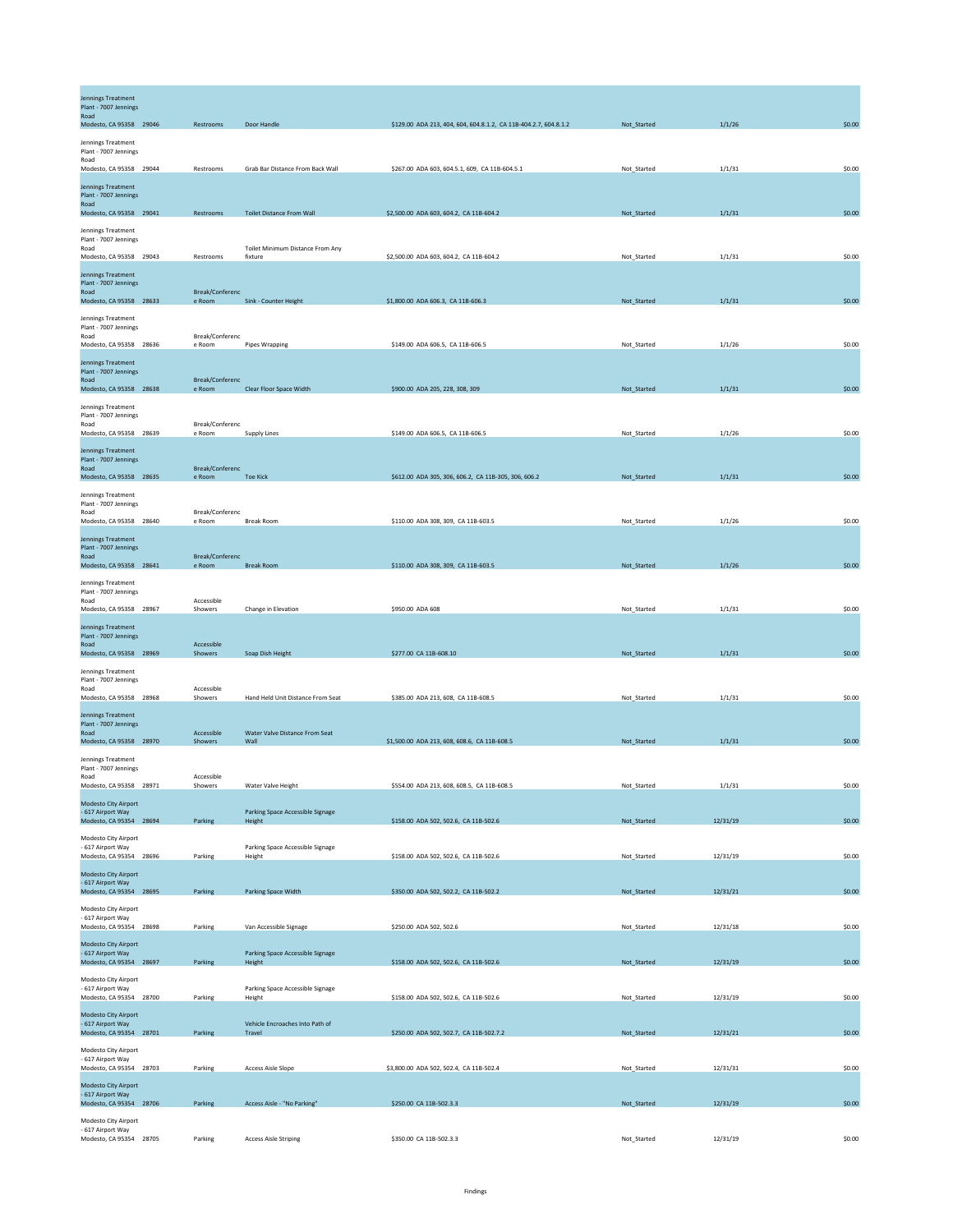| Jennings Treatment<br>Plant - 7007 Jennings<br>Road                            |                           |                                            |                                                                  |             |          |        |
|--------------------------------------------------------------------------------|---------------------------|--------------------------------------------|------------------------------------------------------------------|-------------|----------|--------|
| Modesto, CA 95358 29046                                                        | Restrooms                 | Door Handle                                | \$129.00 ADA 213, 404, 604, 604.8.1.2, CA 11B-404.2.7, 604.8.1.2 | Not_Started | 1/1/26   | \$0.00 |
| Jennings Treatment<br>Plant - 7007 Jennings<br>Road<br>Modesto, CA 95358 29044 | Restrooms                 | Grab Bar Distance From Back Wall           | \$267.00 ADA 603, 604.5.1, 609, CA 11B-604.5.1                   | Not_Started | 1/1/31   | \$0.00 |
| <b>Jennings Treatment</b>                                                      |                           |                                            |                                                                  |             |          |        |
| Plant - 7007 Jennings<br>Road                                                  |                           |                                            |                                                                  |             |          |        |
| Modesto, CA 95358 29041<br>Jennings Treatment                                  | Restrooms                 | <b>Toilet Distance From Wall</b>           | \$2,500.00 ADA 603, 604.2, CA 11B-604.2                          | Not_Started | 1/1/31   | \$0.00 |
| Plant - 7007 Jennings<br>Road                                                  |                           | Toilet Minimum Distance From Any           |                                                                  |             |          |        |
| Modesto, CA 95358 29043                                                        | Restrooms                 | fixture                                    | \$2,500.00 ADA 603, 604.2, CA 11B-604.2                          | Not_Started | 1/1/31   | \$0.00 |
| Jennings Treatment<br>Plant - 7007 Jennings                                    |                           |                                            |                                                                  |             |          |        |
| Road<br>Modesto, CA 95358 28633                                                | Break/Conferenc<br>e Room | Sink - Counter Height                      | \$1,800.00 ADA 606.3, CA 11B-606.3                               | Not_Started | 1/1/31   | \$0.00 |
| Jennings Treatment<br>Plant - 7007 Jennings                                    |                           |                                            |                                                                  |             |          |        |
| Road<br>Modesto, CA 95358 28636                                                | Break/Conferenc<br>e Room | <b>Pipes Wrapping</b>                      | \$149.00 ADA 606.5, CA 11B-606.5                                 | Not_Started | 1/1/26   | \$0.00 |
| <b>Jennings Treatment</b>                                                      |                           |                                            |                                                                  |             |          |        |
| Plant - 7007 Jennings<br>Road<br>Modesto, CA 95358 28638                       | Break/Conferenc<br>e Room | Clear Floor Space Width                    | \$900.00 ADA 205, 228, 308, 309                                  | Not_Started | 1/1/31   | \$0.00 |
| Jennings Treatment                                                             |                           |                                            |                                                                  |             |          |        |
| Plant - 7007 Jennings<br>Road                                                  | Break/Conferenc           |                                            |                                                                  |             |          |        |
| Modesto, CA 95358 28639<br>Jennings Treatment                                  | e Room                    | Supply Lines                               | \$149.00 ADA 606.5, CA 11B-606.5                                 | Not_Started | 1/1/26   | \$0.00 |
| Plant - 7007 Jennings<br>Road                                                  | Break/Conferenc           |                                            |                                                                  |             |          |        |
| Modesto, CA 95358 28635                                                        | e Room                    | <b>Toe Kick</b>                            | \$612.00 ADA 305, 306, 606.2, CA 11B-305, 306, 606.2             | Not_Started | 1/1/31   | \$0.00 |
| Jennings Treatment<br>Plant - 7007 Jennings                                    |                           |                                            |                                                                  |             |          |        |
| Road<br>Modesto, CA 95358 28640                                                | Break/Conferenc<br>e Room | <b>Break Room</b>                          | \$110.00 ADA 308, 309, CA 11B-603.5                              | Not_Started | 1/1/26   | \$0.00 |
| Jennings Treatment<br>Plant - 7007 Jennings                                    |                           |                                            |                                                                  |             |          |        |
| Road<br>Modesto, CA 95358 28641                                                | Break/Conferenc<br>e Room | <b>Break Room</b>                          | \$110.00 ADA 308, 309, CA 11B-603.5                              | Not_Started | 1/1/26   | \$0.00 |
| Jennings Treatment                                                             |                           |                                            |                                                                  |             |          |        |
| Plant - 7007 Jennings<br>Road                                                  | Accessible                |                                            |                                                                  |             |          |        |
| Modesto, CA 95358 28967<br>Jennings Treatment                                  | Showers                   | Change in Elevation                        | \$950.00 ADA 608                                                 | Not_Started | 1/1/31   | \$0.00 |
| Plant - 7007 Jennings<br>Road                                                  | Accessible                |                                            |                                                                  |             |          |        |
| Modesto, CA 95358 28969                                                        | Showers                   | Soap Dish Height                           | \$277.00 CA 11B-608.10                                           | Not_Started | 1/1/31   | \$0.00 |
| Jennings Treatment<br>Plant - 7007 Jennings                                    |                           |                                            |                                                                  |             |          |        |
| Road<br>Modesto, CA 95358 28968                                                | Accessible<br>Showers     | Hand Held Unit Distance From Seat          | \$385.00 ADA 213, 608, CA 11B-608.5                              | Not_Started | 1/1/31   | \$0.00 |
| <b>Jennings Treatment</b><br>Plant - 7007 Jennings                             |                           |                                            |                                                                  |             |          |        |
| Road<br>Modesto, CA 95358 28970                                                | Accessible<br>Showers     | Water Valve Distance From Seat<br>Wall     | \$1,500.00 ADA 213, 608, 608.6, CA 11B-608.5                     | Not_Started | 1/1/31   | \$0.00 |
| Jennings Treatment                                                             |                           |                                            |                                                                  |             |          |        |
| Plant - 7007 Jennings<br>Road<br>Modesto CA 95358 28971                        | Accessible<br>Showers     | Water Valve Height                         | \$554.00 ADA 213, 608, 608.5, CA 11B-608.5                       | Not Started | 1/1/31   | \$0.00 |
| Modesto City Airport                                                           |                           |                                            |                                                                  |             |          |        |
| - 617 Airport Way<br>Modesto, CA 95354 28694                                   | Parking                   | Parking Space Accessible Signage<br>Height | \$158.00 ADA 502, 502.6, CA 11B-502.6                            | Not_Started | 12/31/19 | \$0.00 |
| Modesto City Airport                                                           |                           |                                            |                                                                  |             |          |        |
| - 617 Airport Way<br>Modesto, CA 95354 28696                                   | Parking                   | Parking Space Accessible Signage<br>Height | \$158.00 ADA 502, 502.6, CA 11B-502.6                            | Not_Started | 12/31/19 | \$0.00 |
| Modesto City Airport<br>- 617 Airport Way                                      |                           |                                            |                                                                  |             |          |        |
| Modesto, CA 95354 28695                                                        | Parking                   | Parking Space Width                        | \$350.00 ADA 502, 502.2, CA 11B-502.2                            | Not_Started | 12/31/21 | \$0.00 |
| Modesto City Airport<br>- 617 Airport Way                                      |                           |                                            |                                                                  |             |          |        |
| Modesto, CA 95354 28698<br>Modesto City Airport                                | Parking                   | Van Accessible Signage                     | \$250.00 ADA 502, 502.6                                          | Not_Started | 12/31/18 | \$0.00 |
| - 617 Airport Way<br>Modesto, CA 95354 28697                                   | Parking                   | Parking Space Accessible Signage<br>Height | \$158.00 ADA 502, 502.6, CA 11B-502.6                            | Not_Started | 12/31/19 | \$0.00 |
| Modesto City Airport                                                           |                           |                                            |                                                                  |             |          |        |
| - 617 Airport Way<br>Modesto, CA 95354 28700                                   | Parking                   | Parking Space Accessible Signage<br>Height | \$158.00 ADA 502, 502.6, CA 11B-502.6                            | Not_Started | 12/31/19 | \$0.00 |
| Modesto City Airport                                                           |                           | Vehicle Encroaches Into Path of            |                                                                  |             |          |        |
| - 617 Airport Way<br>Modesto, CA 95354 28701                                   | Parking                   | Travel                                     | \$250.00 ADA 502, 502.7, CA 11B-502.7.2                          | Not_Started | 12/31/21 | \$0.00 |
| Modesto City Airport<br>- 617 Airport Way                                      |                           |                                            |                                                                  |             |          |        |
| Modesto, CA 95354 28703                                                        | Parking                   | <b>Access Aisle Slope</b>                  | \$3,800.00 ADA 502, 502.4, CA 11B-502.4                          | Not_Started | 12/31/31 | \$0.00 |
| Modesto City Airport<br>- 617 Airport Way<br>Modesto, CA 95354 28706           | Parking                   | Access Aisle - "No Parking"                | \$250.00 CA 11B-502.3.3                                          | Not_Started | 12/31/19 | \$0.00 |
| Modesto City Airport                                                           |                           |                                            |                                                                  |             |          |        |
| - 617 Airport Way<br>Modesto, CA 95354 28705                                   | Parking                   | <b>Access Aisle Striping</b>               | \$350.00 CA 11B-502.3.3                                          | Not_Started | 12/31/19 | \$0.00 |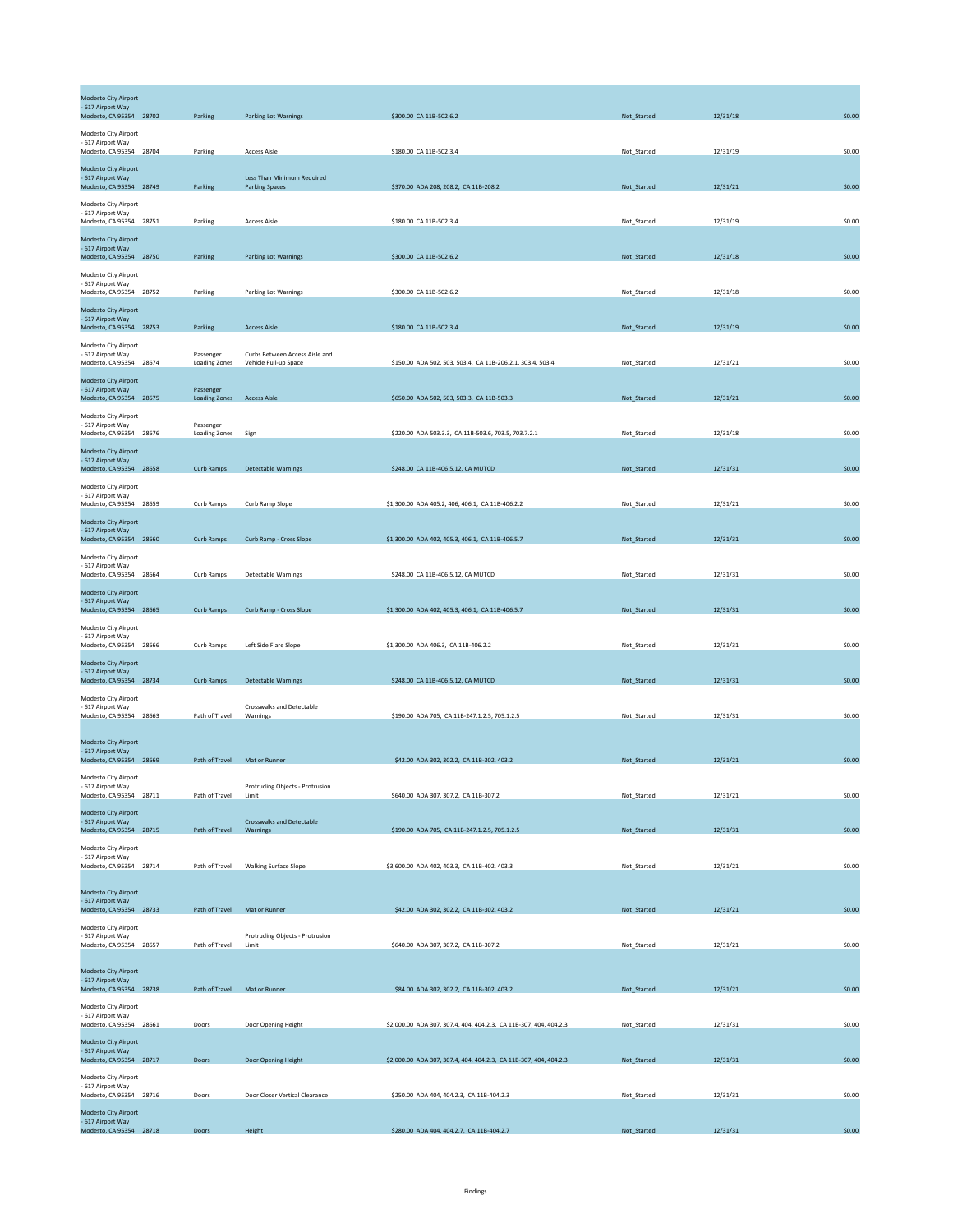| Modesto City Airport<br>- 617 Airport Way<br>Modesto, CA 95354 28702 | Parking                           | <b>Parking Lot Warnings</b>                           | \$300.00 CA 11B-502.6.2                                           | Not_Started | 12/31/18 | \$0.00 |
|----------------------------------------------------------------------|-----------------------------------|-------------------------------------------------------|-------------------------------------------------------------------|-------------|----------|--------|
| Modesto City Airport<br>- 617 Airport Way<br>Modesto, CA 95354 28704 | Parking                           | <b>Access Aisle</b>                                   | \$180.00 CA 11B-502.3.4                                           | Not_Started | 12/31/19 | \$0.00 |
| Modesto City Airport<br>- 617 Airport Way<br>Modesto, CA 95354 28749 | Parking                           | Less Than Minimum Required<br><b>Parking Spaces</b>   | \$370.00 ADA 208, 208.2, CA 11B-208.2                             | Not_Started | 12/31/21 | \$0.00 |
| Modesto City Airport<br>- 617 Airport Way<br>Modesto, CA 95354 28751 | Parking                           | <b>Access Aisle</b>                                   | \$180.00 CA 11B-502.3.4                                           | Not Started | 12/31/19 | \$0.00 |
| Modesto City Airport<br>- 617 Airport Way<br>Modesto, CA 95354 28750 | Parking                           | <b>Parking Lot Warnings</b>                           | \$300.00 CA 11B-502.6.2                                           | Not_Started | 12/31/18 | \$0.00 |
| Modesto City Airport<br>- 617 Airport Way<br>Modesto, CA 95354 28752 |                                   |                                                       | \$300.00 CA 11B-502.6.2                                           | Not_Started | 12/31/18 | \$0.00 |
| Modesto City Airport<br>- 617 Airport Way                            | Parking                           | Parking Lot Warnings                                  |                                                                   |             |          |        |
| Modesto, CA 95354 28753<br>Modesto City Airport<br>- 617 Airport Way | Parking<br>Passenger              | <b>Access Aisle</b><br>Curbs Between Access Aisle and | \$180.00 CA 11B-502.3.4                                           | Not_Started | 12/31/19 | \$0.00 |
| Modesto, CA 95354 28674<br>Modesto City Airport<br>- 617 Airport Way | <b>Loading Zones</b><br>Passenger | Vehicle Pull-up Space                                 | \$150.00 ADA 502, 503, 503.4, CA 11B-206.2.1, 303.4, 503.4        | Not_Started | 12/31/21 | \$0.00 |
| Modesto, CA 95354 28675<br>Modesto City Airport<br>- 617 Airport Way | <b>Loading Zones</b><br>Passenger | <b>Access Aisle</b>                                   | \$650.00 ADA 502, 503, 503.3, CA 11B-503.3                        | Not_Started | 12/31/21 | \$0.00 |
| Modesto, CA 95354 28676<br>Modesto City Airport                      | Loading Zones                     | Sign                                                  | \$220.00 ADA 503.3.3, CA 11B-503.6, 703.5, 703.7.2.1              | Not_Started | 12/31/18 | \$0.00 |
| - 617 Airport Way<br>Modesto, CA 95354 28658<br>Modesto City Airport | Curb Ramps                        | <b>Detectable Warnings</b>                            | \$248.00 CA 11B-406.5.12, CA MUTCD                                | Not_Started | 12/31/31 | \$0.00 |
| - 617 Airport Way<br>Modesto, CA 95354 28659                         | Curb Ramps                        | Curb Ramp Slope                                       | \$1,300.00 ADA 405.2, 406, 406.1, CA 11B-406.2.2                  | Not_Started | 12/31/21 | \$0.00 |
| Modesto City Airport<br>- 617 Airport Way<br>Modesto, CA 95354 28660 | Curb Ramps                        | Curb Ramp - Cross Slope                               | \$1,300.00 ADA 402, 405.3, 406.1, CA 11B-406.5.7                  | Not_Started | 12/31/31 | \$0.00 |
| Modesto City Airport<br>617 Airport Way<br>Modesto, CA 95354 28664   | Curb Ramps                        | Detectable Warnings                                   | \$248.00 CA 11B-406.5.12, CA MUTCD                                | Not_Started | 12/31/31 | \$0.00 |
| Modesto City Airport<br>- 617 Airport Way<br>Modesto, CA 95354 28665 | Curb Ramps                        | Curb Ramp - Cross Slope                               | \$1,300.00 ADA 402, 405.3, 406.1, CA 11B-406.5.7                  | Not_Started | 12/31/31 | \$0.00 |
| Modesto City Airport<br>- 617 Airport Way<br>Modesto, CA 95354 28666 | Curb Ramps                        | Left Side Flare Slope                                 | \$1,300.00 ADA 406.3, CA 11B-406.2.2                              | Not_Started | 12/31/31 | \$0.00 |
| Modesto City Airport<br>- 617 Airport Way<br>Modesto, CA 95354 28734 | Curb Ramps                        | <b>Detectable Warnings</b>                            | \$248.00 CA 11B-406.5.12, CA MUTCD                                | Not_Started | 12/31/31 | \$0.00 |
| Modesto City Airport<br>- 617 Airport Way<br>Modesto, CA 95354 28663 | Path of Travel                    | Crosswalks and Detectable<br>Warnings                 | \$190.00 ADA 705, CA 11B-247.1.2.5, 705.1.2.5                     | Not_Started | 12/31/31 | \$0.00 |
| Modesto City Airport<br>- 617 Airport Way                            |                                   |                                                       |                                                                   |             |          |        |
| Modesto, CA 95354 28669<br>Modesto City Airport                      | Path of Travel Mat or Runner      |                                                       | \$42.00 ADA 302, 302.2, CA 11B-302, 403.2                         | Not_Started | 12/31/21 | \$0.00 |
| - 617 Airport Way<br>Modesto, CA 95354 28711<br>Modesto City Airport | Path of Travel                    | Protruding Objects - Protrusion<br>Limit              | \$640.00 ADA 307, 307.2, CA 11B-307.2                             | Not_Started | 12/31/21 | \$0.00 |
| - 617 Airport Way<br>Modesto, CA 95354 28715<br>Modesto City Airport | Path of Travel                    | <b>Crosswalks and Detectable</b><br>Warnings          | \$190.00 ADA 705, CA 11B-247.1.2.5, 705.1.2.5                     | Not_Started | 12/31/31 | \$0.00 |
| - 617 Airport Way<br>Modesto, CA 95354 28714                         | Path of Travel                    | <b>Walking Surface Slope</b>                          | \$3,600.00 ADA 402, 403.3, CA 11B-402, 403.3                      | Not Started | 12/31/21 | \$0.00 |
| Modesto City Airport<br>- 617 Airport Way<br>Modesto, CA 95354 28733 | Path of Travel                    | Mat or Runner                                         | \$42.00 ADA 302, 302.2, CA 11B-302, 403.2                         | Not_Started | 12/31/21 | \$0.00 |
| Modesto City Airport<br>- 617 Airport Way<br>Modesto, CA 95354 28657 | Path of Travel                    | Protruding Objects - Protrusion<br>Limit              | \$640.00 ADA 307, 307.2, CA 11B-307.2                             | Not_Started | 12/31/21 | \$0.00 |
| Modesto City Airport<br>- 617 Airport Way                            |                                   |                                                       |                                                                   |             |          |        |
| Modesto, CA 95354 28738<br>Modesto City Airport                      | Path of Travel                    | Mat or Runner                                         | \$84.00 ADA 302, 302.2, CA 11B-302, 403.2                         | Not_Started | 12/31/21 | \$0.00 |
| - 617 Airport Way<br>Modesto, CA 95354 28661<br>Modesto City Airport | Doors                             | Door Opening Height                                   | \$2,000.00 ADA 307, 307.4, 404, 404.2.3, CA 11B-307, 404, 404.2.3 | Not_Started | 12/31/31 | \$0.00 |
| - 617 Airport Way<br>Modesto, CA 95354 28717<br>Modesto City Airport | Doors                             | Door Opening Height                                   | \$2,000.00 ADA 307, 307.4, 404, 404.2.3, CA 11B-307, 404, 404.2.3 | Not_Started | 12/31/31 | \$0.00 |
| - 617 Airport Way<br>Modesto, CA 95354 28716<br>Modesto City Airport | Doors                             | Door Closer Vertical Clearance                        | \$250.00 ADA 404, 404.2.3, CA 11B-404.2.3                         | Not_Started | 12/31/31 | \$0.00 |
| - 617 Airport Way<br>Modesto, CA 95354 28718                         | Doors                             | Height                                                | \$280.00 ADA 404, 404.2.7, CA 11B-404.2.7                         | Not_Started | 12/31/31 | \$0.00 |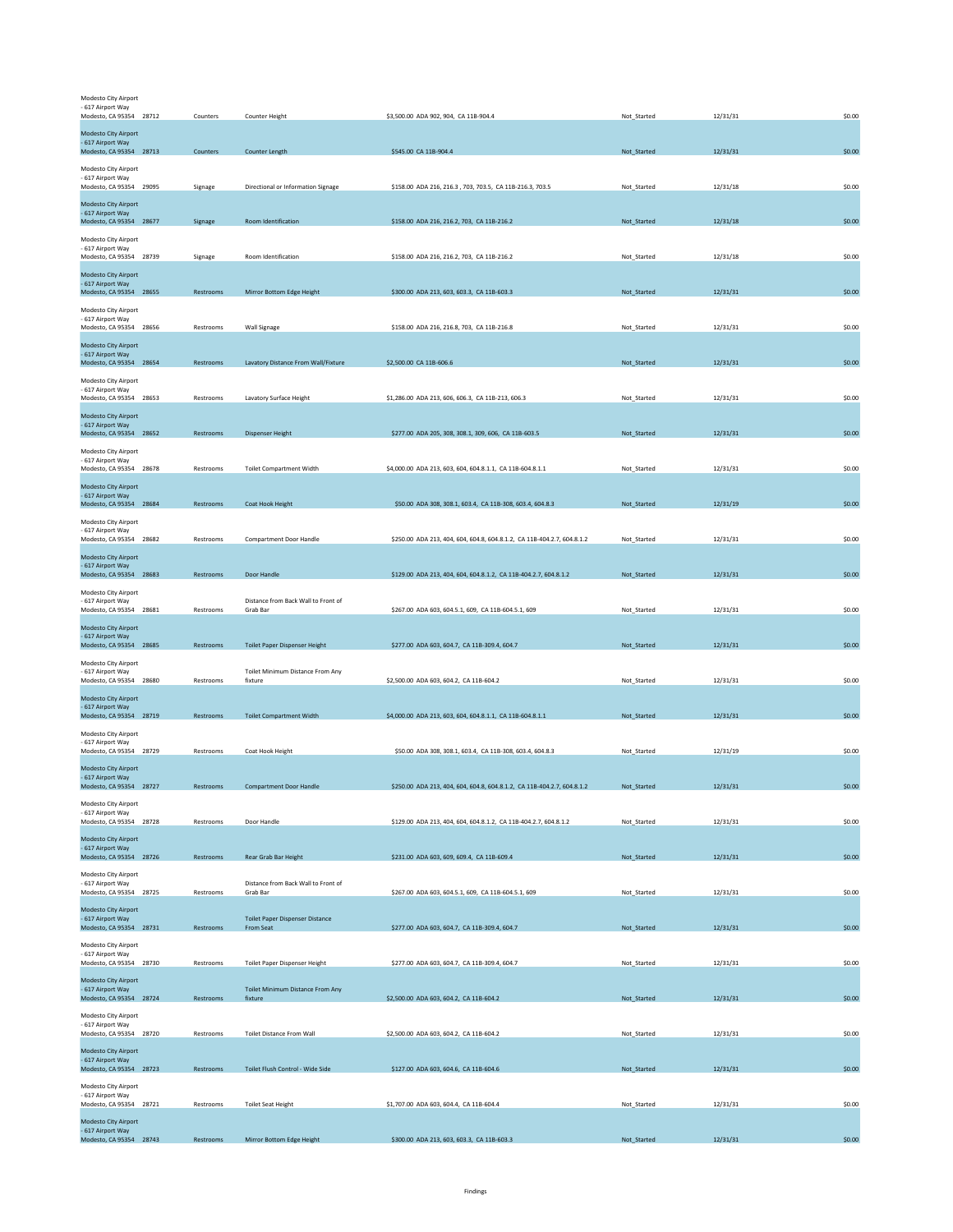| Modesto City Airport<br>- 617 Airport Way        |           |                                             |                                                                         |             |          |        |
|--------------------------------------------------|-----------|---------------------------------------------|-------------------------------------------------------------------------|-------------|----------|--------|
| Modesto, CA 95354 28712                          | Counters  | Counter Height                              | \$3,500.00 ADA 902, 904, CA 11B-904.4                                   | Not_Started | 12/31/31 | \$0.00 |
| Modesto City Airport<br>- 617 Airport Way        |           |                                             |                                                                         |             |          |        |
| Modesto, CA 95354 28713                          | Counters  | Counter Length                              | \$545.00 CA 11B-904.4                                                   | Not_Started | 12/31/31 | \$0.00 |
| Modesto City Airport<br>- 617 Airport Way        |           |                                             |                                                                         |             |          |        |
| Modesto, CA 95354 29095                          | Signage   | Directional or Information Signage          | \$158.00 ADA 216, 216.3, 703, 703.5, CA 11B-216.3, 703.5                | Not_Started | 12/31/18 | \$0.00 |
| Modesto City Airport<br>- 617 Airport Way        |           |                                             |                                                                         |             |          |        |
| Modesto, CA 95354 28677                          | Signage   | Room Identification                         | \$158.00 ADA 216, 216.2, 703, CA 11B-216.2                              | Not_Started | 12/31/18 | \$0.00 |
| Modesto City Airport<br>- 617 Airport Way        |           |                                             |                                                                         |             |          |        |
| Modesto, CA 95354 28739                          | Signage   | Room Identification                         | \$158.00 ADA 216, 216.2, 703, CA 11B-216.2                              | Not Started | 12/31/18 | \$0.00 |
| Modesto City Airport                             |           |                                             |                                                                         |             |          |        |
| - 617 Airport Way<br>Modesto, CA 95354 28655     | Restrooms | Mirror Bottom Edge Height                   | \$300.00 ADA 213, 603, 603.3, CA 11B-603.3                              | Not_Started | 12/31/31 | \$0.00 |
| Modesto City Airport                             |           |                                             |                                                                         |             |          |        |
| - 617 Airport Way<br>Modesto, CA 95354 28656     | Restrooms | Wall Signage                                | \$158.00 ADA 216, 216.8, 703, CA 11B-216.8                              | Not_Started | 12/31/31 | \$0.00 |
| <b>Modesto City Airport</b>                      |           |                                             |                                                                         |             |          |        |
| - 617 Airport Way<br>Modesto, CA 95354 28654     | Restrooms | Lavatory Distance From Wall/Fixture         | \$2,500.00 CA 11B-606.6                                                 | Not_Started | 12/31/31 | \$0.00 |
| Modesto City Airport                             |           |                                             |                                                                         |             |          |        |
| - 617 Airport Way<br>Modesto, CA 95354 28653     | Restrooms | Lavatory Surface Height                     | \$1,286.00 ADA 213, 606, 606.3, CA 11B-213, 606.3                       | Not_Started | 12/31/31 | \$0.00 |
| Modesto City Airport                             |           |                                             |                                                                         |             |          |        |
| - 617 Airport Way<br>Modesto, CA 95354 28652     | Restrooms | <b>Dispenser Height</b>                     | \$277.00 ADA 205, 308, 308.1, 309, 606, CA 11B-603.5                    | Not_Started | 12/31/31 | \$0.00 |
|                                                  |           |                                             |                                                                         |             |          |        |
| Modesto City Airport<br>- 617 Airport Wav        |           |                                             |                                                                         |             |          |        |
| Modesto, CA 95354 28678                          | Restrooms | <b>Toilet Compartment Width</b>             | \$4,000.00 ADA 213, 603, 604, 604.8.1.1, CA 11B-604.8.1.1               | Not Started | 12/31/31 | \$0.00 |
| <b>Modesto City Airport</b><br>- 617 Airport Way |           |                                             |                                                                         |             |          |        |
| Modesto, CA 95354 28684                          | Restrooms | Coat Hook Height                            | \$50.00 ADA 308, 308.1, 603.4, CA 11B-308, 603.4, 604.8.3               | Not_Started | 12/31/19 | \$0.00 |
| Modesto City Airport<br>- 617 Airport Way        |           |                                             |                                                                         |             |          |        |
| Modesto, CA 95354 28682                          | Restrooms | Compartment Door Handle                     | \$250.00 ADA 213, 404, 604, 604.8, 604.8.1.2, CA 11B-404.2.7, 604.8.1.2 | Not Started | 12/31/31 | \$0.00 |
| Modesto City Airport<br>- 617 Airport Way        |           |                                             |                                                                         |             |          |        |
| Modesto, CA 95354 28683                          | Restrooms | Door Handle                                 | \$129.00 ADA 213, 404, 604, 604.8.1.2, CA 11B-404.2.7, 604.8.1.2        | Not_Started | 12/31/31 | \$0.00 |
| Modesto City Airport<br>- 617 Airport Way        |           | Distance from Back Wall to Front of         |                                                                         |             |          |        |
| Modesto, CA 95354 28681                          | Restrooms | Grab Bar                                    | \$267.00 ADA 603, 604.5.1, 609, CA 11B-604.5.1, 609                     | Not_Started | 12/31/31 | \$0.00 |
| <b>Modesto City Airport</b>                      |           |                                             |                                                                         |             |          |        |
| - 617 Airport Way<br>Modesto, CA 95354 28685     | Restrooms | Toilet Paper Dispenser Height               | \$277.00 ADA 603, 604.7, CA 11B-309.4, 604.7                            | Not_Started | 12/31/31 | \$0.00 |
| Modesto City Airport                             |           |                                             |                                                                         |             |          |        |
| - 617 Airport Way<br>Modesto, CA 95354 28680     | Restrooms | Toilet Minimum Distance From Any<br>fixture | \$2,500.00 ADA 603, 604.2, CA 11B-604.2                                 | Not_Started | 12/31/31 | \$0.00 |
| <b>Modesto City Airport</b>                      |           |                                             |                                                                         |             |          |        |
| - 617 Airport Way<br>Modesto, CA 95354 28719     | Restrooms | <b>Toilet Compartment Width</b>             | \$4,000.00 ADA 213, 603, 604, 604.8.1.1, CA 11B-604.8.1.1               | Not_Started | 12/31/31 | \$0.00 |
| Modesto City Airport                             |           |                                             |                                                                         |             |          |        |
| - 617 Airport Way<br>Modesto, CA 95354 28729     | Restrooms | Coat Hook Height                            | \$50.00 ADA 308, 308.1, 603.4, CA 11B-308, 603.4, 604.8.3               | Not_Started | 12/31/19 | \$0.00 |
| <b>Modesto City Airport</b>                      |           |                                             |                                                                         |             |          |        |
| - 617 Airport Way<br>Modesto, CA 95354 28727     | Restrooms | <b>Compartment Door Handle</b>              | \$250.00 ADA 213, 404, 604, 604.8, 604.8.1.2, CA 11B-404.2.7, 604.8.1.2 | Not_Started | 12/31/31 | \$0.00 |
| Modesto City Airport                             |           |                                             |                                                                         |             |          |        |
| - 617 Airport Way<br>Modesto, CA 95354 28728     | Restrooms | Door Handle                                 | \$129.00 ADA 213, 404, 604, 604.8.1.2, CA 11B-404.2.7, 604.8.1.2        | Not_Started | 12/31/31 | \$0.00 |
|                                                  |           |                                             |                                                                         |             |          |        |
| Modesto City Airport<br>- 617 Airport Way        |           |                                             |                                                                         |             |          | \$0.00 |
| Modesto, CA 95354 28726                          | Restrooms | Rear Grab Bar Height                        | \$231.00 ADA 603, 609, 609.4, CA 11B-609.4                              | Not_Started | 12/31/31 |        |
| Modesto City Airport<br>- 617 Airport Way        |           | Distance from Back Wall to Front of         |                                                                         |             |          |        |
| Modesto, CA 95354 28725                          | Restrooms | Grab Bar                                    | \$267.00 ADA 603, 604.5.1, 609, CA 11B-604.5.1, 609                     | Not_Started | 12/31/31 | \$0.00 |
| Modesto City Airport<br>- 617 Airport Way        |           | <b>Toilet Paper Dispenser Distance</b>      |                                                                         |             |          |        |
| Modesto, CA 95354 28731                          | Restrooms | From Seat                                   | \$277.00 ADA 603, 604.7, CA 11B-309.4, 604.7                            | Not_Started | 12/31/31 | \$0.00 |
| Modesto City Airport<br>- 617 Airport Way        |           |                                             |                                                                         |             |          |        |
| Modesto, CA 95354 28730                          | Restrooms | Toilet Paper Dispenser Height               | \$277.00 ADA 603, 604.7, CA 11B-309.4, 604.7                            | Not_Started | 12/31/31 | \$0.00 |
| Modesto City Airport<br>- 617 Airport Way        |           | Toilet Minimum Distance From Any            |                                                                         |             |          |        |
| Modesto, CA 95354 28724                          | Restrooms | fixture                                     | \$2,500.00 ADA 603, 604.2, CA 11B-604.2                                 | Not_Started | 12/31/31 | \$0.00 |
| Modesto City Airport<br>- 617 Airport Way        |           |                                             |                                                                         |             |          |        |
| Modesto, CA 95354 28720                          | Restrooms | <b>Toilet Distance From Wall</b>            | \$2,500.00 ADA 603, 604.2, CA 11B-604.2                                 | Not_Started | 12/31/31 | \$0.00 |
| Modesto City Airport                             |           |                                             |                                                                         |             |          |        |
| - 617 Airport Way<br>Modesto, CA 95354 28723     | Restrooms | Toilet Flush Control - Wide Side            | \$127.00 ADA 603, 604.6, CA 11B-604.6                                   | Not_Started | 12/31/31 | \$0.00 |
| Modesto City Airport                             |           |                                             |                                                                         |             |          |        |
| - 617 Airport Way<br>Modesto, CA 95354 28721     | Restrooms | <b>Toilet Seat Height</b>                   | \$1,707.00 ADA 603, 604.4, CA 11B-604.4                                 | Not Started | 12/31/31 | \$0.00 |
| Modesto City Airport                             |           |                                             |                                                                         |             |          |        |
| - 617 Airport Way<br>Modesto, CA 95354 28743     | Restrooms | Mirror Bottom Edge Height                   | \$300.00 ADA 213, 603, 603.3, CA 11B-603.3                              | Not_Started | 12/31/31 | \$0.00 |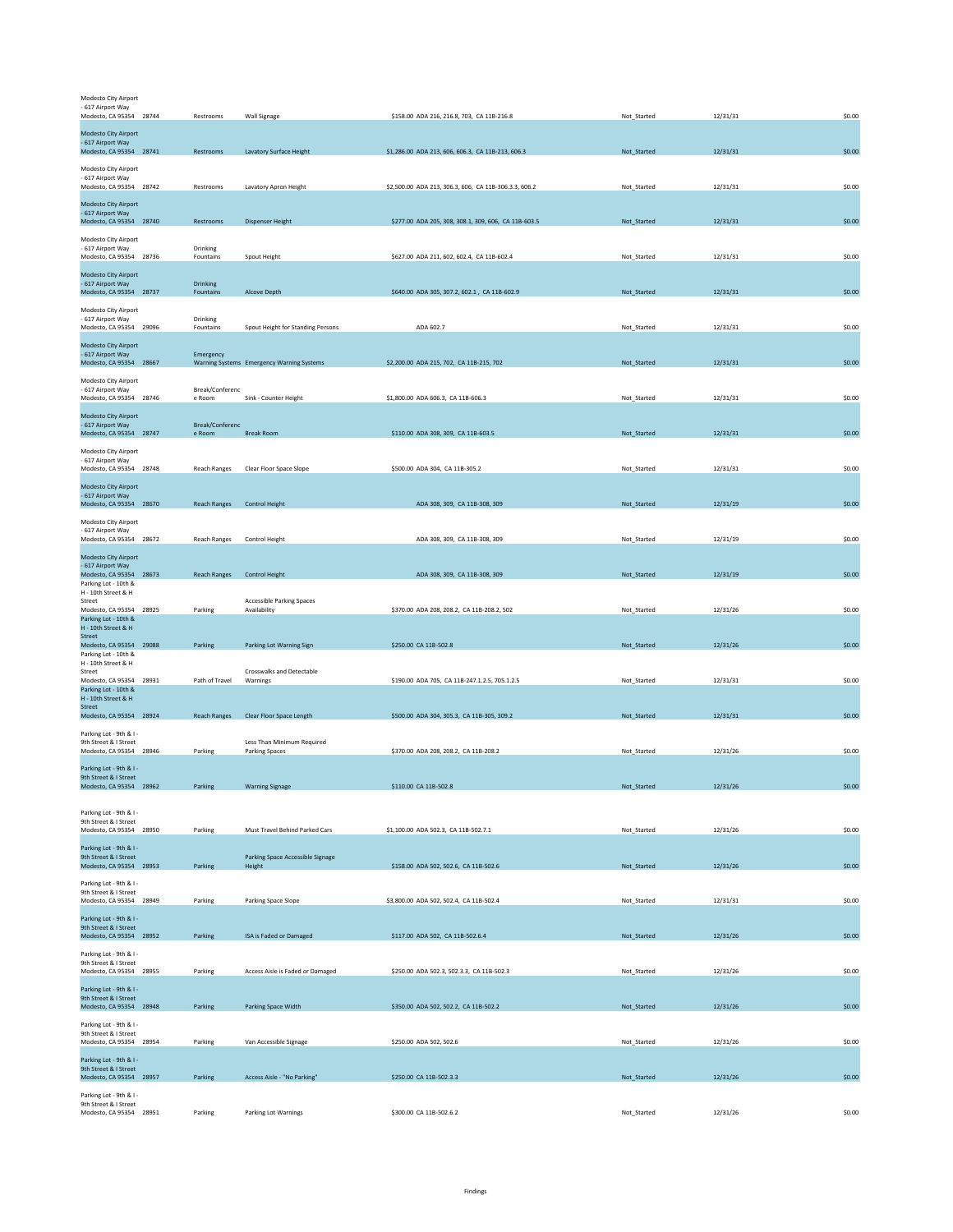| Modesto City Airport<br>- 617 Airport Way<br>Modesto, CA 95354 28744                    | Restrooms                 | Wall Signage                                              | \$158.00 ADA 216, 216.8, 703, CA 11B-216.8            | Not_Started | 12/31/31 | \$0.00 |
|-----------------------------------------------------------------------------------------|---------------------------|-----------------------------------------------------------|-------------------------------------------------------|-------------|----------|--------|
| Modesto City Airport<br>- 617 Airport Way<br>Modesto, CA 95354 28741                    | Restrooms                 | Lavatory Surface Height                                   | \$1,286.00 ADA 213, 606, 606.3, CA 11B-213, 606.3     | Not_Started | 12/31/31 | \$0.00 |
| Modesto City Airport<br>- 617 Airport Way<br>Modesto, CA 95354 28742                    | Restrooms                 | Lavatory Apron Height                                     | \$2,500.00 ADA 213, 306.3, 606, CA 11B-306.3.3, 606.2 | Not_Started | 12/31/31 | \$0.00 |
| Modesto City Airport<br>- 617 Airport Way<br>Modesto, CA 95354 28740                    | Restrooms                 | <b>Dispenser Height</b>                                   | \$277.00 ADA 205, 308, 308.1, 309, 606, CA 11B-603.5  | Not_Started | 12/31/31 | \$0.00 |
| Modesto City Airport<br>- 617 Airport Way<br>Modesto, CA 95354 28736                    | Drinking<br>Fountains     | Spout Height                                              | \$627.00 ADA 211, 602, 602.4, CA 11B-602.4            | Not_Started | 12/31/31 | \$0.00 |
| Modesto City Airport<br>- 617 Airport Way<br>Modesto, CA 95354 28737                    | Drinking<br>Fountains     | Alcove Depth                                              | \$640.00 ADA 305, 307.2, 602.1, CA 11B-602.9          | Not_Started | 12/31/31 | \$0.00 |
| Modesto City Airport<br>- 617 Airport Way<br>Modesto, CA 95354 29096                    | Drinking<br>Fountains     | Spout Height for Standing Persons                         | ADA 602.7                                             | Not_Started | 12/31/31 | \$0.00 |
| Modesto City Airport<br>- 617 Airport Way<br>Modesto, CA 95354 28667                    | Emergency                 | Warning Systems Emergency Warning Systems                 | \$2,200.00 ADA 215, 702, CA 11B-215, 702              | Not_Started | 12/31/31 | \$0.00 |
| Modesto City Airport<br>- 617 Airport Way<br>Modesto, CA 95354 28746                    | Break/Conferenc<br>e Room | Sink - Counter Height                                     | \$1,800.00 ADA 606.3, CA 11B-606.3                    | Not_Started | 12/31/31 | \$0.00 |
| Modesto City Airport<br>- 617 Airport Way<br>Modesto, CA 95354 28747                    | Break/Conferenc<br>e Room | <b>Break Room</b>                                         | \$110.00 ADA 308, 309, CA 11B-603.5                   | Not_Started | 12/31/31 | \$0.00 |
| Modesto City Airport<br>- 617 Airport Way<br>Modesto, CA 95354 28748                    | <b>Reach Ranges</b>       | Clear Floor Space Slope                                   | \$500.00 ADA 304, CA 11B-305.2                        | Not Started | 12/31/31 | \$0.00 |
| Modesto City Airport<br>- 617 Airport Way<br>Modesto, CA 95354 28670                    | <b>Reach Ranges</b>       | Control Height                                            | ADA 308, 309, CA 11B-308, 309                         | Not_Started | 12/31/19 | \$0.00 |
| Modesto City Airport<br>- 617 Airport Way                                               |                           |                                                           | ADA 308, 309, CA 11B-308, 309                         |             | 12/31/19 | \$0.00 |
| Modesto, CA 95354 28672<br>Modesto City Airport<br>- 617 Airport Way                    | Reach Ranges              | Control Height                                            |                                                       | Not_Started |          |        |
| Modesto, CA 95354 28673<br>Parking Lot - 10th &<br>H - 10th Street & H<br>Street        | <b>Reach Ranges</b>       | <b>Control Height</b><br><b>Accessible Parking Spaces</b> | ADA 308, 309, CA 11B-308, 309                         | Not_Started | 12/31/19 | \$0.00 |
| Modesto, CA 95354 28925<br>Parking Lot - 10th &<br>H - 10th Street & H                  | Parking                   | Availability                                              | \$370.00 ADA 208, 208.2, CA 11B-208.2, 502            | Not_Started | 12/31/26 | \$0.00 |
| <b>Street</b><br>Modesto, CA 95354 29088<br>Parking Lot - 10th &<br>H - 10th Street & H | Parking                   | Parking Lot Warning Sign                                  | \$250.00 CA 11B-502.8                                 | Not_Started | 12/31/26 | \$0.00 |
| Street<br>Modesto, CA 95354 28931<br>Parking Lot - 10th &<br>H - 10th Street & H        | Path of Travel            | Crosswalks and Detectable<br>Warnings                     | \$190.00 ADA 705, CA 11B-247.1.2.5, 705.1.2.5         | Not_Started | 12/31/31 | \$0.00 |
| Street<br>Modesto, CA 95354 28924<br>Parking Lot - 9th & I -                            | <b>Reach Ranges</b>       | Clear Floor Space Length                                  | \$500.00 ADA 304, 305.3, CA 11B-305, 309.2            | Not_Started | 12/31/31 | \$0.00 |
| 9th Street & I Street<br>Modesto, CA 95354 28946                                        | Parking                   | Less Than Minimum Required<br><b>Parking Spaces</b>       | \$370.00 ADA 208, 208.2, CA 11B-208.2                 | Not_Started | 12/31/26 | \$0.00 |
| Parking Lot - 9th & I -<br>9th Street & I Street<br>Modesto, CA 95354 28962             | Parking                   | <b>Warning Signage</b>                                    | \$110.00 CA 11B-502.8                                 | Not Started | 12/31/26 | \$0.00 |
| Parking Lot - 9th & I -<br>9th Street & I Street<br>Modesto, CA 95354 28950             | Parking                   | Must Travel Behind Parked Cars                            | \$1,100.00 ADA 502.3, CA 11B-502.7.1                  | Not_Started | 12/31/26 | \$0.00 |
| Parking Lot - 9th & I -<br>9th Street & I Street<br>Modesto, CA 95354 28953             | Parking                   | Parking Space Accessible Signage<br>Height                | \$158.00 ADA 502, 502.6, CA 11B-502.6                 | Not_Started | 12/31/26 | \$0.00 |
| Parking Lot - 9th & I -<br>9th Street & I Street<br>Modesto, CA 95354 28949             | Parking                   | Parking Space Slope                                       | \$3,800.00 ADA 502, 502.4, CA 11B-502.4               | Not_Started | 12/31/31 | \$0.00 |
| Parking Lot - 9th & I -<br>9th Street & I Street<br>Modesto, CA 95354 28952             | Parking                   | ISA is Faded or Damaged                                   | \$117.00 ADA 502, CA 11B-502.6.4                      | Not_Started | 12/31/26 | \$0.00 |
| Parking Lot - 9th & I -<br>9th Street & I Street<br>Modesto, CA 95354 28955             | Parking                   | Access Aisle is Faded or Damaged                          | \$250.00 ADA 502.3, 502.3.3, CA 11B-502.3             | Not_Started | 12/31/26 | \$0.00 |
| Parking Lot - 9th & I -<br>9th Street & I Street<br>Modesto, CA 95354 28948             | Parking                   | Parking Space Width                                       | \$350.00 ADA 502, 502.2, CA 11B-502.2                 | Not_Started | 12/31/26 | \$0.00 |
| Parking Lot - 9th & I -<br>9th Street & I Street<br>Modesto, CA 95354 28954             | Parking                   | Van Accessible Signage                                    | \$250.00 ADA 502, 502.6                               | Not_Started | 12/31/26 | \$0.00 |
| Parking Lot - 9th & I -<br>9th Street & I Street<br>Modesto, CA 95354 28957             | Parking                   | Access Aisle - "No Parking"                               | \$250.00 CA 11B-502.3.3                               | Not_Started | 12/31/26 | \$0.00 |
| Parking Lot - 9th & I -<br>9th Street & I Street<br>Modesto, CA 95354 28951             | Parking                   | Parking Lot Warnings                                      | \$300.00 CA 11B-502.6.2                               | Not_Started | 12/31/26 | \$0.00 |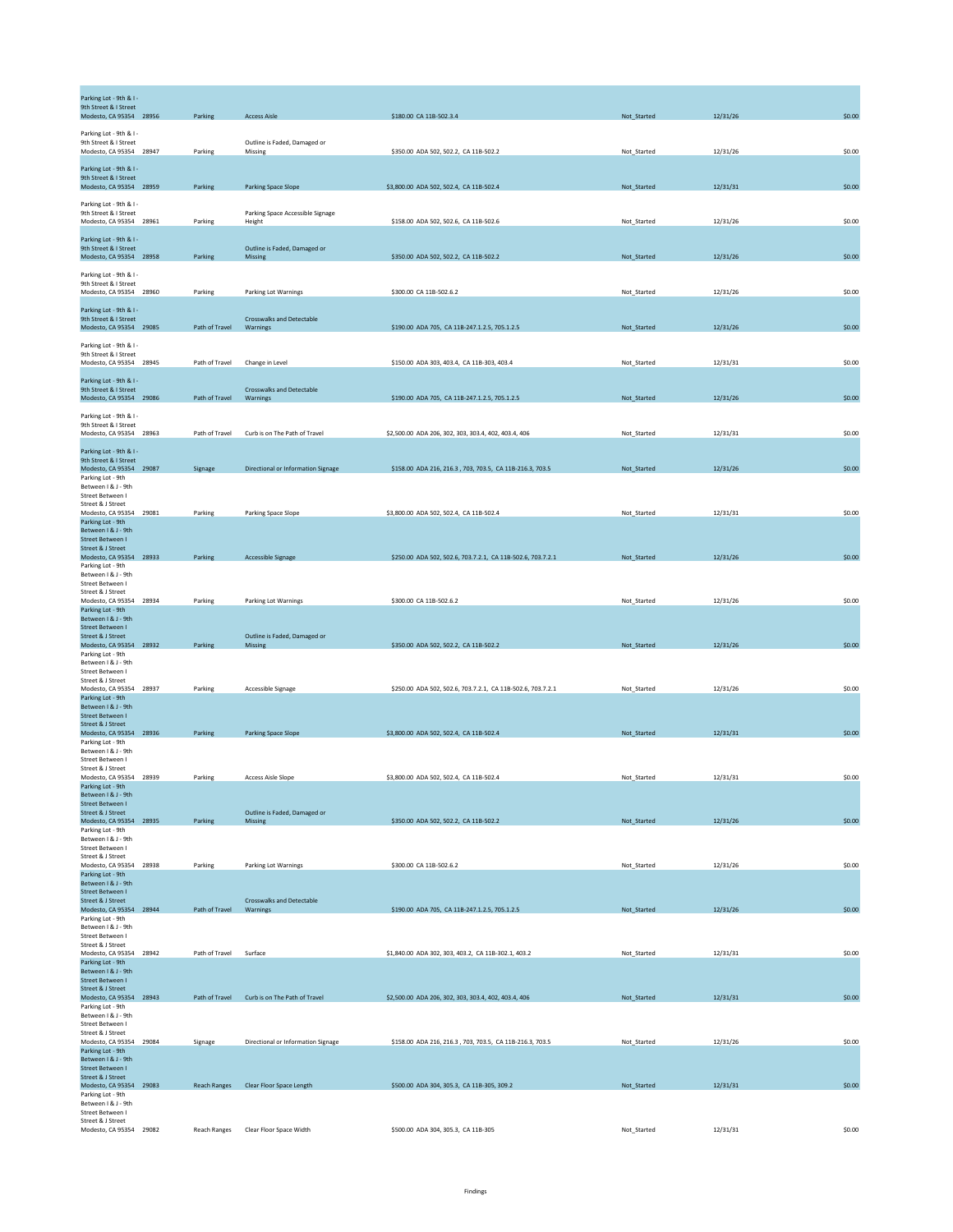| Parking Lot - 9th & I -<br>9th Street & I Street<br>Modesto, CA 95354 28956                      | Parking        | <b>Access Aisle</b>                          | \$180.00 CA 11B-502.3.4                                     | Not_Started | 12/31/26 | \$0.00 |
|--------------------------------------------------------------------------------------------------|----------------|----------------------------------------------|-------------------------------------------------------------|-------------|----------|--------|
| Parking Lot - 9th & I -<br>9th Street & I Street<br>Modesto, CA 95354 28947                      | Parking        | Outline is Faded, Damaged or<br>Missing      | \$350.00 ADA 502, 502.2, CA 11B-502.2                       | Not Started | 12/31/26 | \$0.00 |
| Parking Lot - 9th & I -<br>9th Street & I Street<br>Modesto, CA 95354 28959                      | Parking        | <b>Parking Space Slope</b>                   | \$3,800.00 ADA 502, 502.4, CA 11B-502.4                     | Not_Started | 12/31/31 | \$0.00 |
| Parking Lot - 9th & I -<br>9th Street & I Street                                                 |                | Parking Space Accessible Signage             |                                                             |             |          |        |
| Modesto, CA 95354 28961<br>Parking Lot - 9th & I -<br>9th Street & I Street                      | Parking        | Height<br>Outline is Faded, Damaged or       | \$158.00 ADA 502, 502.6, CA 11B-502.6                       | Not_Started | 12/31/26 | \$0.00 |
| Modesto, CA 95354 28958<br>Parking Lot - 9th & I -<br>9th Street & I Street                      | Parking        | Missing                                      | \$350.00 ADA 502, 502.2, CA 11B-502.2                       | Not_Started | 12/31/26 | \$0.00 |
| Modesto, CA 95354 28960<br>Parking Lot - 9th & I -                                               | Parking        | Parking Lot Warnings                         | \$300.00 CA 11B-502.6.2                                     | Not_Started | 12/31/26 | \$0.00 |
| 9th Street & I Street<br>Modesto, CA 95354 29085<br>Parking Lot - 9th & I -                      | Path of Travel | <b>Crosswalks and Detectable</b><br>Warnings | \$190.00 ADA 705, CA 11B-247.1.2.5, 705.1.2.5               | Not_Started | 12/31/26 | \$0.00 |
| 9th Street & I Street<br>Modesto, CA 95354 28945                                                 | Path of Travel | Change in Level                              | \$150.00 ADA 303, 403.4, CA 11B-303, 403.4                  | Not_Started | 12/31/31 | \$0.00 |
| Parking Lot - 9th & I -<br>9th Street & I Street<br>Modesto, CA 95354 29086                      | Path of Travel | <b>Crosswalks and Detectable</b><br>Warnings | \$190.00 ADA 705, CA 11B-247.1.2.5, 705.1.2.5               | Not_Started | 12/31/26 | \$0.00 |
| Parking Lot - 9th & I -<br>9th Street & I Street<br>Modesto, CA 95354 28963                      | Path of Travel | Curb is on The Path of Travel                | \$2,500.00 ADA 206, 302, 303, 303.4, 402, 403.4, 406        | Not Started | 12/31/31 | \$0.00 |
| Parking Lot - 9th & I -<br>9th Street & I Street<br>Modesto, CA 95354 29087                      | Signage        | Directional or Information Signage           | \$158.00 ADA 216, 216.3, 703, 703.5, CA 11B-216.3, 703.5    | Not_Started | 12/31/26 | \$0.00 |
| Parking Lot - 9th<br>Between   & J - 9th<br>Street Between I<br>Street & J Street                |                |                                              |                                                             |             |          |        |
| Modesto, CA 95354 29081<br>Parking Lot - 9th<br>Between I & J - 9th                              | Parking        | Parking Space Slope                          | \$3,800.00 ADA 502, 502.4, CA 11B-502.4                     | Not_Started | 12/31/31 | \$0.00 |
| Street Between I<br>Street & J Street<br>Modesto, CA 95354 28933<br>Parking Lot - 9th            | Parking        | <b>Accessible Signage</b>                    | \$250.00 ADA 502, 502.6, 703.7.2.1, CA 11B-502.6, 703.7.2.1 | Not_Started | 12/31/26 | \$0.00 |
| Between I & J - 9th<br>Street Between I<br>Street & J Street                                     |                |                                              |                                                             |             |          |        |
| Modesto, CA 95354 28934<br>Parking Lot - 9th<br>Between I & J - 9th<br>Street Between I          | Parking        | Parking Lot Warnings                         | \$300.00 CA 11B-502.6.2                                     | Not_Started | 12/31/26 | \$0.00 |
| Street & J Street<br>Modesto, CA 95354 28932<br>Parking Lot - 9th                                | Parking        | Outline is Faded, Damaged or<br>Missing      | \$350.00 ADA 502, 502.2, CA 11B-502.2                       | Not_Started | 12/31/26 | \$0.00 |
| Between I & J - 9th<br>Street Between I<br>Street & J Street<br>Modesto, CA 95354 28937          | Parking        | Accessible Signage                           | \$250.00 ADA 502, 502.6, 703.7.2.1, CA 11B-502.6, 703.7.2.1 | Not_Started | 12/31/26 | \$0.00 |
| Parking Lot - 9th<br>Between I & J - 9th<br><b>Street Between I</b><br>Street & J Street         |                |                                              |                                                             |             |          |        |
| Modesto, CA 95354 28936<br>Parking Lot - 9th<br>Between   & J - 9th                              | Parking        | Parking Space Slope                          | \$3,800.00 ADA 502, 502.4, CA 11B-502.4                     | Not_Started | 12/31/31 | \$0.00 |
| Street Between I<br>Street & J Street<br>Modesto, CA 95354 28939<br>Parking Lot - 9th            | Parking        | <b>Access Aisle Slope</b>                    | \$3,800.00 ADA 502, 502.4, CA 11B-502.4                     | Not_Started | 12/31/31 | \$0.00 |
| Between   & J - 9th<br><b>Street Between I</b><br>Street & J Street                              |                | Outline is Faded, Damaged or                 |                                                             |             |          |        |
| Modesto, CA 95354 28935<br>Parking Lot - 9th<br>Between I & J - 9th<br>Street Between I          | Parking        | Missing                                      | \$350.00 ADA 502, 502.2, CA 11B-502.2                       | Not_Started | 12/31/26 | \$0.00 |
| Street & J Street<br>Modesto, CA 95354 28938<br>Parking Lot - 9th                                | Parking        | Parking Lot Warnings                         | \$300.00 CA 11B-502.6.2                                     | Not_Started | 12/31/26 | \$0.00 |
| Between   & J - 9th<br>Street Between I<br>Street & J Street<br>Modesto, CA 95354 28944          | Path of Travel | <b>Crosswalks and Detectable</b><br>Warnings | \$190.00 ADA 705, CA 11B-247.1.2.5, 705.1.2.5               | Not_Started | 12/31/26 | \$0.00 |
| Parking Lot - 9th<br>Between I & J - 9th<br>Street Between I                                     |                |                                              |                                                             |             |          |        |
| Street & J Street<br>Modesto, CA 95354 28942<br>Parking Lot - 9th<br>Between I & J - 9th         | Path of Travel | Surface                                      | \$1,840.00 ADA 302, 303, 403.2, CA 11B-302.1, 403.2         | Not_Started | 12/31/31 | \$0.00 |
| Street Between I<br><b>Street &amp; J Street</b><br>Modesto, CA 95354 28943<br>Parking Lot - 9th | Path of Travel | Curb is on The Path of Travel                | \$2,500.00 ADA 206, 302, 303, 303.4, 402, 403.4, 406        | Not_Started | 12/31/31 | \$0.00 |
| Between   & J - 9th<br>Street Between I<br>Street & J Street                                     |                |                                              |                                                             |             |          |        |
| Modesto, CA 95354 29084<br>Parking Lot - 9th<br>Between I & J - 9th<br><b>Street Between I</b>   | Signage        | Directional or Information Signage           | \$158.00 ADA 216, 216.3, 703, 703.5, CA 11B-216.3, 703.5    | Not_Started | 12/31/26 | \$0.00 |
| Street & J Street<br>Modesto, CA 95354 29083<br>Parking Lot - 9th                                |                | Reach Ranges Clear Floor Space Length        | \$500.00 ADA 304, 305.3, CA 11B-305, 309.2                  | Not_Started | 12/31/31 | \$0.00 |
| Between   & J - 9th<br>Street Between I<br>Street & J Street<br>Modesto, CA 95354 29082          | Reach Ranges   | Clear Floor Space Width                      | \$500.00 ADA 304, 305.3, CA 11B-305                         | Not_Started | 12/31/31 | \$0.00 |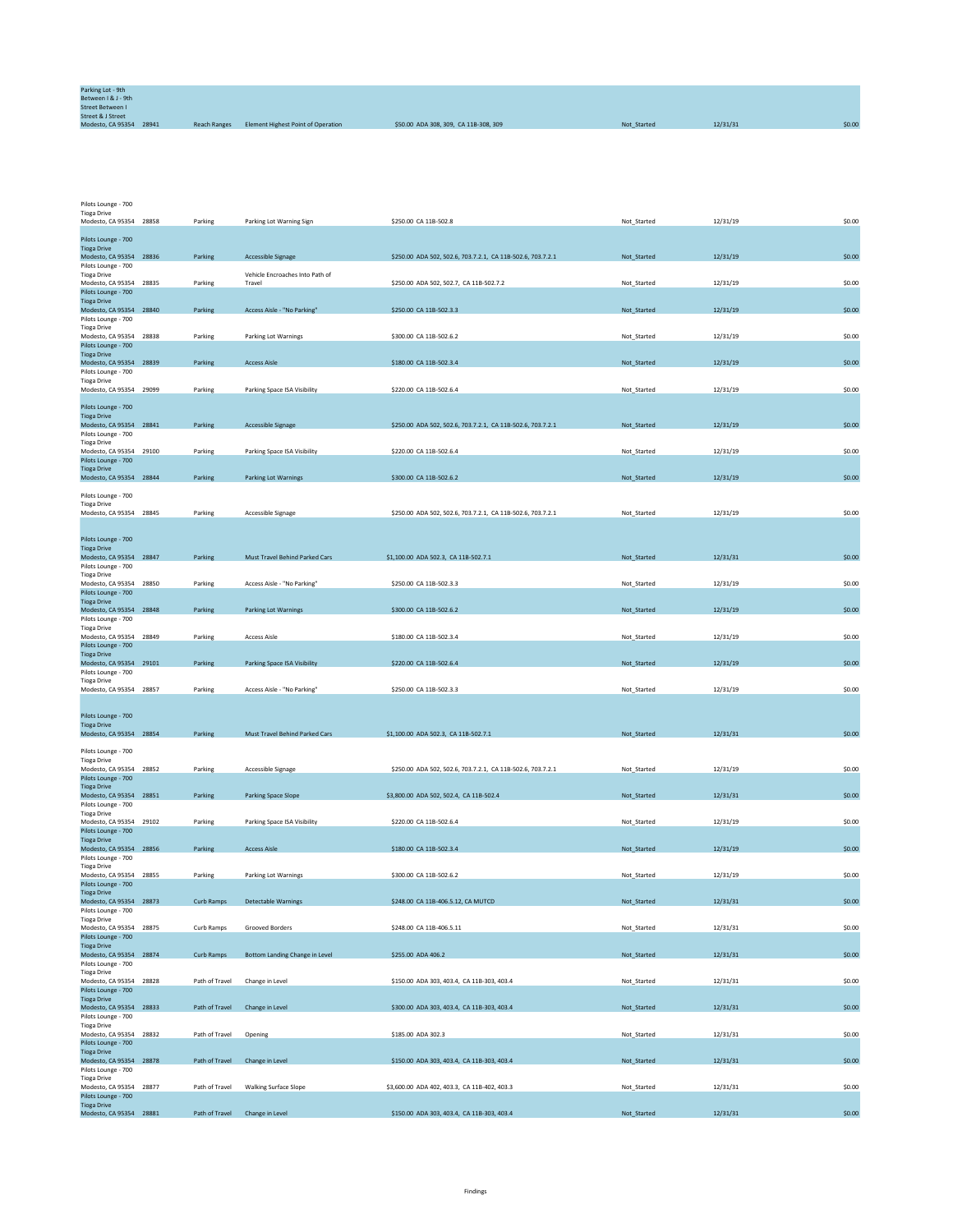| Parking Lot - 9th<br>Between I & J - 9th                |                     |                                    |                                       |             |          |        |
|---------------------------------------------------------|---------------------|------------------------------------|---------------------------------------|-------------|----------|--------|
| <b>Street Between I</b>                                 |                     |                                    |                                       |             |          |        |
| <b>Street &amp; J Street</b><br>Modesto, CA 95354 28941 | <b>Reach Ranges</b> | Element Highest Point of Operation | \$50.00 ADA 308, 309, CA 11B-308, 309 | Not Started | 12/31/31 | \$0.00 |

Pilots Lounge - 700 Tioga Drive

| Modesto, CA 95354 28858                        | Parking        | Parking Lot Warning Sign                  | \$250.00 CA 11B-502.8                                       | Not Started | 12/31/19 | \$0.00 |
|------------------------------------------------|----------------|-------------------------------------------|-------------------------------------------------------------|-------------|----------|--------|
| Pilots Lounge - 700                            |                |                                           |                                                             |             |          |        |
| <b>Tioga Drive</b>                             |                |                                           | \$250.00 ADA 502, 502.6, 703.7.2.1, CA 11B-502.6, 703.7.2.1 |             |          |        |
| Modesto, CA 95354 28836<br>Pilots Lounge - 700 | Parking        | Accessible Signage                        |                                                             | Not_Started | 12/31/19 | \$0.00 |
| <b>Tioga Drive</b><br>Modesto, CA 95354 28835  | Parking        | Vehicle Encroaches Into Path of<br>Travel | \$250.00 ADA 502, 502.7, CA 11B-502.7.2                     | Not_Started | 12/31/19 | \$0.00 |
| Pilots Lounge - 700                            |                |                                           |                                                             |             |          |        |
| <b>Tioga Drive</b><br>Modesto, CA 95354 28840  | Parking        | Access Aisle - "No Parking"               | \$250.00 CA 11B-502.3.3                                     | Not_Started | 12/31/19 | \$0.00 |
| Pilots Lounge - 700                            |                |                                           |                                                             |             |          |        |
| <b>Tioga Drive</b><br>Modesto, CA 95354 28838  | Parking        | Parking Lot Warnings                      | \$300.00 CA 11B-502.6.2                                     | Not_Started | 12/31/19 | \$0.00 |
| Pilots Lounge - 700                            |                |                                           |                                                             |             |          |        |
| <b>Tioga Drive</b><br>Modesto, CA 95354 28839  | Parking        | <b>Access Aisle</b>                       | \$180.00 CA 11B-502.3.4                                     | Not_Started | 12/31/19 | \$0.00 |
| Pilots Lounge - 700                            |                |                                           |                                                             |             |          |        |
| <b>Tioga Drive</b><br>Modesto, CA 95354 29099  | Parking        | Parking Space ISA Visibility              | \$220.00 CA 11B-502.6.4                                     | Not_Started | 12/31/19 | \$0.00 |
| Pilots Lounge - 700                            |                |                                           |                                                             |             |          |        |
| <b>Tioga Drive</b>                             |                |                                           |                                                             |             |          |        |
| Modesto, CA 95354 28841<br>Pilots Lounge - 700 | Parking        | Accessible Signage                        | \$250.00 ADA 502, 502.6, 703.7.2.1, CA 11B-502.6, 703.7.2.1 | Not Started | 12/31/19 | \$0.00 |
| <b>Tioga Drive</b>                             |                |                                           |                                                             |             |          |        |
| Modesto, CA 95354 29100<br>Pilots Lounge - 700 | Parking        | Parking Space ISA Visibility              | \$220.00 CA 11B-502.6.4                                     | Not_Started | 12/31/19 | \$0.00 |
| <b>Tioga Drive</b><br>Modesto, CA 95354 28844  | Parking        | <b>Parking Lot Warnings</b>               | \$300.00 CA 11B-502.6.2                                     | Not_Started | 12/31/19 | \$0.00 |
|                                                |                |                                           |                                                             |             |          |        |
| Pilots Lounge - 700<br><b>Tioga Drive</b>      |                |                                           |                                                             |             |          |        |
| Modesto, CA 95354 28845                        | Parking        | Accessible Signage                        | \$250.00 ADA 502, 502.6, 703.7.2.1, CA 11B-502.6, 703.7.2.1 | Not_Started | 12/31/19 | \$0.00 |
|                                                |                |                                           |                                                             |             |          |        |
| Pilots Lounge - 700                            |                |                                           |                                                             |             |          |        |
| <b>Tioga Drive</b><br>Modesto, CA 95354 28847  | Parking        | Must Travel Behind Parked Cars            | \$1,100.00 ADA 502.3, CA 11B-502.7.1                        | Not_Started | 12/31/31 | \$0.00 |
| Pilots Lounge - 700<br><b>Tioga Drive</b>      |                |                                           |                                                             |             |          |        |
| Modesto, CA 95354 28850                        | Parking        | Access Aisle - "No Parking"               | \$250.00 CA 11B-502.3.3                                     | Not_Started | 12/31/19 | \$0.00 |
| Pilots Lounge - 700<br><b>Tioga Drive</b>      |                |                                           |                                                             |             |          |        |
| Modesto, CA 95354 28848                        | Parking        | Parking Lot Warnings                      | \$300.00 CA 11B-502.6.2                                     | Not_Started | 12/31/19 | \$0.00 |
| Pilots Lounge - 700<br><b>Tioga Drive</b>      |                |                                           |                                                             |             |          |        |
| Modesto, CA 95354 28849                        | Parking        | <b>Access Aisle</b>                       | \$180.00 CA 11B-502.3.4                                     | Not_Started | 12/31/19 | \$0.00 |
| Pilots Lounge - 700<br><b>Tioga Drive</b>      |                |                                           |                                                             |             |          |        |
| Modesto, CA 95354 29101<br>Pilots Lounge - 700 | Parking        | Parking Space ISA Visibility              | \$220.00 CA 11B-502.6.4                                     | Not_Started | 12/31/19 | \$0.00 |
| <b>Tioga Drive</b>                             |                |                                           |                                                             |             |          |        |
| Modesto, CA 95354 28857                        | Parking        | Access Aisle - "No Parking"               | \$250.00 CA 11B-502.3.3                                     | Not_Started | 12/31/19 | \$0.00 |
|                                                |                |                                           |                                                             |             |          |        |
| Pilots Lounge - 700<br><b>Tioga Drive</b>      |                |                                           |                                                             |             |          |        |
| Modesto, CA 95354 28854                        | Parking        | Must Travel Behind Parked Cars            | \$1,100.00 ADA 502.3, CA 11B-502.7.1                        | Not_Started | 12/31/31 | \$0.00 |
| Pilots Lounge - 700                            |                |                                           |                                                             |             |          |        |
| <b>Tioga Drive</b><br>Modesto, CA 95354 28852  | Parking        | Accessible Signage                        | \$250.00 ADA 502, 502.6, 703.7.2.1, CA 11B-502.6, 703.7.2.1 | Not_Started | 12/31/19 | \$0.00 |
| Pilots Lounge - 700                            |                |                                           |                                                             |             |          |        |
| <b>Tioga Drive</b><br>Modesto, CA 95354 28851  | Parking        | Parking Space Slope                       | \$3,800.00 ADA 502, 502.4, CA 11B-502.4                     | Not_Started | 12/31/31 | \$0.00 |
| Pilots Lounge - 700                            |                |                                           |                                                             |             |          |        |
| <b>Tioga Drive</b><br>Modesto, CA 95354 29102  | Parking        | Parking Space ISA Visibility              | \$220.00 CA 11B-502.6.4                                     | Not_Started | 12/31/19 | \$0.00 |
| Pilots Lounge - 700<br><b>Tioga Drive</b>      |                |                                           |                                                             |             |          |        |
| Modesto, CA 95354 28856                        | Parking        | <b>Access Aisle</b>                       | \$180.00 CA 11B-502.3.4                                     | Not_Started | 12/31/19 | \$0.00 |
| Pilots Lounge - 700<br><b>Tioga Drive</b>      |                |                                           |                                                             |             |          |        |
| Modesto, CA 95354 28855                        | Parking        | Parking Lot Warnings                      | \$300.00 CA 11B-502.6.2                                     | Not_Started | 12/31/19 | \$0.00 |
| Pilots Lounge - 700<br><b>Tioga Drive</b>      |                |                                           |                                                             |             |          |        |
| Modesto, CA 95354 28873                        | Curb Ramps     | <b>Detectable Warnings</b>                | \$248.00 CA 11B-406.5.12, CA MUTCD                          | Not_Started | 12/31/31 | \$0.00 |
| Pilots Lounge - 700<br><b>Tioga Drive</b>      |                |                                           |                                                             |             |          |        |
| Modesto, CA 95354 28875<br>Pilots Lounge - 700 | Curb Ramps     | Grooved Borders                           | \$248.00 CA 11B-406.5.11                                    | Not_Started | 12/31/31 | \$0.00 |
| <b>Tioga Drive</b>                             |                |                                           |                                                             |             |          |        |
| Modesto, CA 95354 28874<br>Pilots Lounge - 700 | Curb Ramps     | Bottom Landing Change in Level            | \$255.00 ADA 406.2                                          | Not_Started | 12/31/31 | \$0.00 |
| <b>Tioga Drive</b>                             |                |                                           |                                                             |             |          |        |
| Modesto, CA 95354 28828<br>Pilots Lounge - 700 | Path of Travel | Change in Level                           | \$150.00 ADA 303, 403.4, CA 11B-303, 403.4                  | Not_Started | 12/31/31 | \$0.00 |
| <b>Tioga Drive</b><br>Modesto, CA 95354 28833  | Path of Travel | Change in Level                           | \$300.00 ADA 303, 403.4, CA 11B-303, 403.4                  | Not Started | 12/31/31 | \$0.00 |
| Pilots Lounge - 700                            |                |                                           |                                                             |             |          |        |
| <b>Tioga Drive</b><br>Modesto, CA 95354 28832  | Path of Travel | Opening                                   | \$185.00 ADA 302.3                                          | Not_Started | 12/31/31 | \$0.00 |
| Pilots Lounge - 700                            |                |                                           |                                                             |             |          |        |
| <b>Tioga Drive</b><br>Modesto, CA 95354 28878  | Path of Travel | Change in Level                           | \$150.00 ADA 303, 403.4, CA 11B-303, 403.4                  | Not_Started | 12/31/31 | \$0.00 |
| Pilots Lounge - 700                            |                |                                           |                                                             |             |          |        |
| <b>Tioga Drive</b><br>Modesto, CA 95354 28877  | Path of Travel | <b>Walking Surface Slope</b>              | \$3,600.00 ADA 402, 403.3, CA 11B-402, 403.3                | Not_Started | 12/31/31 | \$0.00 |
|                                                |                |                                           |                                                             |             |          |        |
| Pilots Lounge - 700<br><b>Tioga Drive</b>      |                |                                           |                                                             |             |          |        |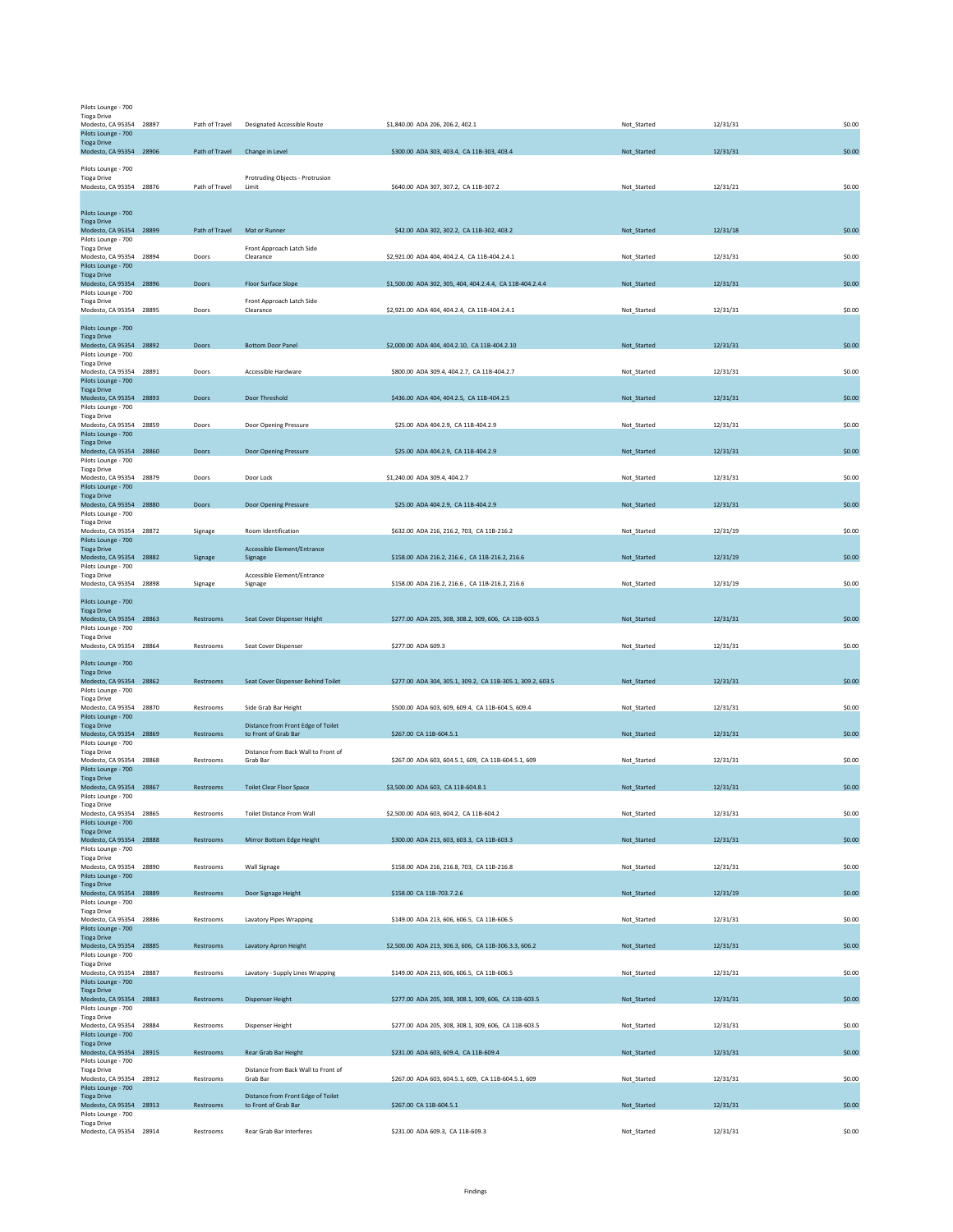| Pilots Lounge - 700                            |                |                                                            |                                                            |             |          |        |
|------------------------------------------------|----------------|------------------------------------------------------------|------------------------------------------------------------|-------------|----------|--------|
| <b>Tioga Drive</b>                             |                |                                                            |                                                            |             |          |        |
| Modesto, CA 95354 28897<br>Pilots Lounge - 700 | Path of Travel | <b>Designated Accessible Route</b>                         | \$1,840.00 ADA 206, 206.2, 402.1                           | Not_Started | 12/31/31 | \$0.00 |
| <b>Tioga Drive</b>                             |                |                                                            |                                                            |             |          |        |
| Modesto, CA 95354 28906                        | Path of Travel | Change in Level                                            | \$300.00 ADA 303, 403.4, CA 11B-303, 403.4                 | Not_Started | 12/31/31 | \$0.00 |
|                                                |                |                                                            |                                                            |             |          |        |
| Pilots Lounge - 700<br><b>Tioga Drive</b>      |                | Protruding Objects - Protrusion                            |                                                            |             |          |        |
| Modesto, CA 95354 28876                        | Path of Travel | Limit                                                      | \$640.00 ADA 307, 307.2, CA 11B-307.2                      | Not_Started | 12/31/21 | \$0.00 |
|                                                |                |                                                            |                                                            |             |          |        |
|                                                |                |                                                            |                                                            |             |          |        |
| Pilots Lounge - 700<br><b>Tioga Drive</b>      |                |                                                            |                                                            |             |          |        |
| Modesto, CA 95354 28899                        | Path of Travel | Mat or Runner                                              | \$42.00 ADA 302, 302.2, CA 11B-302, 403.2                  | Not_Started | 12/31/18 | \$0.00 |
| Pilots Lounge - 700                            |                |                                                            |                                                            |             |          |        |
| <b>Tioga Drive</b>                             |                | Front Approach Latch Side                                  |                                                            |             |          |        |
| Modesto, CA 95354 28894                        | Doors          | Clearance                                                  | \$2,921.00 ADA 404, 404.2.4, CA 11B-404.2.4.1              | Not_Started | 12/31/31 | \$0.00 |
| Pilots Lounge - 700<br><b>Tioga Drive</b>      |                |                                                            |                                                            |             |          |        |
| Modesto, CA 95354 28896                        | Doors          | Floor Surface Slope                                        | \$1,500.00 ADA 302, 305, 404, 404.2.4.4, CA 11B-404.2.4.4  | Not_Started | 12/31/31 | \$0.00 |
| Pilots Lounge - 700                            |                |                                                            |                                                            |             |          |        |
| <b>Tioga Drive</b>                             |                | Front Approach Latch Side                                  |                                                            |             |          |        |
| Modesto, CA 95354 28895                        | Doors          | Clearance                                                  | \$2,921.00 ADA 404, 404.2.4, CA 11B-404.2.4.1              | Not Started | 12/31/31 | \$0.00 |
| Pilots Lounge - 700                            |                |                                                            |                                                            |             |          |        |
| <b>Tioga Drive</b>                             |                |                                                            |                                                            |             |          |        |
| Modesto, CA 95354 28892                        | Doors          | <b>Bottom Door Panel</b>                                   | \$2,000.00 ADA 404, 404.2.10, CA 11B-404.2.10              | Not_Started | 12/31/31 | \$0.00 |
| Pilots Lounge - 700                            |                |                                                            |                                                            |             |          |        |
| <b>Tioga Drive</b><br>Modesto, CA 95354 28891  | Doors          | Accessible Hardware                                        | \$800.00 ADA 309.4, 404.2.7, CA 11B-404.2.7                | Not_Started | 12/31/31 | \$0.00 |
| Pilots Lounge - 700                            |                |                                                            |                                                            |             |          |        |
| <b>Tioga Drive</b>                             |                |                                                            |                                                            |             |          |        |
| Modesto, CA 95354 28893                        | Doors          | Door Threshold                                             | \$436.00 ADA 404, 404.2.5, CA 11B-404.2.5                  | Not_Started | 12/31/31 | \$0.00 |
| Pilots Lounge - 700                            |                |                                                            |                                                            |             |          |        |
| <b>Tioga Drive</b><br>Modesto, CA 95354 28859  | Doors          | Door Opening Pressure                                      | \$25.00 ADA 404.2.9, CA 11B-404.2.9                        | Not_Started | 12/31/31 | \$0.00 |
| Pilots Lounge - 700                            |                |                                                            |                                                            |             |          |        |
| <b>Tioga Drive</b>                             |                |                                                            |                                                            |             |          |        |
| Modesto, CA 95354 28860                        | Doors          | Door Opening Pressure                                      | \$25.00 ADA 404.2.9, CA 11B-404.2.9                        | Not_Started | 12/31/31 | \$0.00 |
| Pilots Lounge - 700                            |                |                                                            |                                                            |             |          |        |
| <b>Tioga Drive</b><br>Modesto, CA 95354 28879  | Doors          | Door Lock                                                  | \$1,240.00 ADA 309.4, 404.2.7                              | Not_Started | 12/31/31 | \$0.00 |
| Pilots Lounge - 700                            |                |                                                            |                                                            |             |          |        |
| <b>Tioga Drive</b>                             |                |                                                            |                                                            |             |          |        |
| Modesto, CA 95354 28880                        | Doors          | Door Opening Pressure                                      | \$25.00 ADA 404.2.9, CA 11B-404.2.9                        | Not_Started | 12/31/31 | \$0.00 |
| Pilots Lounge - 700<br><b>Tioga Drive</b>      |                |                                                            |                                                            |             |          |        |
| Modesto, CA 95354 28872                        | Signage        | Room Identification                                        | \$632.00 ADA 216, 216.2, 703, CA 11B-216.2                 | Not_Started | 12/31/19 | \$0.00 |
| Pilots Lounge - 700                            |                |                                                            |                                                            |             |          |        |
| <b>Tioga Drive</b>                             |                | Accessible Element/Entrance                                |                                                            |             |          |        |
| Modesto, CA 95354 28882                        | Signage        | Signage                                                    | \$158.00 ADA 216.2, 216.6, CA 11B-216.2, 216.6             | Not_Started | 12/31/19 | \$0.00 |
| Pilots Lounge - 700<br><b>Tioga Drive</b>      |                | Accessible Element/Entrance                                |                                                            |             |          |        |
| Modesto, CA 95354 28898                        | Signage        | Signage                                                    | \$158.00 ADA 216.2, 216.6, CA 11B-216.2, 216.6             | Not_Started | 12/31/19 | \$0.00 |
|                                                |                |                                                            |                                                            |             |          |        |
| Pilots Lounge - 700                            |                |                                                            |                                                            |             |          |        |
| <b>Tioga Drive</b>                             |                |                                                            |                                                            |             |          |        |
| Modesto, CA 95354 28863<br>Pilots Lounge - 700 | Restrooms      | Seat Cover Dispenser Height                                | \$277.00 ADA 205, 308, 308.2, 309, 606, CA 11B-603.5       | Not_Started | 12/31/31 | \$0.00 |
| <b>Tioga Drive</b>                             |                |                                                            |                                                            |             |          |        |
| Modesto, CA 95354 28864                        | Restrooms      | Seat Cover Dispenser                                       | \$277.00 ADA 609.3                                         | Not_Started | 12/31/31 | \$0.00 |
|                                                |                |                                                            |                                                            |             |          |        |
| Pilots Lounge - 700                            |                |                                                            |                                                            |             |          |        |
| <b>Tioga Drive</b><br>Modesto, CA 95354 28862  | Restrooms      | Seat Cover Dispenser Behind Toilet                         | \$277.00 ADA 304, 305.1, 309.2, CA 11B-305.1, 309.2, 603.5 | Not_Started | 12/31/31 | \$0.00 |
| Pilots Lounge - 700                            |                |                                                            |                                                            |             |          |        |
| <b>Tioga Drive</b>                             |                |                                                            |                                                            |             |          |        |
| Modesto, CA 95354 28870                        | Restrooms      | Side Grab Bar Height                                       | \$500.00 ADA 603, 609, 609.4, CA 11B-604.5, 609.4          | Not_Started | 12/31/31 | \$0.00 |
| Pilots Lounge - 700                            |                |                                                            |                                                            |             |          |        |
| <b>Tioga Drive</b><br>Modesto, CA 95354 28869  | Restrooms      | Distance from Front Edge of Toilet<br>to Front of Grab Bar | \$267.00 CA 11B-604.5.1                                    | Not Started | 12/31/31 | \$0.00 |
| Pilots Lounge - 700                            |                |                                                            |                                                            |             |          |        |
| <b>Tioga Drive</b>                             |                | Distance from Back Wall to Front of                        |                                                            |             |          |        |
| Modesto, CA 95354 28868                        | Restrooms      | Grab Bar                                                   | \$267.00 ADA 603, 604.5.1, 609, CA 11B-604.5.1, 609        | Not_Started | 12/31/31 | \$0.00 |
| Pilots Lounge - 700                            |                |                                                            |                                                            |             |          |        |
| <b>Tioga Drive</b><br>Modesto, CA 95354 28867  | Restrooms      | <b>Toilet Clear Floor Space</b>                            | \$3,500.00 ADA 603, CA 11B-604.8.1                         | Not_Started | 12/31/31 | \$0.00 |
| Pilots Lounge - 700                            |                |                                                            |                                                            |             |          |        |
| Tioga Drive                                    |                |                                                            |                                                            |             |          |        |
| Modesto, CA 95354 28865                        | Restrooms      | <b>Toilet Distance From Wall</b>                           | \$2,500.00 ADA 603, 604.2, CA 11B-604.2                    | Not_Started | 12/31/31 | \$0.00 |
| Pilots Lounge - 700                            |                |                                                            |                                                            |             |          |        |
| <b>Tioga Drive</b><br>Modesto, CA 95354 28888  | Restrooms      | Mirror Bottom Edge Height                                  | \$300.00 ADA 213, 603, 603.3, CA 11B-603.3                 | Not_Started | 12/31/31 | \$0.00 |
| Pilots Lounge - 700                            |                |                                                            |                                                            |             |          |        |
| <b>Tioga Drive</b>                             |                |                                                            |                                                            |             |          |        |
| Modesto, CA 95354 28890                        | Restrooms      | Wall Signage                                               | \$158.00 ADA 216, 216.8, 703, CA 11B-216.8                 | Not_Started | 12/31/31 | \$0.00 |
| Pilots Lounge - 700<br><b>Tioga Drive</b>      |                |                                                            |                                                            |             |          |        |
| Modesto, CA 95354 28889                        | Restrooms      | Door Signage Height                                        | \$158.00 CA 11B-703.7.2.6                                  | Not_Started | 12/31/19 | \$0.00 |
| Pilots Lounge - 700                            |                |                                                            |                                                            |             |          |        |
| <b>Tioga Drive</b>                             |                |                                                            |                                                            |             |          |        |
| Modesto, CA 95354 28886                        | Restrooms      | <b>Lavatory Pipes Wrapping</b>                             | \$149.00 ADA 213, 606, 606.5, CA 11B-606.5                 | Not_Started | 12/31/31 | \$0.00 |
| Pilots Lounge - 700<br><b>Tioga Drive</b>      |                |                                                            |                                                            |             |          |        |
| Modesto, CA 95354 28885                        | Restrooms      | Lavatory Apron Height                                      | \$2,500.00 ADA 213, 306.3, 606, CA 11B-306.3.3, 606.2      | Not_Started | 12/31/31 | \$0.00 |
| Pilots Lounge - 700                            |                |                                                            |                                                            |             |          |        |
| <b>Tioga Drive</b>                             |                |                                                            |                                                            |             |          |        |
| Modesto, CA 95354 28887                        | Restrooms      | Lavatory - Supply Lines Wrapping                           | \$149.00 ADA 213, 606, 606.5, CA 11B-606.5                 | Not_Started | 12/31/31 | \$0.00 |
| Pilots Lounge - 700<br><b>Tioga Drive</b>      |                |                                                            |                                                            |             |          |        |
| Modesto, CA 95354 28883                        | Restrooms      | <b>Dispenser Height</b>                                    | \$277.00 ADA 205, 308, 308.1, 309, 606, CA 11B-603.5       | Not_Started | 12/31/31 | \$0.00 |
| Pilots Lounge - 700                            |                |                                                            |                                                            |             |          |        |
| <b>Tioga Drive</b>                             |                |                                                            |                                                            |             |          |        |
| Modesto, CA 95354 28884                        | Restrooms      | Dispenser Height                                           | \$277.00 ADA 205, 308, 308.1, 309, 606, CA 11B-603.5       | Not_Started | 12/31/31 | \$0.00 |
| Pilots Lounge - 700<br><b>Tioga Drive</b>      |                |                                                            |                                                            |             |          |        |
| Modesto, CA 95354 28915                        | Restrooms      | Rear Grab Bar Height                                       | \$231.00 ADA 603, 609.4, CA 11B-609.4                      | Not_Started | 12/31/31 | \$0.00 |
| Pilots Lounge - 700                            |                |                                                            |                                                            |             |          |        |
| <b>Tioga Drive</b>                             |                | Distance from Back Wall to Front of                        |                                                            |             |          |        |
| Modesto, CA 95354 28912                        | Restrooms      | Grab Bar                                                   | \$267.00 ADA 603, 604.5.1, 609, CA 11B-604.5.1, 609        | Not_Started | 12/31/31 | \$0.00 |
| Pilots Lounge - 700<br><b>Tioga Drive</b>      |                | Distance from Front Edge of Toilet                         |                                                            |             |          |        |
| Modesto, CA 95354 28913                        | Restrooms      | to Front of Grab Bar                                       | \$267.00 CA 11B-604.5.1                                    | Not_Started | 12/31/31 | \$0.00 |
| Pilots Lounge - 700                            |                |                                                            |                                                            |             |          |        |
| <b>Tioga Drive</b>                             |                | Rear Grab Bar Interferes                                   | \$231.00 ADA 609.3, CA 11B-609.3                           |             | 12/31/31 | \$0.00 |
| Modesto, CA 95354 28914                        | Restrooms      |                                                            |                                                            | Not_Started |          |        |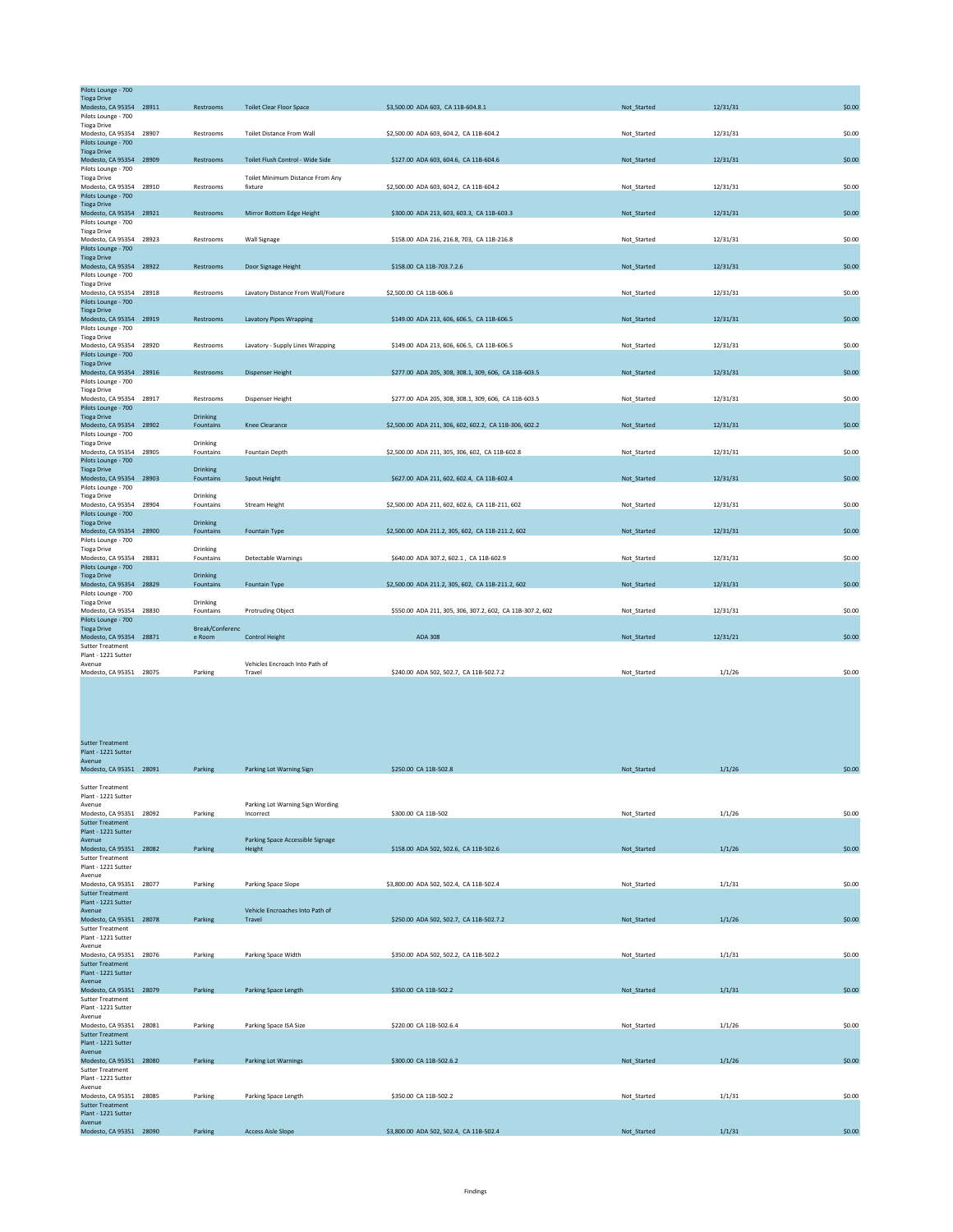| Pilots Lounge - 700                            |       |                       |                                     |                                                           |             |          |        |
|------------------------------------------------|-------|-----------------------|-------------------------------------|-----------------------------------------------------------|-------------|----------|--------|
| <b>Tioga Drive</b><br>Modesto, CA 95354 28911  |       | Restrooms             | <b>Toilet Clear Floor Space</b>     | \$3,500.00 ADA 603, CA 11B-604.8.1                        | Not Started | 12/31/31 | \$0.00 |
| Pilots Lounge - 700                            |       |                       |                                     |                                                           |             |          |        |
| <b>Tioga Drive</b>                             |       |                       |                                     |                                                           |             |          |        |
| Modesto, CA 95354 28907                        |       | Restrooms             | <b>Toilet Distance From Wall</b>    | \$2,500.00 ADA 603, 604.2, CA 11B-604.2                   | Not Started | 12/31/31 | \$0.00 |
| Pilots Lounge - 700                            |       |                       |                                     |                                                           |             |          |        |
| <b>Tioga Drive</b><br>Modesto, CA 95354 28909  |       | Restrooms             | Toilet Flush Control - Wide Side    | \$127.00 ADA 603, 604.6, CA 11B-604.6                     | Not_Started | 12/31/31 | \$0.00 |
| Pilots Lounge - 700                            |       |                       |                                     |                                                           |             |          |        |
| <b>Tioga Drive</b>                             |       |                       | Toilet Minimum Distance From Any    |                                                           |             |          |        |
| Modesto, CA 95354 28910                        |       | Restrooms             | fixture                             | \$2,500.00 ADA 603, 604.2, CA 11B-604.2                   | Not_Started | 12/31/31 | \$0.00 |
| Pilots Lounge - 700<br><b>Tioga Drive</b>      |       |                       |                                     |                                                           |             |          |        |
| Modesto, CA 95354 28921                        |       | Restrooms             | Mirror Bottom Edge Height           | \$300.00 ADA 213, 603, 603.3, CA 11B-603.3                | Not Started | 12/31/31 | \$0.00 |
| Pilots Lounge - 700                            |       |                       |                                     |                                                           |             |          |        |
| <b>Tioga Drive</b>                             |       |                       |                                     |                                                           |             |          |        |
| Modesto, CA 95354                              | 28923 | Restrooms             | Wall Signage                        | \$158.00 ADA 216, 216.8, 703, CA 11B-216.8                | Not Started | 12/31/31 | \$0.00 |
| Pilots Lounge - 700<br><b>Tioga Drive</b>      |       |                       |                                     |                                                           |             |          |        |
| Modesto, CA 95354 28922                        |       | Restrooms             | Door Signage Height                 | \$158.00 CA 11B-703.7.2.6                                 | Not Started | 12/31/31 | \$0.00 |
| Pilots Lounge - 700                            |       |                       |                                     |                                                           |             |          |        |
| <b>Tioga Drive</b>                             |       |                       |                                     |                                                           |             |          |        |
| Modesto, CA 95354 28918<br>Pilots Lounge - 700 |       | Restrooms             | Lavatory Distance From Wall/Fixture | \$2,500.00 CA 11B-606.6                                   | Not Started | 12/31/31 | \$0.00 |
| <b>Tioga Drive</b>                             |       |                       |                                     |                                                           |             |          |        |
| Modesto, CA 95354 28919                        |       | Restrooms             | <b>Lavatory Pipes Wrapping</b>      | \$149.00 ADA 213, 606, 606.5, CA 11B-606.5                | Not Started | 12/31/31 | \$0.00 |
| Pilots Lounge - 700                            |       |                       |                                     |                                                           |             |          |        |
| <b>Tioga Drive</b>                             |       |                       |                                     |                                                           |             |          |        |
| Modesto, CA 95354 28920<br>Pilots Lounge - 700 |       | Restrooms             | Lavatory - Supply Lines Wrapping    | \$149.00 ADA 213, 606, 606.5, CA 11B-606.5                | Not Started | 12/31/31 | \$0.00 |
| <b>Tioga Drive</b>                             |       |                       |                                     |                                                           |             |          |        |
| Modesto, CA 95354 28916                        |       | Restrooms             | <b>Dispenser Height</b>             | \$277.00 ADA 205, 308, 308.1, 309, 606, CA 11B-603.5      | Not Started | 12/31/31 | \$0.00 |
| Pilots Lounge - 700                            |       |                       |                                     |                                                           |             |          |        |
| <b>Tioga Drive</b>                             |       |                       |                                     |                                                           |             |          |        |
| Modesto, CA 95354<br>Pilots Lounge - 700       | 28917 | Restrooms             | Dispenser Height                    | \$277.00 ADA 205, 308, 308.1, 309, 606, CA 11B-603.5      | Not Started | 12/31/31 | \$0.00 |
| <b>Tioga Drive</b>                             |       | Drinking              |                                     |                                                           |             |          |        |
| Modesto, CA 95354 28902                        |       | Fountains             | Knee Clearance                      | \$2,500.00 ADA 211, 306, 602, 602.2, CA 11B-306, 602.2    | Not Started | 12/31/31 | \$0.00 |
| Pilots Lounge - 700                            |       |                       |                                     |                                                           |             |          |        |
| <b>Tioga Drive</b>                             |       | Drinking              |                                     |                                                           |             | 12/31/31 | \$0.00 |
| Modesto, CA 95354 28905<br>Pilots Lounge - 700 |       | Fountains             | Fountain Depth                      | \$2,500.00 ADA 211, 305, 306, 602, CA 11B-602.8           | Not_Started |          |        |
| <b>Tioga Drive</b>                             |       | Drinking              |                                     |                                                           |             |          |        |
| Modesto, CA 95354 28903                        |       | Fountains             | Spout Height                        | \$627.00 ADA 211, 602, 602.4, CA 11B-602.4                | Not Started | 12/31/31 | \$0.00 |
| Pilots Lounge - 700                            |       |                       |                                     |                                                           |             |          |        |
| <b>Tioga Drive</b><br>Modesto, CA 95354 28904  |       | Drinking<br>Fountains | <b>Stream Height</b>                | \$2,500.00 ADA 211, 602, 602.6, CA 11B-211, 602           | Not_Started | 12/31/31 | \$0.00 |
| Pilots Lounge - 700                            |       |                       |                                     |                                                           |             |          |        |
| <b>Tioga Drive</b>                             |       | <b>Drinking</b>       |                                     |                                                           |             |          |        |
| Modesto, CA 95354 28900                        |       | Fountains             | Fountain Type                       | \$2,500.00 ADA 211.2, 305, 602, CA 11B-211.2, 602         | Not_Started | 12/31/31 | \$0.00 |
| Pilots Lounge - 700<br><b>Tioga Drive</b>      |       | Drinking              |                                     |                                                           |             |          |        |
| Modesto, CA 95354                              | 28831 | Fountains             | <b>Detectable Warnings</b>          | \$640.00 ADA 307.2, 602.1, CA 11B-602.9                   | Not Started | 12/31/31 | \$0.00 |
| Pilots Lounge - 700                            |       |                       |                                     |                                                           |             |          |        |
| <b>Tioga Drive</b>                             |       | <b>Drinking</b>       |                                     |                                                           |             |          |        |
| Modesto, CA 95354 28829                        |       | Fountains             | Fountain Type                       | \$2,500.00 ADA 211.2, 305, 602, CA 11B-211.2, 602         | Not Started | 12/31/31 | \$0.00 |
| Pilots Lounge - 700<br><b>Tioga Drive</b>      |       | Drinking              |                                     |                                                           |             |          |        |
| Modesto, CA 95354 28830                        |       | Fountains             | <b>Protruding Object</b>            | \$550.00 ADA 211, 305, 306, 307.2, 602, CA 11B-307.2, 602 | Not_Started | 12/31/31 | \$0.00 |
| Pilots Lounge - 700                            |       |                       |                                     |                                                           |             |          |        |
| <b>Tioga Drive</b>                             |       | Break/Conferenc       |                                     |                                                           |             |          |        |
| Modesto, CA 95354 28871                        |       | e Room                | <b>Control Height</b>               | <b>ADA 308</b>                                            | Not Started | 12/31/21 | \$0.00 |
| <b>Sutter Treatment</b><br>Plant - 1221 Sutter |       |                       |                                     |                                                           |             |          |        |
| Avenue                                         |       |                       | Vehicles Encroach Into Path of      |                                                           |             |          |        |
| Modesto, CA 95351 28075                        |       | Parking               | Travel                              | \$240.00 ADA 502, 502.7, CA 11B-502.7.2                   | Not Started | 1/1/26   | \$0.00 |

| <b>Sutter Treatment</b>           |         |                                  |                                         |             |        |        |
|-----------------------------------|---------|----------------------------------|-----------------------------------------|-------------|--------|--------|
| Plant - 1221 Sutter               |         |                                  |                                         |             |        |        |
| Avenue                            |         |                                  |                                         |             |        |        |
| Modesto, CA 95351 28091           | Parking | Parking Lot Warning Sign         | \$250.00 CA 11B-502.8                   | Not Started | 1/1/26 | \$0.00 |
|                                   |         |                                  |                                         |             |        |        |
| <b>Sutter Treatment</b>           |         |                                  |                                         |             |        |        |
| Plant - 1221 Sutter               |         |                                  |                                         |             |        |        |
| Avenue                            |         | Parking Lot Warning Sign Wording |                                         |             |        |        |
| Modesto, CA 95351 28092           | Parking | Incorrect                        | \$300.00 CA 11B-502                     | Not Started | 1/1/26 | \$0.00 |
| <b>Sutter Treatment</b>           |         |                                  |                                         |             |        |        |
| Plant - 1221 Sutter               |         |                                  |                                         |             |        |        |
| Avenue                            |         | Parking Space Accessible Signage |                                         |             |        |        |
| Modesto, CA 95351 28082           | Parking | Height                           | \$158.00 ADA 502, 502.6, CA 11B-502.6   | Not Started | 1/1/26 | \$0.00 |
| <b>Sutter Treatment</b>           |         |                                  |                                         |             |        |        |
| Plant - 1221 Sutter               |         |                                  |                                         |             |        |        |
| Avenue                            |         |                                  |                                         |             |        |        |
| Modesto, CA 95351 28077           | Parking | Parking Space Slope              | \$3,800.00 ADA 502, 502.4, CA 11B-502.4 | Not Started | 1/1/31 | \$0.00 |
| <b>Sutter Treatment</b>           |         |                                  |                                         |             |        |        |
| Plant - 1221 Sutter               |         | Vehicle Encroaches Into Path of  |                                         |             |        |        |
| Avenue<br>Modesto, CA 95351 28078 | Parking | Travel                           | \$250.00 ADA 502, 502.7, CA 11B-502.7.2 | Not_Started | 1/1/26 | \$0.00 |
| <b>Sutter Treatment</b>           |         |                                  |                                         |             |        |        |
| Plant - 1221 Sutter               |         |                                  |                                         |             |        |        |
| Avenue                            |         |                                  |                                         |             |        |        |
| Modesto, CA 95351 28076           | Parking | Parking Space Width              | \$350.00 ADA 502, 502.2, CA 11B-502.2   | Not Started | 1/1/31 | \$0.00 |
| <b>Sutter Treatment</b>           |         |                                  |                                         |             |        |        |
| Plant - 1221 Sutter               |         |                                  |                                         |             |        |        |
| Avenue                            |         |                                  |                                         |             |        |        |
| Modesto, CA 95351 28079           | Parking | Parking Space Length             | \$350.00 CA 11B-502.2                   | Not Started | 1/1/31 | \$0.00 |
| <b>Sutter Treatment</b>           |         |                                  |                                         |             |        |        |
| Plant - 1221 Sutter               |         |                                  |                                         |             |        |        |
| Avenue                            |         |                                  |                                         |             |        |        |
| Modesto, CA 95351 28081           | Parking | Parking Space ISA Size           | \$220.00 CA 11B-502.6.4                 | Not_Started | 1/1/26 | \$0.00 |
| <b>Sutter Treatment</b>           |         |                                  |                                         |             |        |        |
| Plant - 1221 Sutter               |         |                                  |                                         |             |        |        |
| Avenue                            |         |                                  |                                         |             |        |        |
| Modesto, CA 95351 28080           | Parking | <b>Parking Lot Warnings</b>      | \$300.00 CA 11B-502.6.2                 | Not Started | 1/1/26 | \$0.00 |
| <b>Sutter Treatment</b>           |         |                                  |                                         |             |        |        |
| Plant - 1221 Sutter               |         |                                  |                                         |             |        |        |
| Avenue                            |         |                                  |                                         |             |        |        |
| Modesto, CA 95351 28085           | Parking | Parking Space Length             | \$350.00 CA 11B-502.2                   | Not_Started | 1/1/31 | \$0.00 |
| <b>Sutter Treatment</b>           |         |                                  |                                         |             |        |        |
| Plant - 1221 Sutter               |         |                                  |                                         |             |        |        |
| Avenue<br>Modesto, CA 95351 28090 | Parking | <b>Access Aisle Slope</b>        | \$3,800.00 ADA 502, 502.4, CA 11B-502.4 | Not Started | 1/1/31 | \$0.00 |
|                                   |         |                                  |                                         |             |        |        |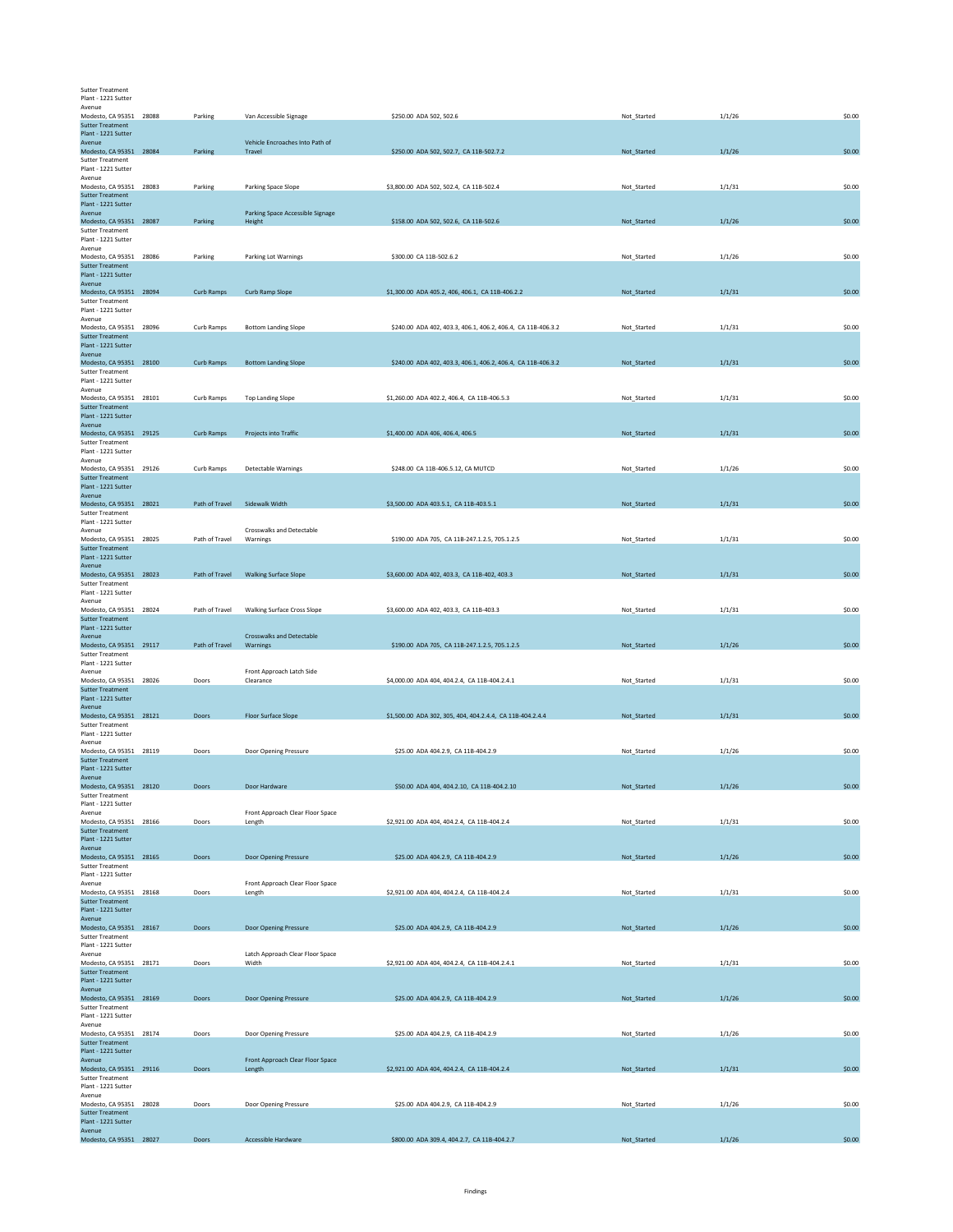| <b>Sutter Treatment</b> |
|-------------------------|
| Plant - 1221 Sutter     |

| Avenue<br>Modesto, CA 95351 28088                        | Parking        | Van Accessible Signage                     | \$250.00 ADA 502, 502.6                                      | Not Started | 1/1/26 | \$0.00 |
|----------------------------------------------------------|----------------|--------------------------------------------|--------------------------------------------------------------|-------------|--------|--------|
| <b>Sutter Treatment</b><br>Plant - 1221 Sutter           |                |                                            |                                                              |             |        |        |
| Avenue<br>Modesto, CA 95351 28084                        | Parking        | Vehicle Encroaches Into Path of<br>Travel  | \$250.00 ADA 502, 502.7, CA 11B-502.7.2                      | Not_Started | 1/1/26 | \$0.00 |
| <b>Sutter Treatment</b>                                  |                |                                            |                                                              |             |        |        |
| Plant - 1221 Sutter<br>Avenue                            |                |                                            |                                                              |             |        |        |
| Modesto, CA 95351 28083<br><b>Sutter Treatment</b>       | Parking        | Parking Space Slope                        | \$3,800.00 ADA 502, 502.4, CA 11B-502.4                      | Not Started | 1/1/31 | \$0.00 |
| Plant - 1221 Sutter                                      |                |                                            |                                                              |             |        |        |
| Avenue<br>Modesto, CA 95351 28087                        | Parking        | Parking Space Accessible Signage<br>Height | \$158.00 ADA 502, 502.6, CA 11B-502.6                        | Not_Started | 1/1/26 | \$0.00 |
| <b>Sutter Treatment</b><br>Plant - 1221 Sutter           |                |                                            |                                                              |             |        |        |
| Avenue                                                   |                |                                            |                                                              |             |        |        |
| Modesto, CA 95351 28086<br><b>Sutter Treatment</b>       | Parking        | Parking Lot Warnings                       | \$300.00 CA 11B-502.6.2                                      | Not_Started | 1/1/26 | \$0.00 |
| Plant - 1221 Sutter<br>Avenue                            |                |                                            |                                                              |             |        |        |
| Modesto, CA 95351 28094                                  | Curb Ramps     | Curb Ramp Slope                            | \$1,300.00 ADA 405.2, 406, 406.1, CA 11B-406.2.2             | Not_Started | 1/1/31 | \$0.00 |
| <b>Sutter Treatment</b><br>Plant - 1221 Sutter           |                |                                            |                                                              |             |        |        |
| Avenue                                                   |                |                                            |                                                              |             |        |        |
| Modesto, CA 95351 28096<br><b>Sutter Treatment</b>       | Curb Ramps     | <b>Bottom Landing Slope</b>                | \$240.00 ADA 402, 403.3, 406.1, 406.2, 406.4, CA 11B-406.3.2 | Not Started | 1/1/31 | \$0.00 |
| Plant - 1221 Sutter<br>Avenue                            |                |                                            |                                                              |             |        |        |
| Modesto, CA 95351 28100                                  | Curb Ramps     | <b>Bottom Landing Slope</b>                | \$240.00 ADA 402, 403.3, 406.1, 406.2, 406.4, CA 11B-406.3.2 | Not_Started | 1/1/31 | \$0.00 |
| <b>Sutter Treatment</b><br>Plant - 1221 Sutter           |                |                                            |                                                              |             |        |        |
| Avenue<br>Modesto, CA 95351 28101                        | Curb Ramps     |                                            |                                                              |             | 1/1/31 | \$0.00 |
| <b>Sutter Treatment</b>                                  |                | <b>Top Landing Slope</b>                   | \$1,260.00 ADA 402.2, 406.4, CA 11B-406.5.3                  | Not_Started |        |        |
| Plant - 1221 Sutter<br>Avenue                            |                |                                            |                                                              |             |        |        |
| Modesto, CA 95351 29125                                  | Curb Ramps     | Projects into Traffic                      | \$1,400.00 ADA 406, 406.4, 406.5                             | Not_Started | 1/1/31 | \$0.00 |
| <b>Sutter Treatment</b><br>Plant - 1221 Sutter           |                |                                            |                                                              |             |        |        |
| Avenue<br>Modesto, CA 95351 29126                        |                | Detectable Warnings                        | \$248.00 CA 11B-406.5.12, CA MUTCD                           |             |        | \$0.00 |
| <b>Sutter Treatment</b>                                  | Curb Ramps     |                                            |                                                              | Not_Started | 1/1/26 |        |
| Plant - 1221 Sutter<br>Avenue                            |                |                                            |                                                              |             |        |        |
| Modesto, CA 95351 28021                                  | Path of Travel | Sidewalk Width                             | \$3,500.00 ADA 403.5.1, CA 11B-403.5.1                       | Not Started | 1/1/31 | \$0.00 |
| <b>Sutter Treatment</b><br>Plant - 1221 Sutter           |                |                                            |                                                              |             |        |        |
| Avenue<br>Modesto, CA 95351 28025                        | Path of Travel | Crosswalks and Detectable<br>Warnings      | \$190.00 ADA 705, CA 11B-247.1.2.5, 705.1.2.5                | Not_Started | 1/1/31 | \$0.00 |
| <b>Sutter Treatment</b>                                  |                |                                            |                                                              |             |        |        |
| Plant - 1221 Sutter<br>Avenue                            |                |                                            |                                                              |             |        |        |
| Modesto, CA 95351 28023                                  | Path of Travel | <b>Walking Surface Slope</b>               | \$3,600.00 ADA 402, 403.3, CA 11B-402, 403.3                 | Not_Started | 1/1/31 | \$0.00 |
| <b>Sutter Treatment</b><br>Plant - 1221 Sutter           |                |                                            |                                                              |             |        |        |
| Avenue<br>Modesto, CA 95351 28024                        | Path of Travel | <b>Walking Surface Cross Slope</b>         | \$3,600.00 ADA 402, 403.3, CA 11B-403.3                      | Not_Started | 1/1/31 | \$0.00 |
| <b>Sutter Treatment</b>                                  |                |                                            |                                                              |             |        |        |
| Plant - 1221 Sutter                                      |                |                                            |                                                              |             |        |        |
| Avenue                                                   |                | <b>Crosswalks and Detectable</b>           |                                                              |             |        |        |
| Modesto, CA 95351 29117                                  | Path of Travel | Warnings                                   | \$190.00 ADA 705, CA 11B-247.1.2.5, 705.1.2.5                | Not_Started | 1/1/26 | \$0.00 |
| <b>Sutter Treatment</b><br>Plant - 1221 Sutter           |                |                                            |                                                              |             |        |        |
| Avenue                                                   | Doors          | Front Approach Latch Side<br>Clearance     |                                                              | Not Started |        |        |
| Modesto, CA 95351 28026<br><b>Sutter Treatment</b>       |                |                                            | \$4,000.00 ADA 404, 404.2.4, CA 11B-404.2.4.1                |             | 1/1/31 | \$0.00 |
| Plant - 1221 Sutter<br>Avenue                            |                |                                            |                                                              |             |        |        |
| Modesto, CA 95351 28121                                  | Doors          | Floor Surface Slope                        | \$1,500.00 ADA 302, 305, 404, 404.2.4.4, CA 11B-404.2.4.4    | Not_Started | 1/1/31 | \$0.00 |
| <b>Sutter Treatment</b><br>Plant - 1221 Sutter           |                |                                            |                                                              |             |        |        |
| Avenue<br>Modesto, CA 95351 28119                        | Doors          |                                            | \$25.00 ADA 404.2.9, CA 11B-404.2.9                          | Not_Started | 1/1/26 | \$0.00 |
| <b>Sutter Treatment</b>                                  |                | Door Opening Pressure                      |                                                              |             |        |        |
| Plant - 1221 Sutter<br>Avenue                            |                |                                            |                                                              |             |        |        |
| Modesto, CA 95351 28120                                  | Doors          | Door Hardware                              | \$50.00 ADA 404, 404.2.10, CA 11B-404.2.10                   | Not_Started | 1/1/26 | \$0.00 |
| <b>Sutter Treatment</b><br>Plant - 1221 Sutter           |                |                                            |                                                              |             |        |        |
| Avenue<br>Modesto, CA 95351 28166                        | Doors          | Front Approach Clear Floor Space<br>Length | \$2,921.00 ADA 404, 404.2.4, CA 11B-404.2.4                  | Not Started | 1/1/31 | \$0.00 |
| <b>Sutter Treatment</b>                                  |                |                                            |                                                              |             |        |        |
| Plant - 1221 Sutter<br>Avenue                            |                |                                            |                                                              |             |        |        |
| Modesto, CA 95351 28165<br><b>Sutter Treatment</b>       | Doors          | Door Opening Pressure                      | \$25.00 ADA 404.2.9, CA 11B-404.2.9                          | Not_Started | 1/1/26 | \$0.00 |
| Plant - 1221 Sutter                                      |                |                                            |                                                              |             |        |        |
| Avenue<br>Modesto, CA 95351 28168                        | Doors          | Front Approach Clear Floor Space<br>Length | \$2,921.00 ADA 404, 404.2.4, CA 11B-404.2.4                  | Not_Started | 1/1/31 | \$0.00 |
| <b>Sutter Treatment</b>                                  |                |                                            |                                                              |             |        |        |
| Plant - 1221 Sutter<br>Avenue                            |                |                                            |                                                              |             |        |        |
| Modesto, CA 95351 28167                                  | Doors          | <b>Door Opening Pressure</b>               | \$25.00 ADA 404.2.9, CA 11B-404.2.9                          | Not Started | 1/1/26 | \$0.00 |
| <b>Sutter Treatment</b><br>Plant - 1221 Sutter           |                |                                            |                                                              |             |        |        |
| Avenue<br>Modesto, CA 95351 28171                        | Doors          | Latch Approach Clear Floor Space<br>Width  | \$2,921.00 ADA 404, 404.2.4, CA 11B-404.2.4.1                | Not_Started | 1/1/31 | \$0.00 |
| <b>Sutter Treatment</b>                                  |                |                                            |                                                              |             |        |        |
| Plant - 1221 Sutter<br>Avenue                            |                |                                            |                                                              |             |        |        |
| Modesto, CA 95351 28169<br><b>Sutter Treatment</b>       | Doors          | Door Opening Pressure                      | \$25.00 ADA 404.2.9, CA 11B-404.2.9                          | Not_Started | 1/1/26 | \$0.00 |
| Plant - 1221 Sutter                                      |                |                                            |                                                              |             |        |        |
| Avenue<br>Modesto, CA 95351 28174                        | Doors          | Door Opening Pressure                      | \$25.00 ADA 404.2.9, CA 11B-404.2.9                          | Not_Started | 1/1/26 | \$0.00 |
| <b>Sutter Treatment</b>                                  |                |                                            |                                                              |             |        |        |
| Plant - 1221 Sutter<br>Avenue                            |                | Front Approach Clear Floor Space           |                                                              |             |        |        |
| Modesto, CA 95351 29116<br><b>Sutter Treatment</b>       | Doors          | Length                                     | \$2,921.00 ADA 404, 404.2.4, CA 11B-404.2.4                  | Not_Started | 1/1/31 | \$0.00 |
| Plant - 1221 Sutter                                      |                |                                            |                                                              |             |        |        |
| Avenue<br>Modesto, CA 95351 28028                        | Doors          | Door Opening Pressure                      | \$25.00 ADA 404.2.9, CA 11B-404.2.9                          | Not_Started | 1/1/26 | \$0.00 |
| <b>Sutter Treatment</b><br>Plant - 1221 Sutter<br>Avenue |                |                                            |                                                              |             |        |        |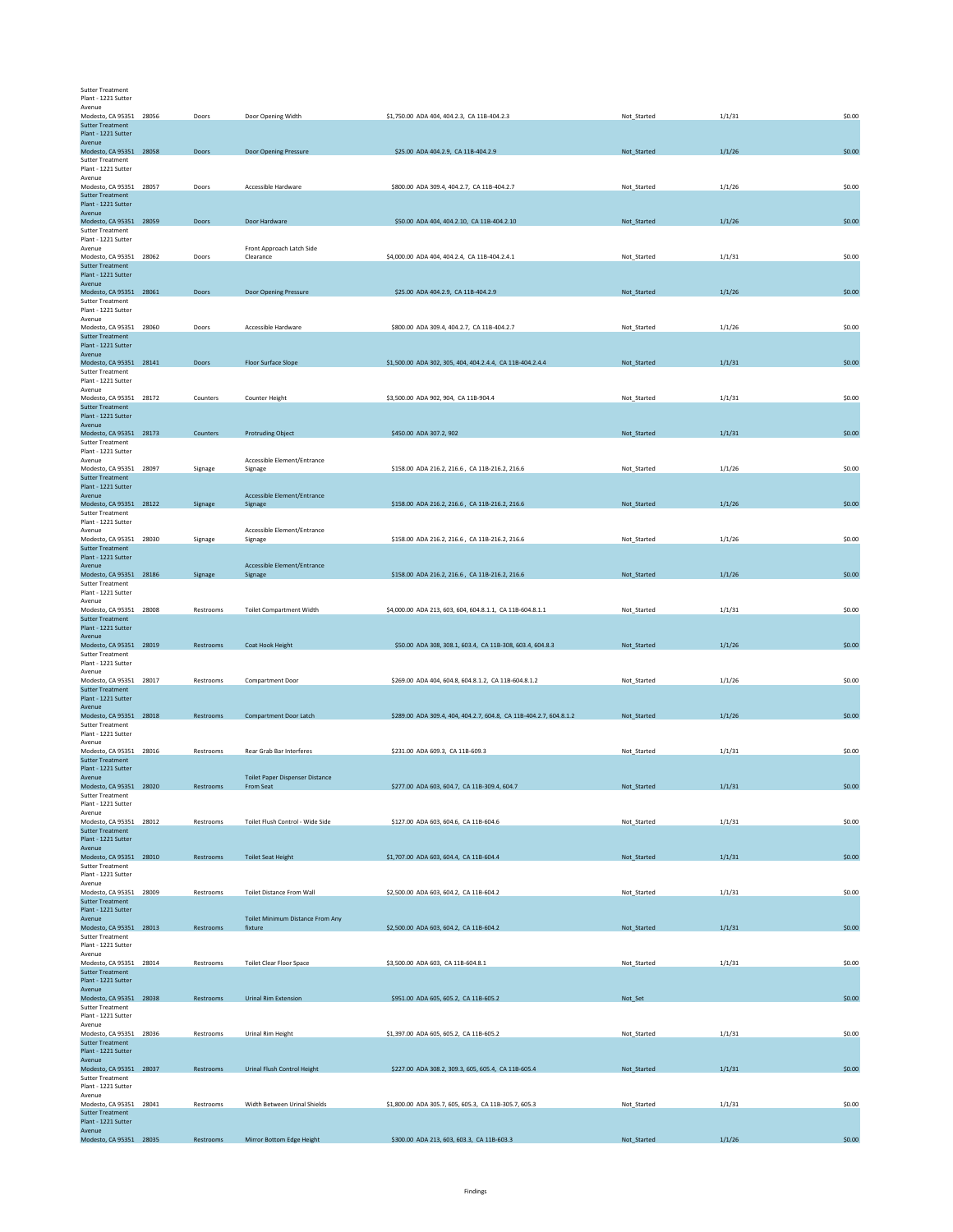Sutter Treatment Plant - 1221 Sutter

| Avenue                                             |           |                                        |                                                                    |             |        |        |
|----------------------------------------------------|-----------|----------------------------------------|--------------------------------------------------------------------|-------------|--------|--------|
| Modesto, CA 95351 28056                            | Doors     | Door Opening Width                     | \$1,750.00 ADA 404, 404.2.3, CA 11B-404.2.3                        | Not_Started | 1/1/31 | \$0.00 |
| <b>Sutter Treatment</b><br>Plant - 1221 Sutter     |           |                                        |                                                                    |             |        |        |
| Avenue                                             |           |                                        |                                                                    |             |        |        |
| Modesto, CA 95351 28058                            | Doors     | Door Opening Pressure                  | \$25.00 ADA 404.2.9, CA 11B-404.2.9                                | Not_Started | 1/1/26 | \$0.00 |
| <b>Sutter Treatment</b>                            |           |                                        |                                                                    |             |        |        |
| Plant - 1221 Sutter                                |           |                                        |                                                                    |             |        |        |
| Avenue                                             |           |                                        |                                                                    |             |        |        |
| Modesto, CA 95351 28057<br><b>Sutter Treatment</b> | Doors     | Accessible Hardware                    | \$800.00 ADA 309.4, 404.2.7, CA 11B-404.2.7                        | Not_Started | 1/1/26 | \$0.00 |
| Plant - 1221 Sutter                                |           |                                        |                                                                    |             |        |        |
| Avenue                                             |           |                                        |                                                                    |             |        |        |
| Modesto, CA 95351 28059                            | Doors     | Door Hardware                          | \$50.00 ADA 404, 404.2.10, CA 11B-404.2.10                         | Not_Started | 1/1/26 | \$0.00 |
| <b>Sutter Treatment</b>                            |           |                                        |                                                                    |             |        |        |
| Plant - 1221 Sutter                                |           |                                        |                                                                    |             |        |        |
| Avenue<br>Modesto, CA 95351 28062                  | Doors     | Front Approach Latch Side              |                                                                    |             | 1/1/31 | \$0.00 |
| <b>Sutter Treatment</b>                            |           | Clearance                              | \$4,000.00 ADA 404, 404.2.4, CA 11B-404.2.4.1                      | Not_Started |        |        |
| Plant - 1221 Sutter                                |           |                                        |                                                                    |             |        |        |
| Avenue                                             |           |                                        |                                                                    |             |        |        |
| Modesto, CA 95351 28061                            | Doors     | Door Opening Pressure                  | \$25.00 ADA 404.2.9, CA 11B-404.2.9                                | Not_Started | 1/1/26 | \$0.00 |
| <b>Sutter Treatment</b><br>Plant - 1221 Sutter     |           |                                        |                                                                    |             |        |        |
| Avenue                                             |           |                                        |                                                                    |             |        |        |
| Modesto, CA 95351 28060                            | Doors     | Accessible Hardware                    | \$800.00 ADA 309.4, 404.2.7, CA 11B-404.2.7                        | Not_Started | 1/1/26 | \$0.00 |
| <b>Sutter Treatment</b>                            |           |                                        |                                                                    |             |        |        |
| Plant - 1221 Sutter                                |           |                                        |                                                                    |             |        |        |
| Avenue                                             |           |                                        |                                                                    |             |        |        |
| Modesto, CA 95351 28141<br><b>Sutter Treatment</b> | Doors     | Floor Surface Slope                    | \$1,500.00 ADA 302, 305, 404, 404.2.4.4, CA 11B-404.2.4.4          | Not_Started | 1/1/31 | \$0.00 |
| Plant - 1221 Sutter                                |           |                                        |                                                                    |             |        |        |
| Avenue                                             |           |                                        |                                                                    |             |        |        |
| Modesto, CA 95351 28172                            | Counters  | Counter Height                         | \$3,500.00 ADA 902, 904, CA 11B-904.4                              | Not_Started | 1/1/31 | \$0.00 |
| <b>Sutter Treatment</b><br>Plant - 1221 Sutter     |           |                                        |                                                                    |             |        |        |
| Avenue                                             |           |                                        |                                                                    |             |        |        |
| Modesto, CA 95351 28173                            | Counters  | <b>Protruding Object</b>               | \$450.00 ADA 307.2, 902                                            | Not Started | 1/1/31 | \$0.00 |
| <b>Sutter Treatment</b>                            |           |                                        |                                                                    |             |        |        |
| Plant - 1221 Sutter                                |           |                                        |                                                                    |             |        |        |
| Avenue<br>Modesto, CA 95351 28097                  |           | Accessible Element/Entrance            |                                                                    |             |        |        |
| <b>Sutter Treatment</b>                            | Signage   | Signage                                | \$158.00 ADA 216.2, 216.6, CA 11B-216.2, 216.6                     | Not Started | 1/1/26 | \$0.00 |
| Plant - 1221 Sutter                                |           |                                        |                                                                    |             |        |        |
| Avenue                                             |           | Accessible Element/Entrance            |                                                                    |             |        |        |
| Modesto, CA 95351 28122                            | Signage   | Signage                                | \$158.00 ADA 216.2, 216.6, CA 11B-216.2, 216.6                     | Not_Started | 1/1/26 | \$0.00 |
| <b>Sutter Treatment</b>                            |           |                                        |                                                                    |             |        |        |
| Plant - 1221 Sutter                                |           |                                        |                                                                    |             |        |        |
| Avenue<br>Modesto, CA 95351 28030                  | Signage   | Accessible Element/Entrance<br>Signage | \$158.00 ADA 216.2, 216.6, CA 11B-216.2, 216.6                     | Not_Started | 1/1/26 | \$0.00 |
| <b>Sutter Treatment</b>                            |           |                                        |                                                                    |             |        |        |
| Plant - 1221 Sutter                                |           |                                        |                                                                    |             |        |        |
| Avenue                                             |           | Accessible Element/Entrance            |                                                                    |             |        |        |
| Modesto, CA 95351 28186                            | Signage   | Signage                                | \$158.00 ADA 216.2, 216.6, CA 11B-216.2, 216.6                     | Not_Started | 1/1/26 | \$0.00 |
| <b>Sutter Treatment</b><br>Plant - 1221 Sutter     |           |                                        |                                                                    |             |        |        |
| Avenue                                             |           |                                        |                                                                    |             |        |        |
| Modesto, CA 95351 28008                            | Restrooms | <b>Toilet Compartment Width</b>        | \$4,000.00 ADA 213, 603, 604, 604.8.1.1, CA 11B-604.8.1.1          | Not_Started | 1/1/31 | \$0.00 |
| <b>Sutter Treatment</b>                            |           |                                        |                                                                    |             |        |        |
| Plant - 1221 Sutter                                |           |                                        |                                                                    |             |        |        |
|                                                    |           |                                        |                                                                    |             |        |        |
| Avenue                                             |           |                                        |                                                                    |             |        |        |
| Modesto, CA 95351 28019                            | Restrooms | Coat Hook Height                       | \$50.00 ADA 308, 308.1, 603.4, CA 11B-308, 603.4, 604.8.3          | Not_Started | 1/1/26 | \$0.00 |
| <b>Sutter Treatment</b>                            |           |                                        |                                                                    |             |        |        |
| Plant - 1221 Sutter<br>Avenue                      |           |                                        |                                                                    |             |        |        |
| Modesto, CA 95351 28017                            | Restrooms | Compartment Door                       | \$269.00 ADA 404, 604.8, 604.8.1.2, CA 11B-604.8.1.2               | Not_Started | 1/1/26 | \$0.00 |
| <b>Sutter Treatment</b>                            |           |                                        |                                                                    |             |        |        |
| Plant - 1221 Sutter                                |           |                                        |                                                                    |             |        |        |
| Avenue                                             |           |                                        |                                                                    |             |        |        |
| Modesto, CA 95351 28018                            | Restrooms | <b>Compartment Door Latch</b>          | \$289.00 ADA 309.4, 404, 404.2.7, 604.8, CA 11B-404.2.7, 604.8.1.2 | Not Started | 1/1/26 | \$0.00 |
| <b>Sutter Treatment</b>                            |           |                                        |                                                                    |             |        |        |
| Plant - 1221 Sutter<br>Avenue                      |           |                                        |                                                                    |             |        |        |
| Modesto, CA 95351 28016                            | Restrooms | <b>Rear Grab Bar Interferes</b>        | \$231.00 ADA 609.3, CA 11B-609.3                                   | Not_Started | 1/1/31 | \$0.00 |
| <b>Sutter Treatment</b>                            |           |                                        |                                                                    |             |        |        |
| Plant - 1221 Sutter                                |           |                                        |                                                                    |             |        |        |
| Avenue                                             | Restrooms | <b>Toilet Paper Dispenser Distance</b> | \$277.00 ADA 603, 604.7, CA 11B-309.4, 604.7                       |             |        | \$0.00 |
| Modesto, CA 95351 28020<br><b>Sutter Treatment</b> |           | From Seat                              |                                                                    | Not_Started | 1/1/31 |        |
| Plant - 1221 Sutter                                |           |                                        |                                                                    |             |        |        |
| Avenue                                             |           |                                        |                                                                    |             |        |        |
| Modesto, CA 95351 28012                            | Restrooms | Toilet Flush Control - Wide Side       | \$127.00 ADA 603, 604.6, CA 11B-604.6                              | Not_Started | 1/1/31 | \$0.00 |
| <b>Sutter Treatment</b>                            |           |                                        |                                                                    |             |        |        |
| Plant - 1221 Sutter<br>Avenue                      |           |                                        |                                                                    |             |        |        |
| Modesto, CA 95351 28010                            | Restrooms | <b>Toilet Seat Height</b>              | \$1,707.00 ADA 603, 604.4, CA 11B-604.4                            | Not_Started | 1/1/31 | \$0.00 |
| <b>Sutter Treatment</b>                            |           |                                        |                                                                    |             |        |        |
| Plant - 1221 Sutter                                |           |                                        |                                                                    |             |        |        |
| Avenue                                             |           |                                        |                                                                    |             |        |        |
| Modesto, CA 95351 28009<br><b>Sutter Treatment</b> | Restrooms | <b>Toilet Distance From Wall</b>       | \$2,500.00 ADA 603, 604.2, CA 11B-604.2                            | Not_Started | 1/1/31 | \$0.00 |
| Plant - 1221 Sutter                                |           |                                        |                                                                    |             |        |        |
| Avenue                                             |           | Toilet Minimum Distance From Any       |                                                                    |             |        |        |
| Modesto, CA 95351 28013                            | Restrooms | fixture                                | \$2,500.00 ADA 603, 604.2, CA 11B-604.2                            | Not_Started | 1/1/31 | \$0.00 |
| <b>Sutter Treatment</b>                            |           |                                        |                                                                    |             |        |        |
| Plant - 1221 Sutter<br>Avenue                      |           |                                        |                                                                    |             |        |        |
| Modesto, CA 95351 28014                            | Restrooms | <b>Toilet Clear Floor Space</b>        | \$3,500.00 ADA 603, CA 11B-604.8.1                                 | Not_Started | 1/1/31 | \$0.00 |
| <b>Sutter Treatment</b>                            |           |                                        |                                                                    |             |        |        |
| Plant - 1221 Sutter                                |           |                                        |                                                                    |             |        |        |
| Avenue                                             |           |                                        |                                                                    |             |        |        |
| Modesto, CA 95351 28038                            | Restrooms | <b>Urinal Rim Extension</b>            | \$951.00 ADA 605, 605.2, CA 11B-605.2                              | Not_Set     |        | \$0.00 |
| <b>Sutter Treatment</b>                            |           |                                        |                                                                    |             |        |        |
| Plant - 1221 Sutter<br>Avenue                      |           |                                        |                                                                    |             |        |        |
| Modesto, CA 95351 28036                            | Restrooms | Urinal Rim Height                      | \$1,397.00 ADA 605, 605.2, CA 11B-605.2                            | Not Started | 1/1/31 | \$0.00 |
| <b>Sutter Treatment</b>                            |           |                                        |                                                                    |             |        |        |
| Plant - 1221 Sutter                                |           |                                        |                                                                    |             |        |        |
| Avenue                                             |           |                                        |                                                                    |             |        |        |
| Modesto, CA 95351 28037                            | Restrooms | Urinal Flush Control Height            | \$227.00 ADA 308.2, 309.3, 605, 605.4, CA 11B-605.4                | Not_Started | 1/1/31 | \$0.00 |
| Sutter Treatment<br>Plant - 1221 Sutter            |           |                                        |                                                                    |             |        |        |
| Avenue                                             |           |                                        |                                                                    |             |        |        |
| Modesto, CA 95351 28041                            | Restrooms | Width Between Urinal Shields           | \$1,800.00 ADA 305.7, 605, 605.3, CA 11B-305.7, 605.3              | Not_Started | 1/1/31 | \$0.00 |
| <b>Sutter Treatment</b>                            |           |                                        |                                                                    |             |        |        |
| Plant - 1221 Sutter<br>Avenue                      |           |                                        |                                                                    |             |        |        |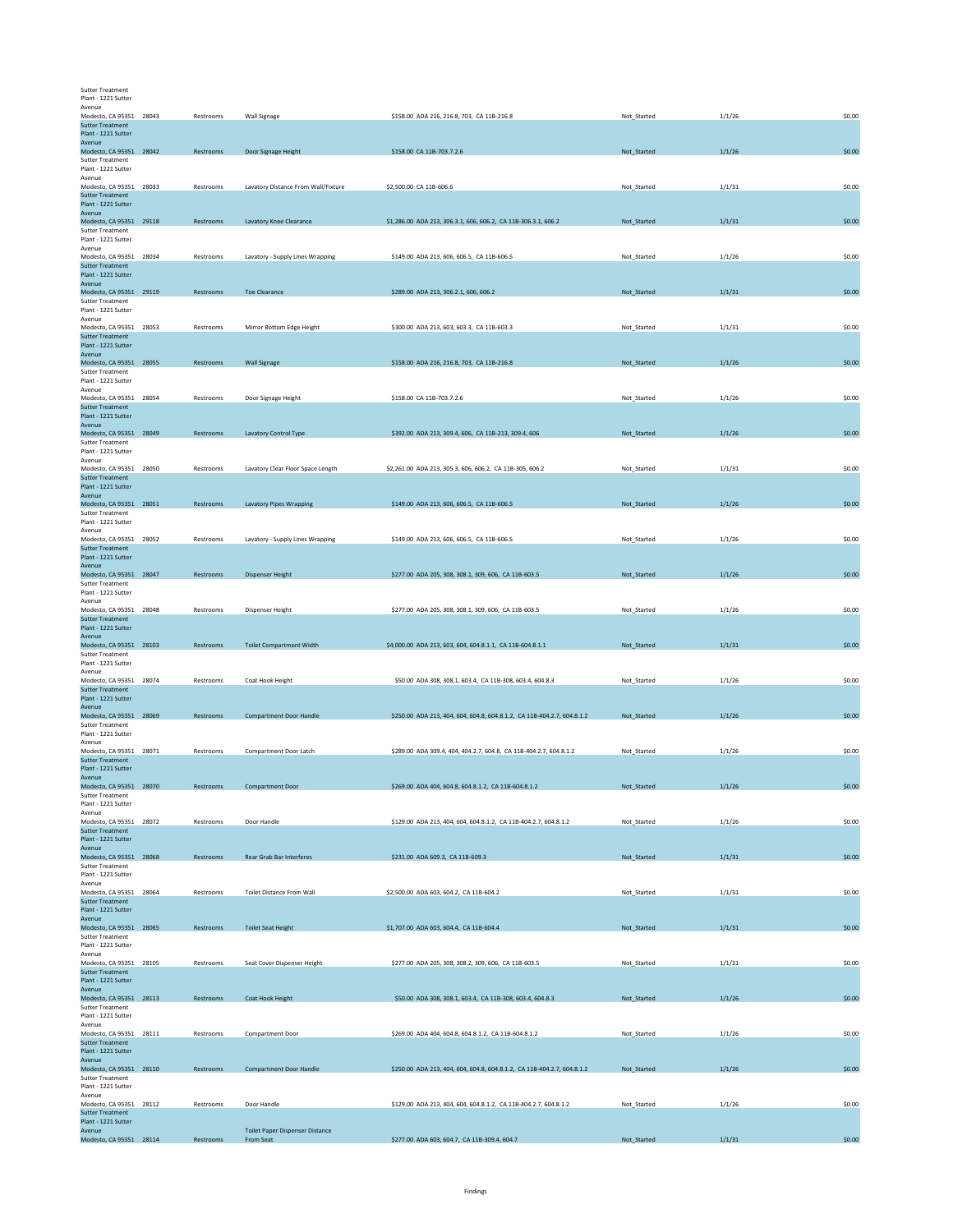| <b>Sutter Treatment</b>                            |           |                                        |                                                                         |             |        |        |
|----------------------------------------------------|-----------|----------------------------------------|-------------------------------------------------------------------------|-------------|--------|--------|
| Plant - 1221 Sutter<br>Avenue                      |           |                                        |                                                                         |             |        |        |
| Modesto, CA 95351 28043<br><b>Sutter Treatment</b> | Restrooms | Wall Signage                           | \$158.00 ADA 216, 216.8, 703, CA 11B-216.8                              | Not_Started | 1/1/26 | \$0.00 |
| Plant - 1221 Sutter                                |           |                                        |                                                                         |             |        |        |
| Avenue<br>Modesto, CA 95351 28042                  | Restrooms | Door Signage Height                    | \$158.00 CA 11B-703.7.2.6                                               | Not_Started | 1/1/26 | \$0.00 |
| <b>Sutter Treatment</b>                            |           |                                        |                                                                         |             |        |        |
| Plant - 1221 Sutter<br>Avenue                      |           |                                        |                                                                         |             |        |        |
| Modesto, CA 95351 28033                            | Restrooms | Lavatory Distance From Wall/Fixture    | \$2,500.00 CA 11B-606.6                                                 | Not_Started | 1/1/31 | \$0.00 |
| <b>Sutter Treatment</b><br>Plant - 1221 Sutter     |           |                                        |                                                                         |             |        |        |
| Avenue                                             |           |                                        |                                                                         |             |        |        |
| Modesto, CA 95351 29118<br><b>Sutter Treatment</b> | Restrooms | Lavatory Knee Clearance                | \$1,286.00 ADA 213, 306.3.1, 606, 606.2, CA 11B-306.3.1, 606.2          | Not_Started | 1/1/31 | \$0.00 |
| Plant - 1221 Sutter                                |           |                                        |                                                                         |             |        |        |
| Avenue<br>Modesto, CA 95351 28034                  | Restrooms | Lavatory - Supply Lines Wrapping       | \$149.00 ADA 213, 606, 606.5, CA 11B-606.5                              | Not Started | 1/1/26 | \$0.00 |
| <b>Sutter Treatment</b><br>Plant - 1221 Sutter     |           |                                        |                                                                         |             |        |        |
| Avenue                                             |           |                                        |                                                                         |             |        |        |
| Modesto, CA 95351 29119<br><b>Sutter Treatment</b> | Restrooms | <b>Toe Clearance</b>                   | \$289.00 ADA 213, 306.2.1, 606, 606.2                                   | Not_Started | 1/1/31 | \$0.00 |
| Plant - 1221 Sutter                                |           |                                        |                                                                         |             |        |        |
| Avenue<br>Modesto, CA 95351 28053                  | Restrooms | Mirror Bottom Edge Height              | \$300.00 ADA 213, 603, 603.3, CA 11B-603.3                              | Not_Started | 1/1/31 | \$0.00 |
| <b>Sutter Treatment</b>                            |           |                                        |                                                                         |             |        |        |
| Plant - 1221 Sutter<br>Avenue                      |           |                                        |                                                                         |             |        |        |
| Modesto, CA 95351 28055                            | Restrooms | <b>Wall Signage</b>                    | \$158.00 ADA 216, 216.8, 703, CA 11B-216.8                              | Not_Started | 1/1/26 | \$0.00 |
| <b>Sutter Treatment</b><br>Plant - 1221 Sutter     |           |                                        |                                                                         |             |        |        |
| Avenue                                             |           |                                        |                                                                         |             |        |        |
| Modesto, CA 95351 28054<br><b>Sutter Treatment</b> | Restrooms | Door Signage Height                    | \$158.00 CA 11B-703.7.2.6                                               | Not_Started | 1/1/26 | \$0.00 |
| Plant - 1221 Sutter                                |           |                                        |                                                                         |             |        |        |
| Avenue<br>Modesto, CA 95351 28049                  | Restrooms | Lavatory Control Type                  | \$392.00 ADA 213, 309.4, 606, CA 11B-213, 309.4, 606                    | Not_Started | 1/1/26 | \$0.00 |
| <b>Sutter Treatment</b>                            |           |                                        |                                                                         |             |        |        |
| Plant - 1221 Sutter<br>Avenue                      |           |                                        |                                                                         |             |        |        |
| Modesto, CA 95351 28050<br><b>Sutter Treatment</b> | Restrooms | Lavatory Clear Floor Space Length      | \$2,261.00 ADA 213, 305.3, 606, 606.2, CA 11B-305, 606.2                | Not Started | 1/1/31 | \$0.00 |
| Plant - 1221 Sutter                                |           |                                        |                                                                         |             |        |        |
| Avenue<br>Modesto, CA 95351 28051                  | Restrooms | <b>Lavatory Pipes Wrapping</b>         | \$149.00 ADA 213, 606, 606.5, CA 11B-606.5                              | Not Started | 1/1/26 | \$0.00 |
| <b>Sutter Treatment</b>                            |           |                                        |                                                                         |             |        |        |
| Plant - 1221 Sutter<br>Avenue                      |           |                                        |                                                                         |             |        |        |
| Modesto, CA 95351 28052                            | Restrooms | Lavatory - Supply Lines Wrapping       | \$149.00 ADA 213, 606, 606.5, CA 11B-606.5                              | Not Started | 1/1/26 | \$0.00 |
| <b>Sutter Treatment</b><br>Plant - 1221 Sutter     |           |                                        |                                                                         |             |        |        |
| Avenue                                             |           |                                        |                                                                         |             |        |        |
| Modesto, CA 95351 28047<br><b>Sutter Treatment</b> | Restrooms | <b>Dispenser Height</b>                | \$277.00 ADA 205, 308, 308.1, 309, 606, CA 11B-603.5                    | Not_Started | 1/1/26 | \$0.00 |
| Plant - 1221 Sutter                                |           |                                        |                                                                         |             |        |        |
| Avenue<br>Modesto, CA 95351 28048                  | Restrooms | Dispenser Height                       | \$277.00 ADA 205, 308, 308.1, 309, 606, CA 11B-603.5                    | Not_Started | 1/1/26 | \$0.00 |
| <b>Sutter Treatment</b>                            |           |                                        |                                                                         |             |        |        |
| Plant - 1221 Sutter<br>Avenue                      |           |                                        |                                                                         |             |        |        |
| Modesto, CA 95351 28103                            | Restrooms | <b>Toilet Compartment Width</b>        | \$4,000.00 ADA 213, 603, 604, 604.8.1.1, CA 11B-604.8.1.1               | Not_Started | 1/1/31 | \$0.00 |
| <b>Sutter Treatment</b><br>Plant - 1221 Sutter     |           |                                        |                                                                         |             |        |        |
| Avenue                                             |           |                                        |                                                                         |             |        |        |
| Modesto, CA 95351 28074<br><b>Sutter Treatment</b> | Restrooms | Coat Hook Height                       | \$50.00 ADA 308, 308.1, 603.4, CA 11B-308, 603.4, 604.8.3               | Not_Started | 1/1/26 | \$0.00 |
| Plant - 1221 Sutter<br>Avenue                      |           |                                        |                                                                         |             |        |        |
| Modesto, CA 95351 28069                            | Restrooms | <b>Compartment Door Handle</b>         | \$250.00 ADA 213, 404, 604, 604.8, 604.8.1.2, CA 11B-404.2.7, 604.8.1.2 | Not_Started | 1/1/26 | \$0.00 |
| <b>Sutter Treatment</b><br>Plant - 1221 Sutter     |           |                                        |                                                                         |             |        |        |
| Avenue                                             |           |                                        |                                                                         |             |        |        |
| Modesto, CA 95351 28071<br><b>Sutter Treatment</b> | Restrooms | Compartment Door Latch                 | \$289.00 ADA 309.4, 404, 404.2.7, 604.8, CA 11B-404.2.7, 604.8.1.2      | Not_Started | 1/1/26 | \$0.00 |
| Plant - 1221 Sutter                                |           |                                        |                                                                         |             |        |        |
| Avenue<br>Modesto, CA 95351 28070                  | Restrooms | <b>Compartment Door</b>                | \$269.00 ADA 404, 604.8, 604.8.1.2, CA 11B-604.8.1.2                    | Not_Started | 1/1/26 | \$0.00 |
| <b>Sutter Treatment</b>                            |           |                                        |                                                                         |             |        |        |
| Plant - 1221 Sutter<br>Avenue                      |           |                                        |                                                                         |             |        |        |
| Modesto, CA 95351 28072                            | Restrooms | Door Handle                            | \$129.00 ADA 213, 404, 604, 604.8.1.2, CA 11B-404.2.7, 604.8.1.2        | Not_Started | 1/1/26 | \$0.00 |
| <b>Sutter Treatment</b><br>Plant - 1221 Sutter     |           |                                        |                                                                         |             |        |        |
| Avenue<br>Modesto, CA 95351 28068                  |           | Rear Grab Bar Interferes               |                                                                         |             |        | \$0.00 |
| <b>Sutter Treatment</b>                            | Restrooms |                                        | \$231.00 ADA 609.3, CA 11B-609.3                                        | Not_Started | 1/1/31 |        |
| Plant - 1221 Sutter                                |           |                                        |                                                                         |             |        |        |
| Avenue<br>Modesto, CA 95351 28064                  | Restrooms | <b>Toilet Distance From Wall</b>       | \$2,500.00 ADA 603, 604.2, CA 11B-604.2                                 | Not_Started | 1/1/31 | \$0.00 |
| <b>Sutter Treatment</b><br>Plant - 1221 Sutter     |           |                                        |                                                                         |             |        |        |
| Avenue                                             |           |                                        |                                                                         |             |        |        |
| Modesto, CA 95351 28065                            | Restrooms | <b>Toilet Seat Height</b>              | \$1,707.00 ADA 603, 604.4, CA 11B-604.4                                 | Not_Started | 1/1/31 | \$0.00 |
| <b>Sutter Treatment</b><br>Plant - 1221 Sutter     |           |                                        |                                                                         |             |        |        |
| Avenue<br>Modesto, CA 95351 28105                  | Restrooms | Seat Cover Dispenser Height            | \$277.00 ADA 205, 308, 308.2, 309, 606, CA 11B-603.5                    | Not_Started | 1/1/31 | \$0.00 |
| <b>Sutter Treatment</b>                            |           |                                        |                                                                         |             |        |        |
| Plant - 1221 Sutter<br>Avenue                      |           |                                        |                                                                         |             |        |        |
| Modesto, CA 95351 28113                            | Restrooms | Coat Hook Height                       | \$50.00 ADA 308, 308.1, 603.4, CA 11B-308, 603.4, 604.8.3               | Not_Started | 1/1/26 | \$0.00 |
| <b>Sutter Treatment</b><br>Plant - 1221 Sutter     |           |                                        |                                                                         |             |        |        |
| Avenue                                             |           |                                        |                                                                         |             |        |        |
| Modesto, CA 95351 28111<br><b>Sutter Treatment</b> | Restrooms | Compartment Door                       | \$269.00 ADA 404, 604.8, 604.8.1.2, CA 11B-604.8.1.2                    | Not_Started | 1/1/26 | \$0.00 |
| Plant - 1221 Sutter                                |           |                                        |                                                                         |             |        |        |
| Avenue<br>Modesto, CA 95351 28110                  | Restrooms | <b>Compartment Door Handle</b>         | \$250.00 ADA 213, 404, 604, 604.8, 604.8.1.2, CA 11B-404.2.7, 604.8.1.2 | Not_Started | 1/1/26 | \$0.00 |
| <b>Sutter Treatment</b>                            |           |                                        |                                                                         |             |        |        |
| Plant - 1221 Sutter<br>Avenue                      |           |                                        |                                                                         |             |        |        |
| Modesto, CA 95351 28112                            | Restrooms | Door Handle                            | \$129.00 ADA 213, 404, 604, 604.8.1.2, CA 11B-404.2.7, 604.8.1.2        | Not Started | 1/1/26 | \$0.00 |
| <b>Sutter Treatment</b><br>Plant - 1221 Sutter     |           |                                        |                                                                         |             |        |        |
| Avenue<br>Modesto, CA 95351 28114                  |           | <b>Toilet Paper Dispenser Distance</b> | \$277.00 ADA 603, 604.7, CA 11B-309.4, 604.7                            |             | 1/1/31 | \$0.00 |
|                                                    | Restrooms | From Seat                              |                                                                         | Not_Started |        |        |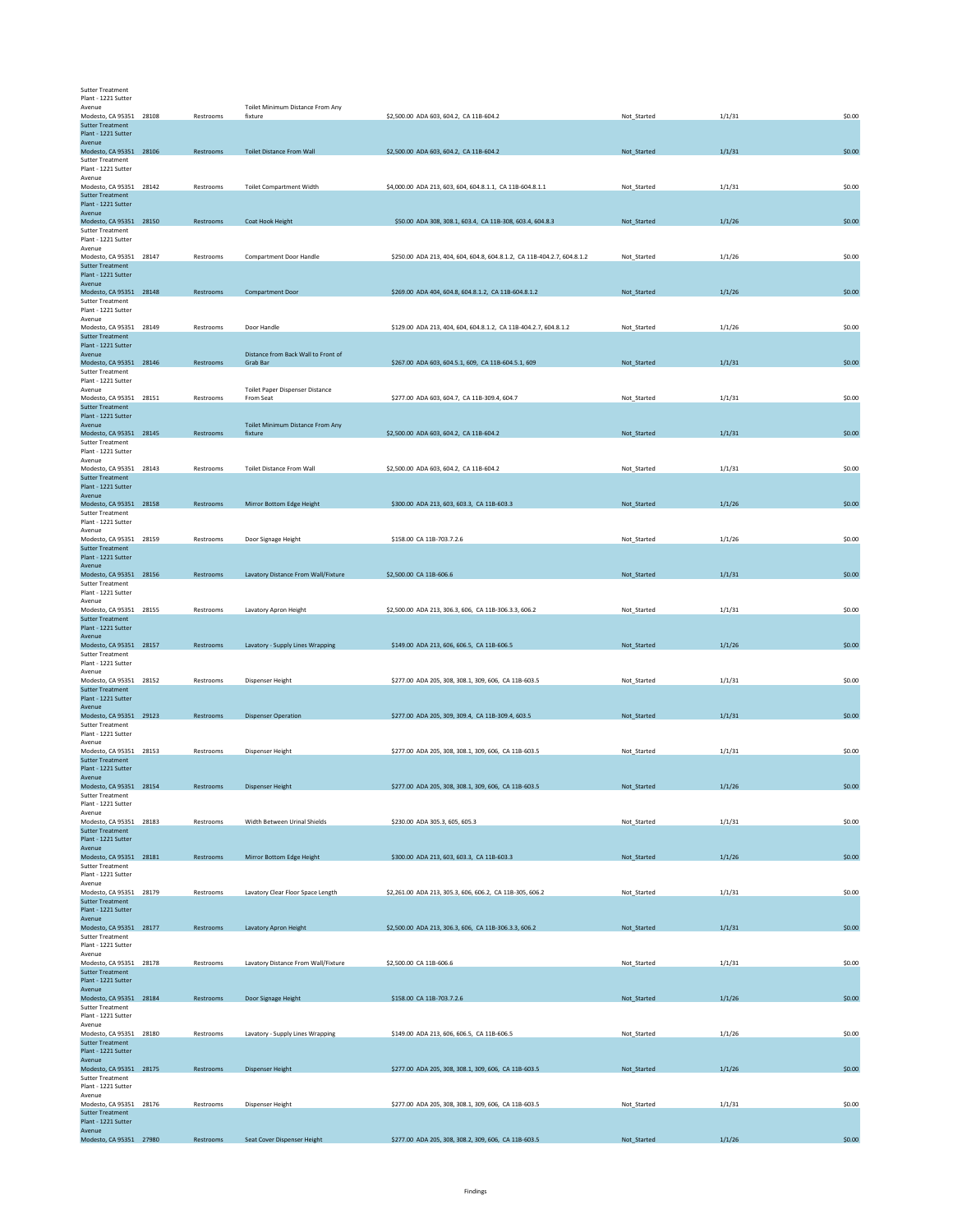| <b>Sutter Treatment</b>                            |           |                                     |                                                                         |             |        |        |
|----------------------------------------------------|-----------|-------------------------------------|-------------------------------------------------------------------------|-------------|--------|--------|
| Plant - 1221 Sutter                                |           |                                     |                                                                         |             |        |        |
| Avenue                                             |           | Toilet Minimum Distance From Any    |                                                                         |             |        |        |
| Modesto, CA 95351 28108<br><b>Sutter Treatment</b> | Restrooms | fixture                             | \$2,500.00 ADA 603, 604.2, CA 11B-604.2                                 | Not_Started | 1/1/31 | \$0.00 |
| Plant - 1221 Sutter                                |           |                                     |                                                                         |             |        |        |
| Avenue<br>Modesto, CA 95351 28106                  | Restrooms | <b>Toilet Distance From Wall</b>    | \$2,500.00 ADA 603, 604.2, CA 11B-604.2                                 | Not_Started | 1/1/31 | \$0.00 |
| <b>Sutter Treatment</b>                            |           |                                     |                                                                         |             |        |        |
| Plant - 1221 Sutter                                |           |                                     |                                                                         |             |        |        |
| Avenue<br>Modesto, CA 95351 28142                  | Restrooms | <b>Toilet Compartment Width</b>     | \$4,000.00 ADA 213, 603, 604, 604.8.1.1, CA 11B-604.8.1.1               | Not_Started | 1/1/31 | \$0.00 |
| <b>Sutter Treatment</b>                            |           |                                     |                                                                         |             |        |        |
| Plant - 1221 Sutter<br>Avenue                      |           |                                     |                                                                         |             |        |        |
| Modesto, CA 95351 28150                            | Restrooms | Coat Hook Height                    | \$50.00 ADA 308, 308.1, 603.4, CA 11B-308, 603.4, 604.8.3               | Not_Started | 1/1/26 | \$0.00 |
| <b>Sutter Treatment</b>                            |           |                                     |                                                                         |             |        |        |
| Plant - 1221 Sutter                                |           |                                     |                                                                         |             |        |        |
| Avenue<br>Modesto, CA 95351 28147                  | Restrooms | <b>Compartment Door Handle</b>      | \$250.00 ADA 213, 404, 604, 604.8, 604.8.1.2, CA 11B-404.2.7, 604.8.1.2 | Not Started | 1/1/26 | \$0.00 |
| <b>Sutter Treatment</b>                            |           |                                     |                                                                         |             |        |        |
| Plant - 1221 Sutter<br>Avenue                      |           |                                     |                                                                         |             |        |        |
| Modesto, CA 95351 28148                            | Restrooms | <b>Compartment Door</b>             | \$269.00 ADA 404, 604.8, 604.8.1.2, CA 11B-604.8.1.2                    | Not Started | 1/1/26 | \$0.00 |
| Sutter Treatment                                   |           |                                     |                                                                         |             |        |        |
| Plant - 1221 Sutter<br>Avenue                      |           |                                     |                                                                         |             |        |        |
| Modesto, CA 95351 28149                            | Restrooms | Door Handle                         | \$129.00 ADA 213, 404, 604, 604.8.1.2, CA 11B-404.2.7, 604.8.1.2        | Not_Started | 1/1/26 | \$0.00 |
| <b>Sutter Treatment</b>                            |           |                                     |                                                                         |             |        |        |
| Plant - 1221 Sutter<br>Avenue                      |           | Distance from Back Wall to Front of |                                                                         |             |        |        |
| Modesto, CA 95351 28146                            | Restrooms | Grab Bar                            | \$267.00 ADA 603, 604.5.1, 609, CA 11B-604.5.1, 609                     | Not_Started | 1/1/31 | \$0.00 |
| <b>Sutter Treatment</b>                            |           |                                     |                                                                         |             |        |        |
| Plant - 1221 Sutter<br>Avenue                      |           | Toilet Paper Dispenser Distance     |                                                                         |             |        |        |
| Modesto, CA 95351 28151                            | Restrooms | From Seat                           | \$277.00 ADA 603, 604.7, CA 11B-309.4, 604.7                            | Not_Started | 1/1/31 | \$0.00 |
| <b>Sutter Treatment</b>                            |           |                                     |                                                                         |             |        |        |
| Plant - 1221 Sutter<br>Avenue                      |           | Toilet Minimum Distance From Any    |                                                                         |             |        |        |
| Modesto, CA 95351 28145                            | Restrooms | fixture                             | \$2,500.00 ADA 603, 604.2, CA 11B-604.2                                 | Not_Started | 1/1/31 | \$0.00 |
| <b>Sutter Treatment</b>                            |           |                                     |                                                                         |             |        |        |
| Plant - 1221 Sutter<br>Avenue                      |           |                                     |                                                                         |             |        |        |
| Modesto, CA 95351 28143                            | Restrooms | <b>Toilet Distance From Wall</b>    | \$2,500.00 ADA 603, 604.2, CA 11B-604.2                                 | Not Started | 1/1/31 | \$0.00 |
| <b>Sutter Treatment</b>                            |           |                                     |                                                                         |             |        |        |
| Plant - 1221 Sutter<br>Avenue                      |           |                                     |                                                                         |             |        |        |
| Modesto, CA 95351 28158                            | Restrooms | Mirror Bottom Edge Height           | \$300.00 ADA 213, 603, 603.3, CA 11B-603.3                              | Not_Started | 1/1/26 | \$0.00 |
| <b>Sutter Treatment</b>                            |           |                                     |                                                                         |             |        |        |
| Plant - 1221 Sutter<br>Avenue                      |           |                                     |                                                                         |             |        |        |
| Modesto, CA 95351 28159                            | Restrooms | Door Signage Height                 | \$158.00 CA 11B-703.7.2.6                                               | Not Started | 1/1/26 | \$0.00 |
| <b>Sutter Treatment</b>                            |           |                                     |                                                                         |             |        |        |
| Plant - 1221 Sutter<br>Avenue                      |           |                                     |                                                                         |             |        |        |
| Modesto, CA 95351 28156                            | Restrooms | Lavatory Distance From Wall/Fixture | \$2,500.00 CA 11B-606.6                                                 | Not_Started | 1/1/31 | \$0.00 |
| <b>Sutter Treatment</b>                            |           |                                     |                                                                         |             |        |        |
| Plant - 1221 Sutter<br>Avenue                      |           |                                     |                                                                         |             |        |        |
| Modesto, CA 95351 28155                            | Restrooms | Lavatory Apron Height               | \$2,500.00 ADA 213, 306.3, 606, CA 11B-306.3.3, 606.2                   | Not_Started | 1/1/31 | \$0.00 |
| <b>Sutter Treatment</b>                            |           |                                     |                                                                         |             |        |        |
| Plant - 1221 Sutter<br>Avenue                      |           |                                     |                                                                         |             |        |        |
| Modesto, CA 95351 28157                            | Restrooms | Lavatory - Supply Lines Wrapping    | \$149.00 ADA 213, 606, 606.5, CA 11B-606.5                              | Not_Started | 1/1/26 | \$0.00 |
| <b>Sutter Treatment</b>                            |           |                                     |                                                                         |             |        |        |
| Plant - 1221 Sutter<br>Avenue                      |           |                                     |                                                                         |             |        |        |
| Modesto, CA 95351 28152                            | Restrooms | Dispenser Height                    | \$277.00 ADA 205, 308, 308.1, 309, 606, CA 11B-603.5                    | Not_Started | 1/1/31 | \$0.00 |
| <b>Sutter Treatment</b>                            |           |                                     |                                                                         |             |        |        |
| Plant - 1221 Sutter<br>Avenue                      |           |                                     |                                                                         |             |        |        |
| Modesto, CA 95351 29123                            | Restrooms | <b>Dispenser Operation</b>          | \$277.00 ADA 205, 309, 309.4, CA 11B-309.4, 603.5                       | Not_Started | 1/1/31 | \$0.00 |
| <b>Sutter Treatment</b>                            |           |                                     |                                                                         |             |        |        |
| Plant - 1221 Sutter<br>Avenue                      |           |                                     |                                                                         |             |        |        |
| Modesto, CA 95351 28153                            | Restrooms | Dispenser Height                    | \$277.00 ADA 205, 308, 308.1, 309, 606, CA 11B-603.5                    | Not_Started | 1/1/31 | \$0.00 |
| <b>Sutter Treatment</b>                            |           |                                     |                                                                         |             |        |        |
| Plant - 1221 Sutter<br>Avenue                      |           |                                     |                                                                         |             |        |        |
| Modesto, CA 95351 28154                            | Restrooms | <b>Dispenser Height</b>             | \$277.00 ADA 205, 308, 308.1, 309, 606, CA 11B-603.5                    | Not_Started | 1/1/26 | \$0.00 |
| <b>Sutter Treatment</b>                            |           |                                     |                                                                         |             |        |        |
| Plant - 1221 Sutter<br>Avenue                      |           |                                     |                                                                         |             |        |        |
| Modesto, CA 95351 28183                            | Restrooms | Width Between Urinal Shields        | \$230.00 ADA 305.3, 605, 605.3                                          | Not_Started | 1/1/31 | \$0.00 |
| <b>Sutter Treatment</b>                            |           |                                     |                                                                         |             |        |        |
| Plant - 1221 Sutter<br>Avenue                      |           |                                     |                                                                         |             |        |        |
| Modesto, CA 95351 28181                            | Restrooms | Mirror Bottom Edge Height           | \$300.00 ADA 213, 603, 603.3, CA 11B-603.3                              | Not_Started | 1/1/26 | \$0.00 |
| <b>Sutter Treatment</b>                            |           |                                     |                                                                         |             |        |        |
| Plant - 1221 Sutter<br>Avenue                      |           |                                     |                                                                         |             |        |        |
| Modesto, CA 95351 28179                            | Restrooms | Lavatory Clear Floor Space Length   | \$2,261.00 ADA 213, 305.3, 606, 606.2, CA 11B-305, 606.2                | Not_Started | 1/1/31 | \$0.00 |
| <b>Sutter Treatment</b>                            |           |                                     |                                                                         |             |        |        |
| Plant - 1221 Sutter<br>Avenue                      |           |                                     |                                                                         |             |        |        |
| Modesto, CA 95351 28177                            | Restrooms | Lavatory Apron Height               | \$2,500.00 ADA 213, 306.3, 606, CA 11B-306.3.3, 606.2                   | Not_Started | 1/1/31 | \$0.00 |
| <b>Sutter Treatment</b>                            |           |                                     |                                                                         |             |        |        |
| Plant - 1221 Sutter<br>Avenue                      |           |                                     |                                                                         |             |        |        |
| Modesto, CA 95351 28178                            | Restrooms | Lavatory Distance From Wall/Fixture | \$2,500.00 CA 11B-606.6                                                 | Not_Started | 1/1/31 | \$0.00 |
| <b>Sutter Treatment</b>                            |           |                                     |                                                                         |             |        |        |
| Plant - 1221 Sutter<br>Avenue                      |           |                                     |                                                                         |             |        |        |
| Modesto, CA 95351 28184                            | Restrooms | Door Signage Height                 | \$158.00 CA 11B-703.7.2.6                                               | Not_Started | 1/1/26 | \$0.00 |
| <b>Sutter Treatment</b>                            |           |                                     |                                                                         |             |        |        |
| Plant - 1221 Sutter<br>Avenue                      |           |                                     |                                                                         |             |        |        |
| Modesto, CA 95351 28180                            | Restrooms | Lavatory - Supply Lines Wrapping    | \$149.00 ADA 213, 606, 606.5, CA 11B-606.5                              | Not_Started | 1/1/26 | \$0.00 |
| <b>Sutter Treatment</b>                            |           |                                     |                                                                         |             |        |        |
| Plant - 1221 Sutter<br>Avenue                      |           |                                     |                                                                         |             |        |        |
| Modesto, CA 95351 28175                            | Restrooms | <b>Dispenser Height</b>             | \$277.00 ADA 205, 308, 308.1, 309, 606, CA 11B-603.5                    | Not_Started | 1/1/26 | \$0.00 |
| <b>Sutter Treatment</b>                            |           |                                     |                                                                         |             |        |        |
| Plant - 1221 Sutter<br>Avenue                      |           |                                     |                                                                         |             |        |        |
| Modesto, CA 95351 28176                            | Restrooms | Dispenser Height                    | \$277.00 ADA 205, 308, 308.1, 309, 606, CA 11B-603.5                    | Not Started | 1/1/31 | \$0.00 |
| <b>Sutter Treatment</b>                            |           |                                     |                                                                         |             |        |        |
| Plant - 1221 Sutter<br>Avenue                      |           |                                     |                                                                         |             |        |        |
| Modesto, CA 95351 27980                            | Restrooms | Seat Cover Dispenser Height         | \$277.00 ADA 205, 308, 308.2, 309, 606, CA 11B-603.5                    | Not_Started | 1/1/26 | \$0.00 |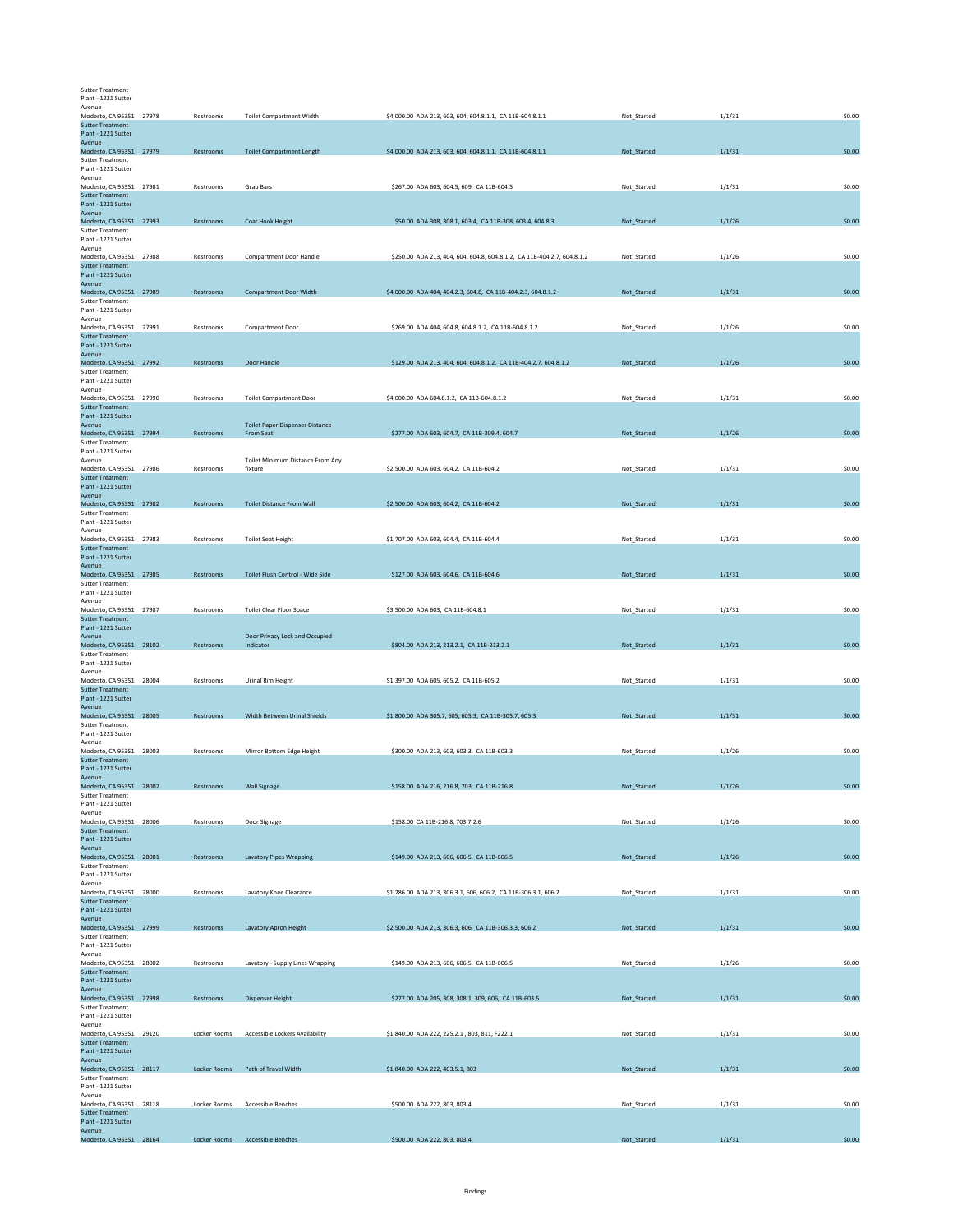| <b>Sutter Treatment</b> |
|-------------------------|
| Plant - 1221 Sutter     |

| Avenue                                             |              |                                             |                                                                         |             |        |        |
|----------------------------------------------------|--------------|---------------------------------------------|-------------------------------------------------------------------------|-------------|--------|--------|
| Modesto, CA 95351 27978<br><b>Sutter Treatment</b> | Restrooms    | <b>Toilet Compartment Width</b>             | \$4,000.00 ADA 213, 603, 604, 604.8.1.1, CA 11B-604.8.1.1               | Not Started | 1/1/31 | \$0.00 |
| Plant - 1221 Sutter                                |              |                                             |                                                                         |             |        |        |
| Avenue<br>Modesto, CA 95351 27979                  | Restrooms    | <b>Toilet Compartment Length</b>            | \$4,000.00 ADA 213, 603, 604, 604.8.1.1, CA 11B-604.8.1.1               | Not_Started | 1/1/31 | \$0.00 |
| <b>Sutter Treatment</b><br>Plant - 1221 Sutter     |              |                                             |                                                                         |             |        |        |
| Avenue<br>Modesto, CA 95351 27981                  | Restrooms    | <b>Grab Bars</b>                            | \$267.00 ADA 603, 604.5, 609, CA 11B-604.5                              | Not_Started | 1/1/31 | \$0.00 |
| <b>Sutter Treatment</b>                            |              |                                             |                                                                         |             |        |        |
| Plant - 1221 Sutter<br>Avenue                      |              |                                             |                                                                         |             |        |        |
| Modesto, CA 95351 27993<br><b>Sutter Treatment</b> | Restrooms    | Coat Hook Height                            | \$50.00 ADA 308, 308.1, 603.4, CA 11B-308, 603.4, 604.8.3               | Not_Started | 1/1/26 | \$0.00 |
| Plant - 1221 Sutter                                |              |                                             |                                                                         |             |        |        |
| Avenue<br>Modesto, CA 95351 27988                  | Restrooms    | <b>Compartment Door Handle</b>              | \$250.00 ADA 213, 404, 604, 604.8, 604.8.1.2, CA 11B-404.2.7, 604.8.1.2 | Not_Started | 1/1/26 | \$0.00 |
| <b>Sutter Treatment</b><br>Plant - 1221 Sutter     |              |                                             |                                                                         |             |        |        |
| Avenue<br>Modesto, CA 95351 27989                  | Restrooms    | <b>Compartment Door Width</b>               | \$4,000.00 ADA 404, 404.2.3, 604.8, CA 11B-404.2.3, 604.8.1.2           | Not_Started | 1/1/31 | \$0.00 |
| <b>Sutter Treatment</b>                            |              |                                             |                                                                         |             |        |        |
| Plant - 1221 Sutter<br>Avenue                      |              |                                             |                                                                         |             |        |        |
| Modesto, CA 95351 27991<br><b>Sutter Treatment</b> | Restrooms    | Compartment Door                            | \$269.00 ADA 404, 604.8, 604.8.1.2, CA 11B-604.8.1.2                    | Not Started | 1/1/26 | \$0.00 |
| Plant - 1221 Sutter                                |              |                                             |                                                                         |             |        |        |
| Avenue<br>Modesto, CA 95351 27992                  | Restrooms    | Door Handle                                 | \$129.00 ADA 213, 404, 604, 604.8.1.2, CA 11B-404.2.7, 604.8.1.2        | Not_Started | 1/1/26 | \$0.00 |
| <b>Sutter Treatment</b><br>Plant - 1221 Sutter     |              |                                             |                                                                         |             |        |        |
| Avenue                                             |              |                                             |                                                                         |             |        |        |
| Modesto, CA 95351 27990<br><b>Sutter Treatment</b> | Restrooms    | <b>Toilet Compartment Door</b>              | \$4,000.00 ADA 604.8.1.2, CA 11B-604.8.1.2                              | Not Started | 1/1/31 | \$0.00 |
| Plant - 1221 Sutter<br>Avenue                      |              | <b>Toilet Paper Dispenser Distance</b>      |                                                                         |             |        |        |
| Modesto, CA 95351 27994                            | Restrooms    | <b>From Seat</b>                            | \$277.00 ADA 603, 604.7, CA 11B-309.4, 604.7                            | Not_Started | 1/1/26 | \$0.00 |
| <b>Sutter Treatment</b><br>Plant - 1221 Sutter     |              |                                             |                                                                         |             |        |        |
| Avenue<br>Modesto, CA 95351 27986                  | Restrooms    | Toilet Minimum Distance From Any<br>fixture | \$2,500,00 ADA 603, 604.2, CA 11B-604.2                                 | Not Started | 1/1/31 | \$0.00 |
| <b>Sutter Treatment</b>                            |              |                                             |                                                                         |             |        |        |
| Plant - 1221 Sutter<br>Avenue                      |              |                                             |                                                                         |             |        |        |
| Modesto, CA 95351 27982<br><b>Sutter Treatment</b> | Restrooms    | <b>Toilet Distance From Wall</b>            | \$2,500.00 ADA 603, 604.2, CA 11B-604.2                                 | Not_Started | 1/1/31 | \$0.00 |
| Plant - 1221 Sutter                                |              |                                             |                                                                         |             |        |        |
| Avenue<br>Modesto, CA 95351 27983                  | Restrooms    | <b>Toilet Seat Height</b>                   | \$1,707.00 ADA 603, 604.4, CA 11B-604.4                                 | Not_Started | 1/1/31 | \$0.00 |
| <b>Sutter Treatment</b><br>Plant - 1221 Sutter     |              |                                             |                                                                         |             |        |        |
| Avenue                                             |              |                                             |                                                                         |             |        |        |
| Modesto, CA 95351 27985<br><b>Sutter Treatment</b> | Restrooms    | Toilet Flush Control - Wide Side            | \$127.00 ADA 603, 604.6, CA 11B-604.6                                   | Not_Started | 1/1/31 | \$0.00 |
| Plant - 1221 Sutter<br>Avenue                      |              |                                             |                                                                         |             |        |        |
| Modesto, CA 95351 27987                            | Restrooms    | <b>Toilet Clear Floor Space</b>             | \$3,500.00 ADA 603, CA 11B-604.8.1                                      | Not_Started | 1/1/31 | \$0.00 |
| <b>Sutter Treatment</b><br>Plant - 1221 Sutter     |              |                                             |                                                                         |             |        |        |
| Avenue<br>Modesto, CA 95351 28102                  | Restrooms    | Door Privacy Lock and Occupied<br>Indicator | \$804.00 ADA 213, 213.2.1, CA 11B-213.2.1                               | Not_Started | 1/1/31 | \$0.00 |
| <b>Sutter Treatment</b>                            |              |                                             |                                                                         |             |        |        |
| Plant - 1221 Sutter<br>Avenue                      |              |                                             |                                                                         |             |        |        |
| Modesto, CA 95351 28004<br><b>Sutter Treatment</b> | Restrooms    | Urinal Rim Height                           | \$1,397.00 ADA 605, 605.2, CA 11B-605.2                                 | Not_Started | 1/1/31 | \$0.00 |
| Plant - 1221 Sutter<br>Avenue                      |              |                                             |                                                                         |             |        |        |
| Modesto, CA 95351 28005                            | Restrooms    | Width Between Urinal Shields                | \$1,800.00 ADA 305.7, 605, 605.3, CA 11B-305.7, 605.3                   | Not_Started | 1/1/31 | \$0.00 |
| <b>Sutter Treatment</b><br>Plant - 1221 Sutter     |              |                                             |                                                                         |             |        |        |
| Avenue<br>Modesto, CA 95351 28003                  | Restrooms    | Mirror Bottom Edge Height                   | \$300.00 ADA 213, 603, 603.3, CA 11B-603.3                              | Not_Started | 1/1/26 | \$0.00 |
| <b>Sutter Treatment</b>                            |              |                                             |                                                                         |             |        |        |
| Plant - 1221 Sutter<br>Avenue                      |              |                                             |                                                                         |             |        |        |
| Modesto, CA 95351 28007<br><b>Sutter Treatment</b> | Restrooms    | <b>Wall Signage</b>                         | \$158.00 ADA 216, 216.8, 703, CA 11B-216.8                              | Not_Started | 1/1/26 | \$0.00 |
| Plant - 1221 Sutter                                |              |                                             |                                                                         |             |        |        |
| Avenue<br>Modesto, CA 95351 28006                  | Restrooms    | Door Signage                                | \$158.00 CA 11B-216.8, 703.7.2.6                                        | Not_Started | 1/1/26 | \$0.00 |
| <b>Sutter Treatment</b><br>Plant - 1221 Sutter     |              |                                             |                                                                         |             |        |        |
| Avenue<br>Modesto, CA 95351 28001                  | Restrooms    | <b>Lavatory Pipes Wrapping</b>              | \$149.00 ADA 213, 606, 606.5, CA 11B-606.5                              | Not_Started | 1/1/26 | \$0.00 |
| <b>Sutter Treatment</b>                            |              |                                             |                                                                         |             |        |        |
| Plant - 1221 Sutter<br>Avenue                      |              |                                             |                                                                         |             |        |        |
| Modesto, CA 95351 28000<br><b>Sutter Treatment</b> | Restrooms    | Lavatory Knee Clearance                     | \$1,286.00 ADA 213, 306.3.1, 606, 606.2, CA 11B-306.3.1, 606.2          | Not_Started | 1/1/31 | \$0.00 |
| Plant - 1221 Sutter                                |              |                                             |                                                                         |             |        |        |
| Avenue<br>Modesto, CA 95351 27999                  | Restrooms    | Lavatory Apron Height                       | \$2,500.00 ADA 213, 306.3, 606, CA 11B-306.3.3, 606.2                   | Not_Started | 1/1/31 | \$0.00 |
| <b>Sutter Treatment</b><br>Plant - 1221 Sutter     |              |                                             |                                                                         |             |        |        |
| Avenue                                             |              |                                             |                                                                         |             |        |        |
| Modesto, CA 95351 28002<br><b>Sutter Treatment</b> | Restrooms    | Lavatory - Supply Lines Wrapping            | \$149.00 ADA 213, 606, 606.5, CA 11B-606.5                              | Not Started | 1/1/26 | \$0.00 |
| Plant - 1221 Sutter<br>Avenue                      |              |                                             |                                                                         |             |        |        |
| Modesto, CA 95351 27998                            | Restrooms    | <b>Dispenser Height</b>                     | \$277.00 ADA 205, 308, 308.1, 309, 606, CA 11B-603.5                    | Not_Started | 1/1/31 | \$0.00 |
| <b>Sutter Treatment</b><br>Plant - 1221 Sutter     |              |                                             |                                                                         |             |        |        |
| Avenue<br>Modesto, CA 95351 29120                  | Locker Rooms | Accessible Lockers Availability             | \$1,840.00 ADA 222, 225.2.1, 803, 811, F222.1                           | Not_Started | 1/1/31 | \$0.00 |
| <b>Sutter Treatment</b>                            |              |                                             |                                                                         |             |        |        |
| Plant - 1221 Sutter<br>Avenue                      |              |                                             |                                                                         |             |        |        |
| Modesto, CA 95351 28117<br><b>Sutter Treatment</b> |              | Locker Rooms Path of Travel Width           | \$1,840.00 ADA 222, 403.5.1, 803                                        | Not_Started | 1/1/31 | \$0.00 |
| Plant - 1221 Sutter                                |              |                                             |                                                                         |             |        |        |
| Avenue<br>Modesto, CA 95351 28118                  | Locker Rooms | Accessible Benches                          | \$500.00 ADA 222, 803, 803.4                                            | Not_Started | 1/1/31 | \$0.00 |
| <b>Sutter Treatment</b><br>Plant - 1221 Sutter     |              |                                             |                                                                         |             |        |        |
| Avenue<br>Modesto, CA 95351 28164                  | Locker Rooms | <b>Accessible Benches</b>                   | \$500.00 ADA 222, 803, 803.4                                            | Not_Started | 1/1/31 | \$0.00 |
|                                                    |              |                                             |                                                                         |             |        |        |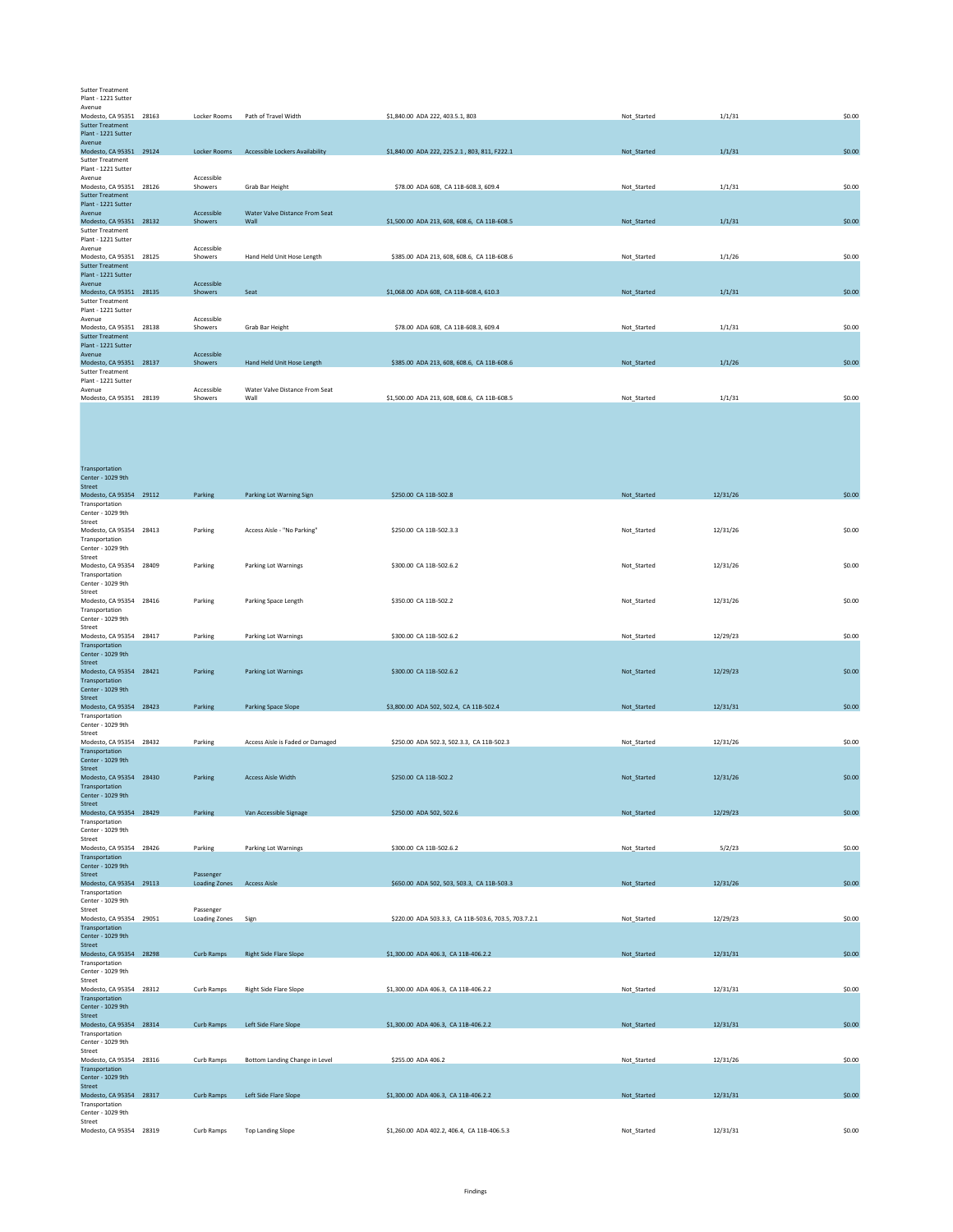## Sutter Treatment Plant - 1221 Sutter

| Avenue                  |       |                     |                                        |                                               |             |        |        |
|-------------------------|-------|---------------------|----------------------------------------|-----------------------------------------------|-------------|--------|--------|
| Modesto, CA 95351       | 28163 | Locker Rooms        | Path of Travel Width                   | \$1,840,00 ADA 222, 403.5.1, 803              | Not Started | 1/1/31 | \$0.00 |
| <b>Sutter Treatment</b> |       |                     |                                        |                                               |             |        |        |
| Plant - 1221 Sutter     |       |                     |                                        |                                               |             |        |        |
| Avenue                  |       |                     |                                        |                                               |             |        |        |
| Modesto, CA 95351 29124 |       | <b>Locker Rooms</b> | <b>Accessible Lockers Availability</b> | \$1,840.00 ADA 222, 225.2.1, 803, 811, F222.1 | Not Started | 1/1/31 | \$0.00 |
| <b>Sutter Treatment</b> |       |                     |                                        |                                               |             |        |        |
| Plant - 1221 Sutter     |       |                     |                                        |                                               |             |        |        |
| Avenue                  |       | Accessible          |                                        |                                               |             |        |        |
| Modesto, CA 95351 28126 |       | Showers             | Grab Bar Height                        | \$78.00 ADA 608, CA 11B-608.3, 609.4          | Not Started | 1/1/31 | \$0.00 |
| <b>Sutter Treatment</b> |       |                     |                                        |                                               |             |        |        |
| Plant - 1221 Sutter     |       |                     |                                        |                                               |             |        |        |
| Avenue                  |       | Accessible          | Water Valve Distance From Seat         |                                               |             |        |        |
| Modesto, CA 95351 28132 |       | Showers             | Wall                                   | \$1,500.00 ADA 213, 608, 608.6, CA 11B-608.5  | Not Started | 1/1/31 | \$0.00 |
| <b>Sutter Treatment</b> |       |                     |                                        |                                               |             |        |        |
| Plant - 1221 Sutter     |       |                     |                                        |                                               |             |        |        |
| Avenue                  |       | Accessible          |                                        |                                               |             |        |        |
| Modesto, CA 95351 28125 |       | Showers             | Hand Held Unit Hose Length             | \$385.00 ADA 213, 608, 608.6, CA 11B-608.6    | Not Started | 1/1/26 | \$0.00 |
| <b>Sutter Treatment</b> |       |                     |                                        |                                               |             |        |        |
| Plant - 1221 Sutter     |       |                     |                                        |                                               |             |        |        |
| Avenue                  |       | Accessible          |                                        |                                               |             |        |        |
| Modesto, CA 95351 28135 |       | <b>Showers</b>      | Seat                                   | \$1,068.00 ADA 608, CA 11B-608.4, 610.3       | Not Started | 1/1/31 | \$0.00 |
| <b>Sutter Treatment</b> |       |                     |                                        |                                               |             |        |        |
| Plant - 1221 Sutter     |       |                     |                                        |                                               |             |        |        |
| Avenue                  |       | Accessible          |                                        |                                               |             |        |        |
| Modesto, CA 95351 28138 |       | Showers             | Grab Bar Height                        | \$78.00 ADA 608, CA 11B-608.3, 609.4          | Not Started | 1/1/31 | \$0.00 |
| <b>Sutter Treatment</b> |       |                     |                                        |                                               |             |        |        |
| Plant - 1221 Sutter     |       |                     |                                        |                                               |             |        |        |
| Avenue                  |       | Accessible          |                                        |                                               |             |        |        |
| Modesto, CA 95351 28137 |       | Showers             | Hand Held Unit Hose Length             | \$385.00 ADA 213, 608, 608.6, CA 11B-608.6    | Not Started | 1/1/26 | \$0.00 |
| <b>Sutter Treatment</b> |       |                     |                                        |                                               |             |        |        |
| Plant - 1221 Sutter     |       |                     |                                        |                                               |             |        |        |
| Avenue                  |       | Accessible          | Water Valve Distance From Seat         |                                               |             |        |        |
| Modesto, CA 95351 28139 |       | Showers             | Wall                                   | \$1,500.00 ADA 213, 608, 608.6, CA 11B-608.5  | Not Started | 1/1/31 | \$0.00 |

| Transportation<br>Center - 1029 9th<br>Street                                                                             |                                   |                                  |                                                      |             |          |        |
|---------------------------------------------------------------------------------------------------------------------------|-----------------------------------|----------------------------------|------------------------------------------------------|-------------|----------|--------|
| Modesto, CA 95354 29112<br>Transportation<br>Center - 1029 9th<br>Street                                                  | Parking                           | Parking Lot Warning Sign         | \$250.00 CA 11B-502.8                                | Not_Started | 12/31/26 | \$0.00 |
| Modesto, CA 95354 28413<br>Transportation<br>Center - 1029 9th<br>Street                                                  | Parking                           | Access Aisle - "No Parking"      | \$250.00 CA 11B-502.3.3                              | Not_Started | 12/31/26 | \$0.00 |
| Modesto, CA 95354 28409<br>Transportation<br>Center - 1029 9th<br>Street                                                  | Parking                           | Parking Lot Warnings             | \$300.00 CA 11B-502.6.2                              | Not_Started | 12/31/26 | \$0.00 |
| Modesto, CA 95354 28416<br>Transportation<br>Center - 1029 9th<br>Street                                                  | Parking                           | Parking Space Length             | \$350.00 CA 11B-502.2                                | Not_Started | 12/31/26 | \$0.00 |
| Modesto, CA 95354 28417                                                                                                   | Parking                           | Parking Lot Warnings             | \$300.00 CA 11B-502.6.2                              | Not_Started | 12/29/23 | \$0.00 |
| Transportation<br>Center - 1029 9th<br>Street<br>Modesto, CA 95354 28421<br>Transportation<br>Center - 1029 9th<br>Street | Parking                           | <b>Parking Lot Warnings</b>      | \$300.00 CA 11B-502.6.2                              | Not Started | 12/29/23 | \$0.00 |
| Modesto, CA 95354 28423                                                                                                   | Parking                           | Parking Space Slope              | \$3,800.00 ADA 502, 502.4, CA 11B-502.4              | Not_Started | 12/31/31 | \$0.00 |
| Transportation<br>Center - 1029 9th<br>Street                                                                             |                                   |                                  |                                                      |             |          |        |
| Modesto, CA 95354 28432                                                                                                   | Parking                           | Access Aisle is Faded or Damaged | \$250.00 ADA 502.3, 502.3.3, CA 11B-502.3            | Not Started | 12/31/26 | \$0.00 |
| Transportation<br>Center - 1029 9th<br>Street<br>Modesto, CA 95354 28430                                                  | Parking                           | <b>Access Aisle Width</b>        | \$250.00 CA 11B-502.2                                | Not_Started | 12/31/26 | \$0.00 |
| Transportation<br>Center - 1029 9th<br>Street<br>Modesto, CA 95354 28429                                                  | Parking                           | Van Accessible Signage           | \$250.00 ADA 502, 502.6                              | Not_Started | 12/29/23 | \$0.00 |
| Transportation<br>Center - 1029 9th<br>Street                                                                             |                                   |                                  |                                                      |             |          |        |
| Modesto, CA 95354 28426                                                                                                   | Parking                           | Parking Lot Warnings             | \$300.00 CA 11B-502.6.2                              | Not_Started | 5/2/23   | \$0.00 |
| Transportation<br>Center - 1029 9th<br>Street<br>Modesto, CA 95354 29113                                                  | Passenger<br><b>Loading Zones</b> | <b>Access Aisle</b>              | \$650.00 ADA 502, 503, 503.3, CA 11B-503.3           | Not Started | 12/31/26 | \$0.00 |
| Transportation<br>Center - 1029 9th<br>Street                                                                             | Passenger                         |                                  |                                                      |             |          |        |
| Modesto, CA 95354 29051                                                                                                   | <b>Loading Zones</b>              | Sign                             | \$220.00 ADA 503.3.3, CA 11B-503.6, 703.5, 703.7.2.1 | Not_Started | 12/29/23 | \$0.00 |
| Transportation<br>Center - 1029 9th<br>Street                                                                             | Curb Ramps                        |                                  | \$1,300.00 ADA 406.3, CA 11B-406.2.2                 |             | 12/31/31 | \$0.00 |
| Modesto, CA 95354 28298<br>Transportation<br>Center - 1029 9th<br>Street                                                  |                                   | <b>Right Side Flare Slope</b>    |                                                      | Not_Started |          |        |
| Modesto, CA 95354 28312<br>Transportation<br>Center - 1029 9th                                                            | Curb Ramps                        | <b>Right Side Flare Slope</b>    | \$1,300.00 ADA 406.3, CA 11B-406.2.2                 | Not Started | 12/31/31 | \$0.00 |
| Street<br>Modesto, CA 95354 28314                                                                                         | Curb Ramps                        | Left Side Flare Slope            | \$1,300.00 ADA 406.3, CA 11B-406.2.2                 | Not_Started | 12/31/31 | \$0.00 |
| Transportation<br>Center - 1029 9th<br>Street                                                                             |                                   |                                  |                                                      |             |          |        |
| Modesto, CA 95354 28316<br>Transportation<br>Center - 1029 9th                                                            | Curb Ramps                        | Bottom Landing Change in Level   | \$255.00 ADA 406.2                                   | Not Started | 12/31/26 | \$0.00 |
| Street<br>Modesto, CA 95354 28317<br>Transportation<br>Center - 1029 9th                                                  | Curb Ramps                        | Left Side Flare Slope            | \$1,300.00 ADA 406.3, CA 11B-406.2.2                 | Not_Started | 12/31/31 | \$0.00 |
| Street<br>Modesto, CA 95354 28319                                                                                         | Curb Ramps                        | <b>Top Landing Slope</b>         | \$1,260.00 ADA 402.2, 406.4, CA 11B-406.5.3          | Not_Started | 12/31/31 | \$0.00 |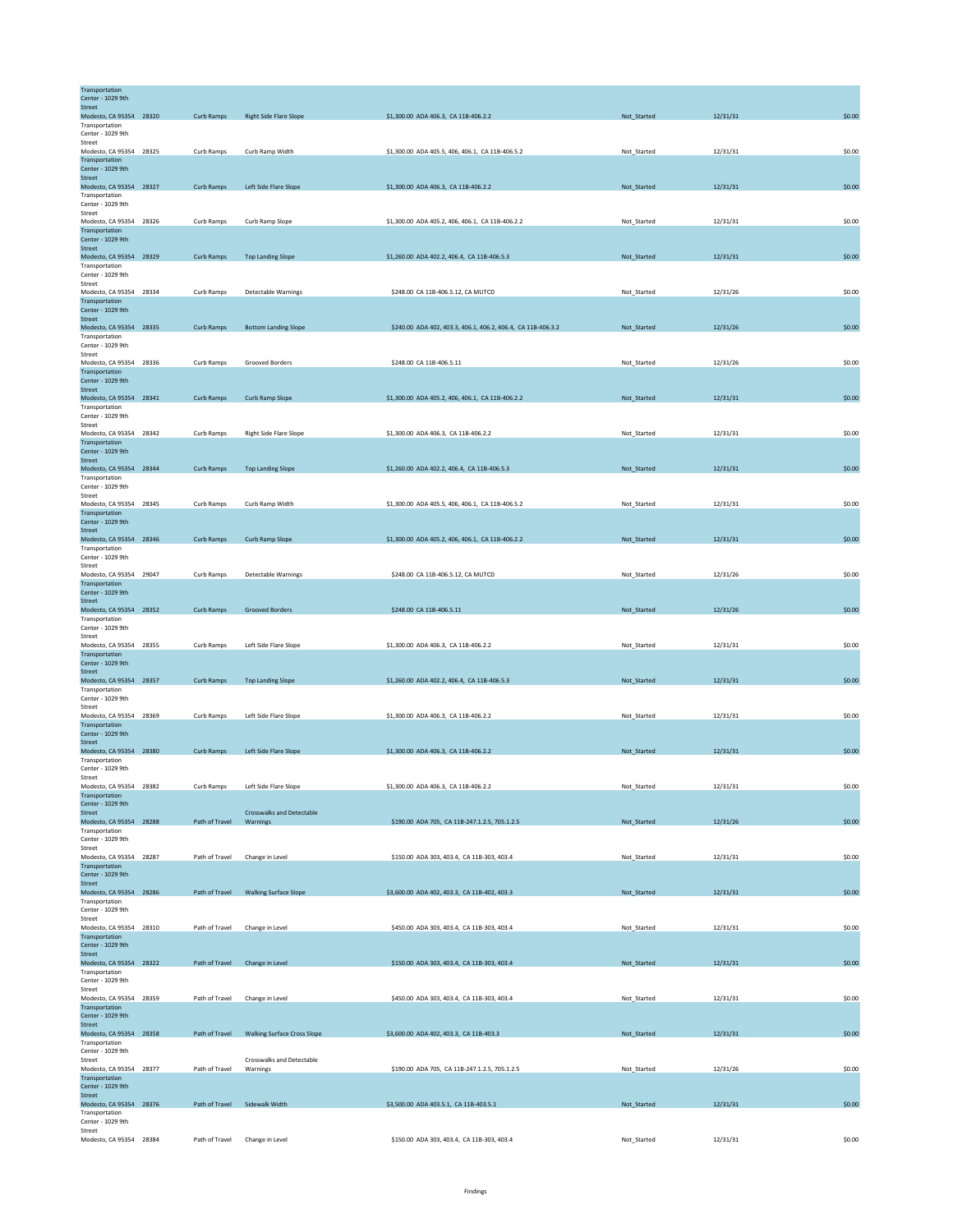| Transportation<br>Center - 1029 9th       |                                |                                              |                                                              |             |          |        |
|-------------------------------------------|--------------------------------|----------------------------------------------|--------------------------------------------------------------|-------------|----------|--------|
| <b>Street</b><br>Modesto, CA 95354 28320  | Curb Ramps                     | <b>Right Side Flare Slope</b>                | \$1,300.00 ADA 406.3, CA 11B-406.2.2                         | Not_Started | 12/31/31 | \$0.00 |
| Transportation                            |                                |                                              |                                                              |             |          |        |
| Center - 1029 9th<br>Street               |                                |                                              |                                                              |             |          |        |
| Modesto, CA 95354 28325<br>Transportation | Curb Ramps                     | Curb Ramp Width                              | \$1,300.00 ADA 405.5, 406, 406.1, CA 11B-406.5.2             | Not Started | 12/31/31 | \$0.00 |
| Center - 1029 9th                         |                                |                                              |                                                              |             |          |        |
| Street<br>Modesto, CA 95354 28327         | Curb Ramps                     | Left Side Flare Slope                        | \$1,300.00 ADA 406.3, CA 11B-406.2.2                         | Not_Started | 12/31/31 | \$0.00 |
| Transportation<br>Center - 1029 9th       |                                |                                              |                                                              |             |          |        |
| Street                                    |                                |                                              |                                                              |             |          |        |
| Modesto, CA 95354 28326<br>Transportation | Curb Ramps                     | Curb Ramp Slope                              | \$1,300.00 ADA 405.2, 406, 406.1, CA 11B-406.2.2             | Not_Started | 12/31/31 | \$0.00 |
| Center - 1029 9th<br>Street               |                                |                                              |                                                              |             |          |        |
| Modesto, CA 95354 28329                   | Curb Ramps                     | <b>Top Landing Slope</b>                     | \$1,260.00 ADA 402.2, 406.4, CA 11B-406.5.3                  | Not_Started | 12/31/31 | \$0.00 |
| Transportation<br>Center - 1029 9th       |                                |                                              |                                                              |             |          |        |
| Street                                    | Curb Ramps                     |                                              | \$248.00 CA 11B-406.5.12, CA MUTCD                           |             | 12/31/26 | \$0.00 |
| Modesto, CA 95354 28334<br>Transportation |                                | <b>Detectable Warnings</b>                   |                                                              | Not_Started |          |        |
| Center - 1029 9th<br>Street               |                                |                                              |                                                              |             |          |        |
| Modesto, CA 95354 28335                   | Curb Ramps                     | <b>Bottom Landing Slope</b>                  | \$240.00 ADA 402, 403.3, 406.1, 406.2, 406.4, CA 11B-406.3.2 | Not_Started | 12/31/26 | \$0.00 |
| Transportation<br>Center - 1029 9th       |                                |                                              |                                                              |             |          |        |
| Street<br>Modesto, CA 95354 28336         | Curb Ramps                     | Grooved Borders                              | \$248.00 CA 11B-406.5.11                                     | Not_Started | 12/31/26 | \$0.00 |
| Transportation                            |                                |                                              |                                                              |             |          |        |
| Center - 1029 9th<br><b>Street</b>        |                                |                                              |                                                              |             |          |        |
| Modesto, CA 95354 28341                   | Curb Ramps                     | Curb Ramp Slope                              | \$1,300.00 ADA 405.2, 406, 406.1, CA 11B-406.2.2             | Not_Started | 12/31/31 | \$0.00 |
| Transportation<br>Center - 1029 9th       |                                |                                              |                                                              |             |          |        |
| Street<br>Modesto, CA 95354 28342         | Curb Ramps                     | Right Side Flare Slope                       | \$1,300,00 ADA 406.3, CA 11B-406.2.2                         | Not_Started | 12/31/31 | \$0.00 |
| Transportation                            |                                |                                              |                                                              |             |          |        |
| Center - 1029 9th<br><b>Street</b>        |                                |                                              |                                                              |             |          |        |
| Modesto, CA 95354 28344<br>Transportation | Curb Ramps                     | <b>Top Landing Slope</b>                     | \$1,260.00 ADA 402.2, 406.4, CA 11B-406.5.3                  | Not_Started | 12/31/31 | \$0.00 |
| Center - 1029 9th                         |                                |                                              |                                                              |             |          |        |
| Street<br>Modesto, CA 95354 28345         | Curb Ramps                     | Curb Ramp Width                              | \$1,300.00 ADA 405.5, 406, 406.1, CA 11B-406.5.2             | Not_Started | 12/31/31 | \$0.00 |
| Transportation                            |                                |                                              |                                                              |             |          |        |
| Center - 1029 9th<br>Street               |                                |                                              |                                                              |             |          |        |
| Modesto, CA 95354 28346<br>Transportation | Curb Ramps                     | Curb Ramp Slope                              | \$1,300.00 ADA 405.2, 406, 406.1, CA 11B-406.2.2             | Not_Started | 12/31/31 | \$0.00 |
| Center - 1029 9th                         |                                |                                              |                                                              |             |          |        |
| Street<br>Modesto, CA 95354 29047         | Curb Ramps                     | <b>Detectable Warnings</b>                   | \$248.00 CA 11B-406.5.12, CA MUTCD                           | Not_Started | 12/31/26 | \$0.00 |
| Transportation                            |                                |                                              |                                                              |             |          |        |
| Center - 1029 9th<br>Street               |                                |                                              |                                                              |             |          |        |
| Modesto, CA 95354 28352<br>Transportation | Curb Ramps                     | <b>Grooved Borders</b>                       | \$248.00 CA 11B-406.5.11                                     | Not_Started | 12/31/26 | \$0.00 |
| Center - 1029 9th                         |                                |                                              |                                                              |             |          |        |
| Street<br>Modesto, CA 95354 28355         | Curb Ramps                     | Left Side Flare Slope                        | \$1,300.00 ADA 406.3, CA 11B-406.2.2                         | Not_Started | 12/31/31 | \$0.00 |
| Transportation<br>Center - 1029 9th       |                                |                                              |                                                              |             |          |        |
| <b>Street</b>                             |                                |                                              |                                                              |             |          |        |
| Modesto, CA 95354 28357<br>Transportation | Curb Ramps                     | <b>Top Landing Slope</b>                     | \$1,260.00 ADA 402.2, 406.4, CA 11B-406.5.3                  | Not Started | 12/31/31 | \$0.00 |
| Center - 1029 9th                         |                                |                                              |                                                              |             |          |        |
| Street<br>Modesto, CA 95354 28369         | Curb Ramps                     | Left Side Flare Slope                        | \$1,300,00 ADA 406.3, CA 11B-406.2.2                         | Not Started | 12/31/31 | \$0.00 |
| Transportation<br>Center - 1029 9th       |                                |                                              |                                                              |             |          |        |
| Street                                    |                                |                                              |                                                              |             |          |        |
| Modesto, CA 95354 28380<br>Transportation | Curb Ramps                     | Left Side Flare Slope                        | \$1,300.00 ADA 406.3, CA 11B-406.2.2                         | Not_Started | 12/31/31 | \$0.00 |
| Center - 1029 9th<br>Street               |                                |                                              |                                                              |             |          |        |
| Modesto, CA 95354 28382                   | Curb Ramps                     | Left Side Flare Slope                        | \$1,300.00 ADA 406.3, CA 11B-406.2.2                         | Not_Started | 12/31/31 | \$0.00 |
| Transportation<br>Center - 1029 9th       |                                |                                              |                                                              |             |          |        |
| Street<br>Modesto, CA 95354 28288         | Path of Travel                 | <b>Crosswalks and Detectable</b><br>Warnings | \$190.00 ADA 705, CA 11B-247.1.2.5, 705.1.2.5                | Not_Started | 12/31/26 | \$0.00 |
| Transportation                            |                                |                                              |                                                              |             |          |        |
| Center - 1029 9th<br>Street               |                                |                                              |                                                              |             |          |        |
| Modesto, CA 95354 28287                   | Path of Travel                 | Change in Level                              | \$150.00 ADA 303, 403.4, CA 11B-303, 403.4                   | Not_Started | 12/31/31 | \$0.00 |
| Transportation<br>Center - 1029 9th       |                                |                                              |                                                              |             |          |        |
| Street<br>Modesto, CA 95354 28286         | Path of Travel                 | <b>Walking Surface Slope</b>                 | \$3,600.00 ADA 402, 403.3, CA 11B-402, 403.3                 | Not Started | 12/31/31 | \$0.00 |
| Transportation                            |                                |                                              |                                                              |             |          |        |
| Center - 1029 9th<br>Street               |                                |                                              |                                                              |             |          |        |
| Modesto, CA 95354 28310<br>Transportation | Path of Travel                 | Change in Level                              | \$450.00 ADA 303, 403.4, CA 11B-303, 403.4                   | Not_Started | 12/31/31 | \$0.00 |
| Center - 1029 9th                         |                                |                                              |                                                              |             |          |        |
| Street<br>Modesto, CA 95354 28322         | Path of Travel Change in Level |                                              | \$150.00 ADA 303, 403.4, CA 11B-303, 403.4                   | Not_Started | 12/31/31 | \$0.00 |
| Transportation                            |                                |                                              |                                                              |             |          |        |
| Center - 1029 9th<br>Street               |                                |                                              |                                                              |             |          |        |
| Modesto, CA 95354 28359<br>Transportation | Path of Travel                 | Change in Level                              | \$450.00 ADA 303, 403.4, CA 11B-303, 403.4                   | Not_Started | 12/31/31 | \$0.00 |
| Center - 1029 9th                         |                                |                                              |                                                              |             |          |        |
| Street<br>Modesto, CA 95354 28358         | Path of Travel                 | <b>Walking Surface Cross Slope</b>           | \$3,600.00 ADA 402, 403.3, CA 11B-403.3                      | Not_Started | 12/31/31 | \$0.00 |
| Transportation                            |                                |                                              |                                                              |             |          |        |
| Center - 1029 9th<br>Street               |                                | Crosswalks and Detectable                    |                                                              |             |          |        |
| Modesto, CA 95354 28377<br>Transportation | Path of Travel                 | Warnings                                     | \$190.00 ADA 705, CA 11B-247.1.2.5, 705.1.2.5                | Not_Started | 12/31/26 | \$0.00 |
| Center - 1029 9th                         |                                |                                              |                                                              |             |          |        |
| Street<br>Modesto, CA 95354 28376         | Path of Travel                 | Sidewalk Width                               | \$3,500.00 ADA 403.5.1, CA 11B-403.5.1                       | Not_Started | 12/31/31 | \$0.00 |
| Transportation<br>Center - 1029 9th       |                                |                                              |                                                              |             |          |        |
| Street                                    |                                |                                              |                                                              |             |          |        |
| Modesto, CA 95354 28384                   | Path of Travel                 | Change in Level                              | \$150.00 ADA 303, 403.4, CA 11B-303, 403.4                   | Not_Started | 12/31/31 | \$0.00 |